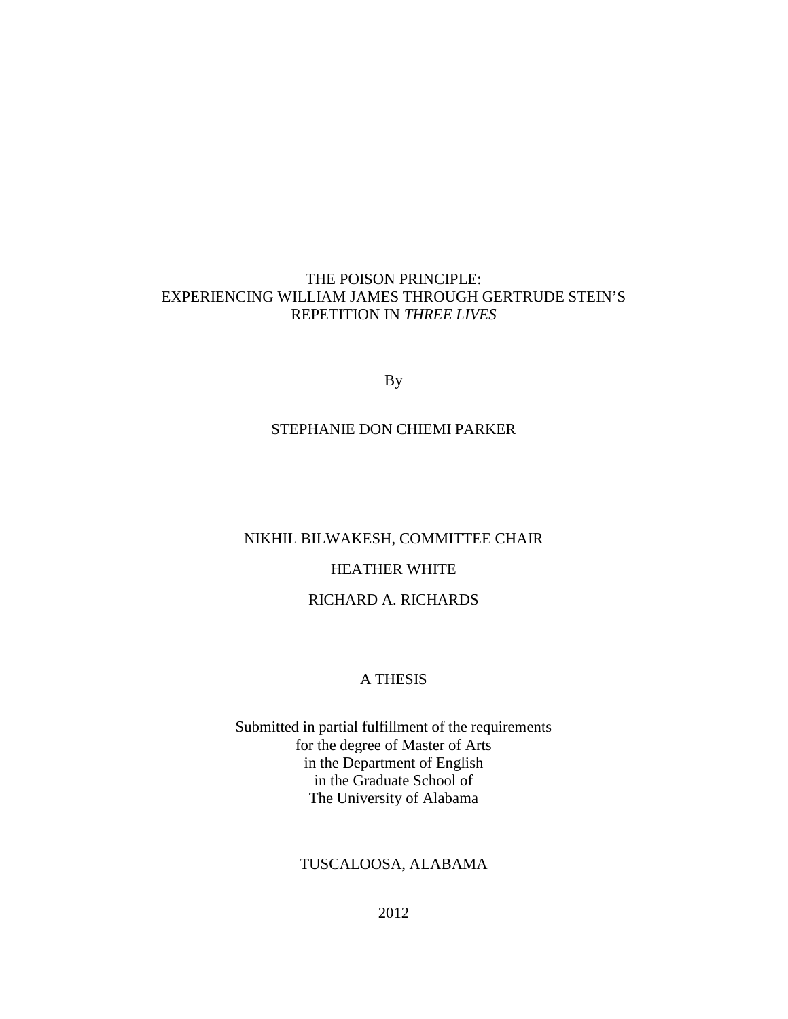## THE POISON PRINCIPLE: EXPERIENCING WILLIAM JAMES THROUGH GERTRUDE STEIN'S REPETITION IN *THREE LIVES*

By

## STEPHANIE DON CHIEMI PARKER

# NIKHIL BILWAKESH, COMMITTEE CHAIR

## HEATHER WHITE

## RICHARD A. RICHARDS

### A THESIS

Submitted in partial fulfillment of the requirements for the degree of Master of Arts in the Department of English in the Graduate School of The University of Alabama

## TUSCALOOSA, ALABAMA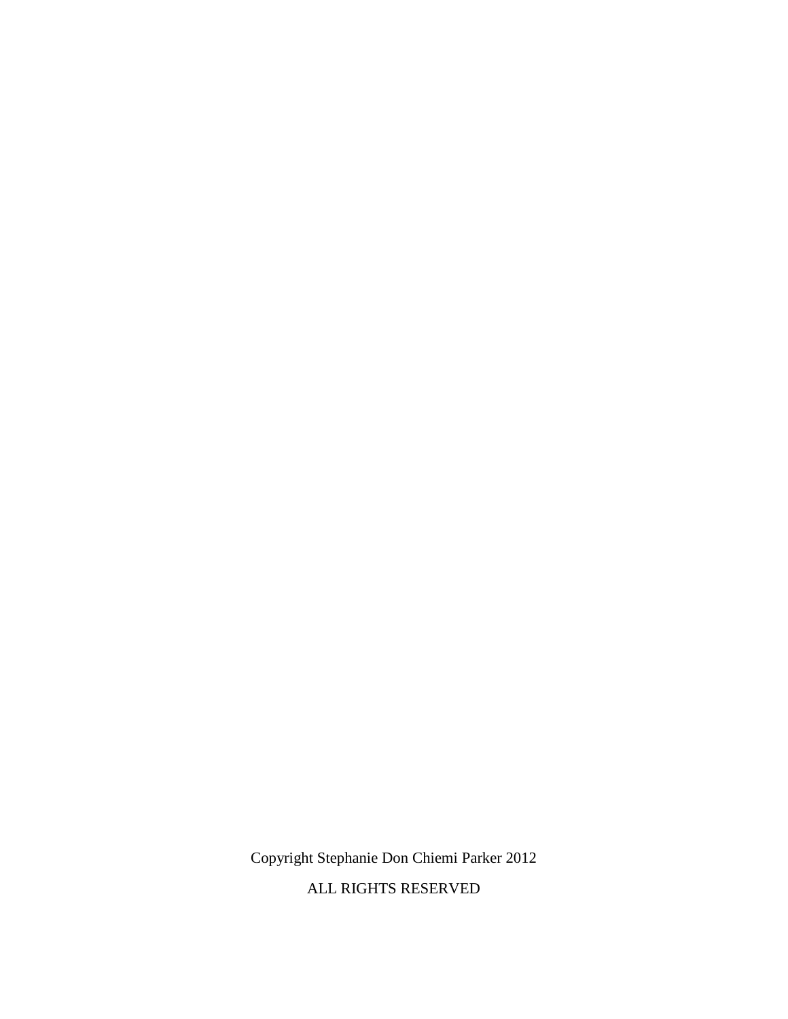Copyright Stephanie Don Chiemi Parker 2012

ALL RIGHTS RESERVED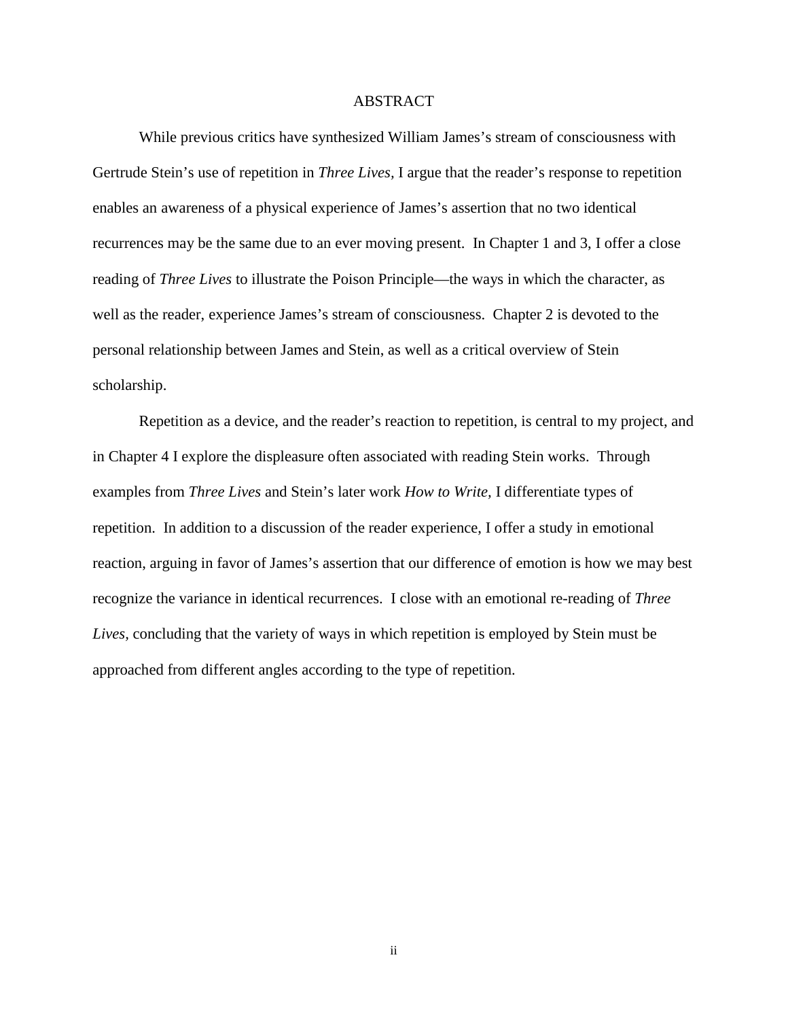#### ABSTRACT

While previous critics have synthesized William James's stream of consciousness with Gertrude Stein's use of repetition in *Three Lives,* I argue that the reader's response to repetition enables an awareness of a physical experience of James's assertion that no two identical recurrences may be the same due to an ever moving present. In Chapter 1 and 3, I offer a close reading of *Three Lives* to illustrate the Poison Principle—the ways in which the character, as well as the reader, experience James's stream of consciousness. Chapter 2 is devoted to the personal relationship between James and Stein, as well as a critical overview of Stein scholarship.

Repetition as a device, and the reader's reaction to repetition, is central to my project, and in Chapter 4 I explore the displeasure often associated with reading Stein works. Through examples from *Three Lives* and Stein's later work *How to Write,* I differentiate types of repetition. In addition to a discussion of the reader experience, I offer a study in emotional reaction, arguing in favor of James's assertion that our difference of emotion is how we may best recognize the variance in identical recurrences. I close with an emotional re-reading of *Three Lives,* concluding that the variety of ways in which repetition is employed by Stein must be approached from different angles according to the type of repetition.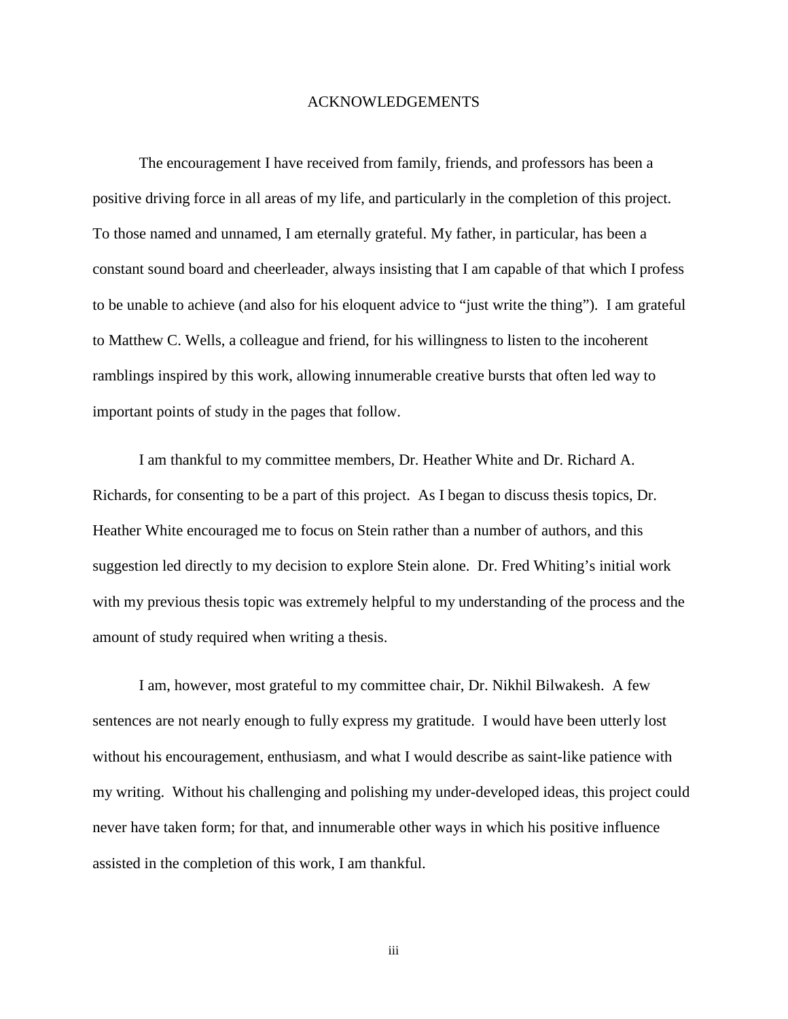#### ACKNOWLEDGEMENTS

The encouragement I have received from family, friends, and professors has been a positive driving force in all areas of my life, and particularly in the completion of this project. To those named and unnamed, I am eternally grateful. My father, in particular, has been a constant sound board and cheerleader, always insisting that I am capable of that which I profess to be unable to achieve (and also for his eloquent advice to "just write the thing"). I am grateful to Matthew C. Wells, a colleague and friend, for his willingness to listen to the incoherent ramblings inspired by this work, allowing innumerable creative bursts that often led way to important points of study in the pages that follow.

I am thankful to my committee members, Dr. Heather White and Dr. Richard A. Richards, for consenting to be a part of this project. As I began to discuss thesis topics, Dr. Heather White encouraged me to focus on Stein rather than a number of authors, and this suggestion led directly to my decision to explore Stein alone. Dr. Fred Whiting's initial work with my previous thesis topic was extremely helpful to my understanding of the process and the amount of study required when writing a thesis.

I am, however, most grateful to my committee chair, Dr. Nikhil Bilwakesh. A few sentences are not nearly enough to fully express my gratitude. I would have been utterly lost without his encouragement, enthusiasm, and what I would describe as saint-like patience with my writing. Without his challenging and polishing my under-developed ideas, this project could never have taken form; for that, and innumerable other ways in which his positive influence assisted in the completion of this work, I am thankful.

iii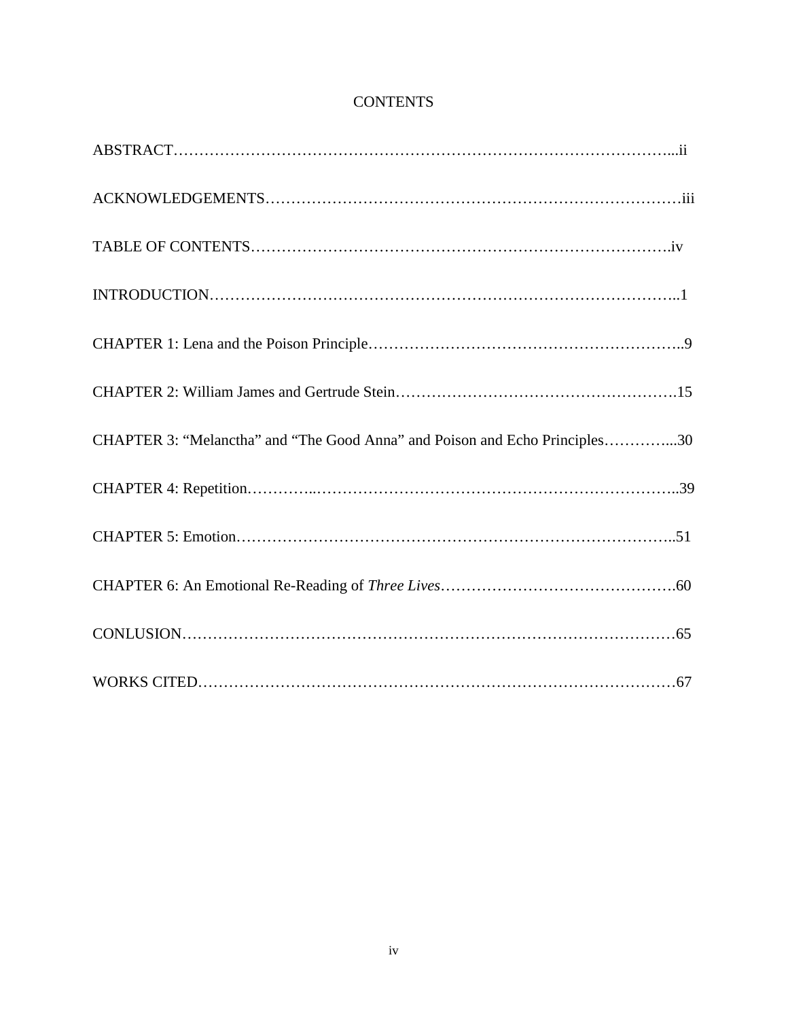| CHAPTER 3: "Melanctha" and "The Good Anna" and Poison and Echo Principles30 |
|-----------------------------------------------------------------------------|
|                                                                             |
|                                                                             |
|                                                                             |
|                                                                             |
|                                                                             |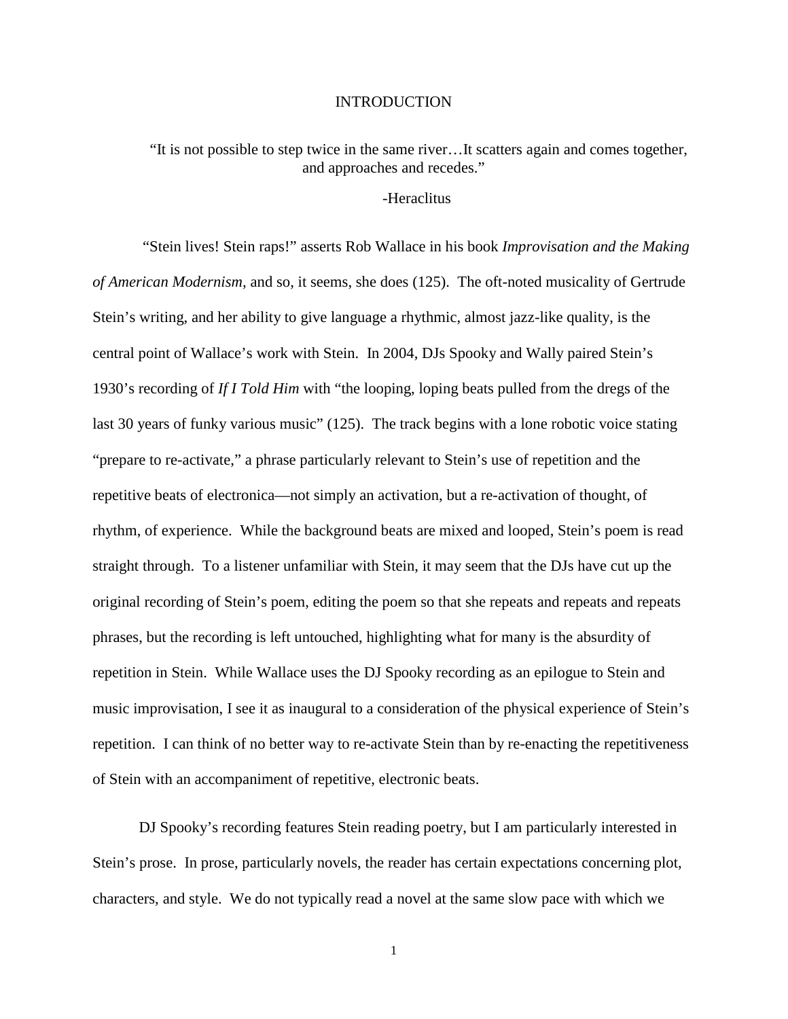#### INTRODUCTION

"It is not possible to step twice in the same river…It scatters again and comes together, and approaches and recedes."

## -Heraclitus

"Stein lives! Stein raps!" asserts Rob Wallace in his book *Improvisation and the Making of American Modernism,* and so, it seems, she does (125). The oft-noted musicality of Gertrude Stein's writing, and her ability to give language a rhythmic, almost jazz-like quality, is the central point of Wallace's work with Stein. In 2004, DJs Spooky and Wally paired Stein's 1930's recording of *If I Told Him* with "the looping, loping beats pulled from the dregs of the last 30 years of funky various music" (125). The track begins with a lone robotic voice stating "prepare to re-activate," a phrase particularly relevant to Stein's use of repetition and the repetitive beats of electronica—not simply an activation, but a re-activation of thought, of rhythm, of experience. While the background beats are mixed and looped, Stein's poem is read straight through. To a listener unfamiliar with Stein, it may seem that the DJs have cut up the original recording of Stein's poem, editing the poem so that she repeats and repeats and repeats phrases, but the recording is left untouched, highlighting what for many is the absurdity of repetition in Stein. While Wallace uses the DJ Spooky recording as an epilogue to Stein and music improvisation, I see it as inaugural to a consideration of the physical experience of Stein's repetition. I can think of no better way to re-activate Stein than by re-enacting the repetitiveness of Stein with an accompaniment of repetitive, electronic beats.

DJ Spooky's recording features Stein reading poetry, but I am particularly interested in Stein's prose. In prose, particularly novels, the reader has certain expectations concerning plot, characters, and style. We do not typically read a novel at the same slow pace with which we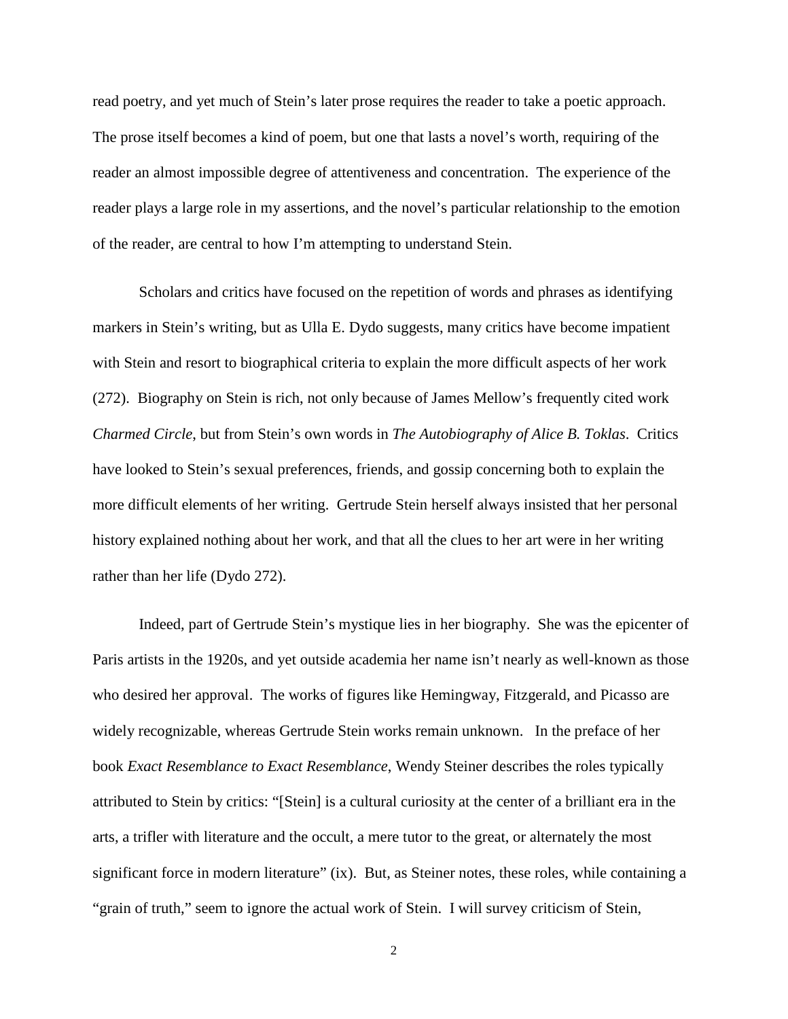read poetry, and yet much of Stein's later prose requires the reader to take a poetic approach. The prose itself becomes a kind of poem, but one that lasts a novel's worth, requiring of the reader an almost impossible degree of attentiveness and concentration. The experience of the reader plays a large role in my assertions, and the novel's particular relationship to the emotion of the reader, are central to how I'm attempting to understand Stein.

Scholars and critics have focused on the repetition of words and phrases as identifying markers in Stein's writing, but as Ulla E. Dydo suggests, many critics have become impatient with Stein and resort to biographical criteria to explain the more difficult aspects of her work (272). Biography on Stein is rich, not only because of James Mellow's frequently cited work *Charmed Circle*, but from Stein's own words in *The Autobiography of Alice B. Toklas*. Critics have looked to Stein's sexual preferences, friends, and gossip concerning both to explain the more difficult elements of her writing. Gertrude Stein herself always insisted that her personal history explained nothing about her work, and that all the clues to her art were in her writing rather than her life (Dydo 272).

Indeed, part of Gertrude Stein's mystique lies in her biography. She was the epicenter of Paris artists in the 1920s, and yet outside academia her name isn't nearly as well-known as those who desired her approval. The works of figures like Hemingway, Fitzgerald, and Picasso are widely recognizable, whereas Gertrude Stein works remain unknown. In the preface of her book *Exact Resemblance to Exact Resemblance*, Wendy Steiner describes the roles typically attributed to Stein by critics: "[Stein] is a cultural curiosity at the center of a brilliant era in the arts, a trifler with literature and the occult, a mere tutor to the great, or alternately the most significant force in modern literature" (ix). But, as Steiner notes, these roles, while containing a "grain of truth," seem to ignore the actual work of Stein. I will survey criticism of Stein,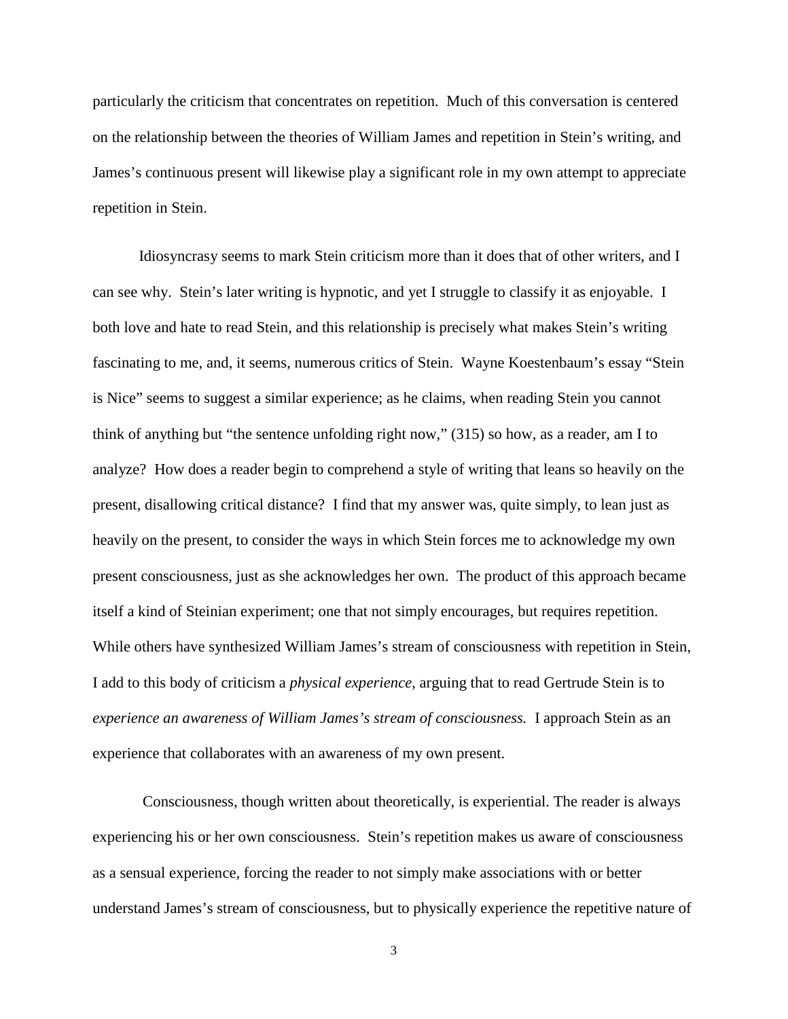particularly the criticism that concentrates on repetition. Much of this conversation is centered on the relationship between the theories of William James and repetition in Stein's writing, and James's continuous present will likewise play a significant role in my own attempt to appreciate repetition in Stein.

Idiosyncrasy seems to mark Stein criticism more than it does that of other writers, and I can see why. Stein's later writing is hypnotic, and yet I struggle to classify it as enjoyable. I both love and hate to read Stein, and this relationship is precisely what makes Stein's writing fascinating to me, and, it seems, numerous critics of Stein. Wayne Koestenbaum's essay "Stein is Nice" seems to suggest a similar experience; as he claims, when reading Stein you cannot think of anything but "the sentence unfolding right now," (315) so how, as a reader, am I to analyze? How does a reader begin to comprehend a style of writing that leans so heavily on the present, disallowing critical distance? I find that my answer was, quite simply, to lean just as heavily on the present, to consider the ways in which Stein forces me to acknowledge my own present consciousness, just as she acknowledges her own. The product of this approach became itself a kind of Steinian experiment; one that not simply encourages, but requires repetition. While others have synthesized William James's stream of consciousness with repetition in Stein, I add to this body of criticism a *physical experience*, arguing that to read Gertrude Stein is to *experience an awareness of William James's stream of consciousness.* I approach Stein as an experience that collaborates with an awareness of my own present.

Consciousness, though written about theoretically, is experiential. The reader is always experiencing his or her own consciousness. Stein's repetition makes us aware of consciousness as a sensual experience, forcing the reader to not simply make associations with or better understand James's stream of consciousness, but to physically experience the repetitive nature of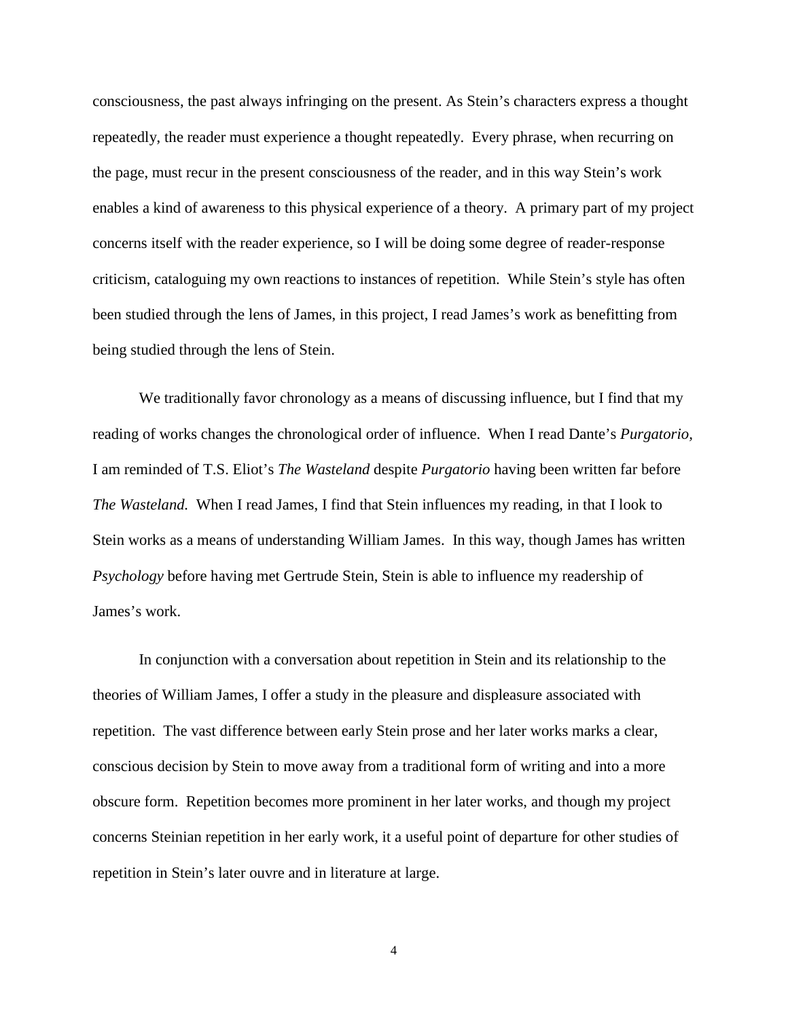consciousness, the past always infringing on the present. As Stein's characters express a thought repeatedly, the reader must experience a thought repeatedly. Every phrase, when recurring on the page, must recur in the present consciousness of the reader, and in this way Stein's work enables a kind of awareness to this physical experience of a theory. A primary part of my project concerns itself with the reader experience, so I will be doing some degree of reader-response criticism, cataloguing my own reactions to instances of repetition. While Stein's style has often been studied through the lens of James, in this project, I read James's work as benefitting from being studied through the lens of Stein.

We traditionally favor chronology as a means of discussing influence, but I find that my reading of works changes the chronological order of influence. When I read Dante's *Purgatorio,*  I am reminded of T.S. Eliot's *The Wasteland* despite *Purgatorio* having been written far before *The Wasteland.* When I read James, I find that Stein influences my reading, in that I look to Stein works as a means of understanding William James. In this way, though James has written *Psychology* before having met Gertrude Stein, Stein is able to influence my readership of James's work.

In conjunction with a conversation about repetition in Stein and its relationship to the theories of William James, I offer a study in the pleasure and displeasure associated with repetition. The vast difference between early Stein prose and her later works marks a clear, conscious decision by Stein to move away from a traditional form of writing and into a more obscure form. Repetition becomes more prominent in her later works, and though my project concerns Steinian repetition in her early work, it a useful point of departure for other studies of repetition in Stein's later ouvre and in literature at large.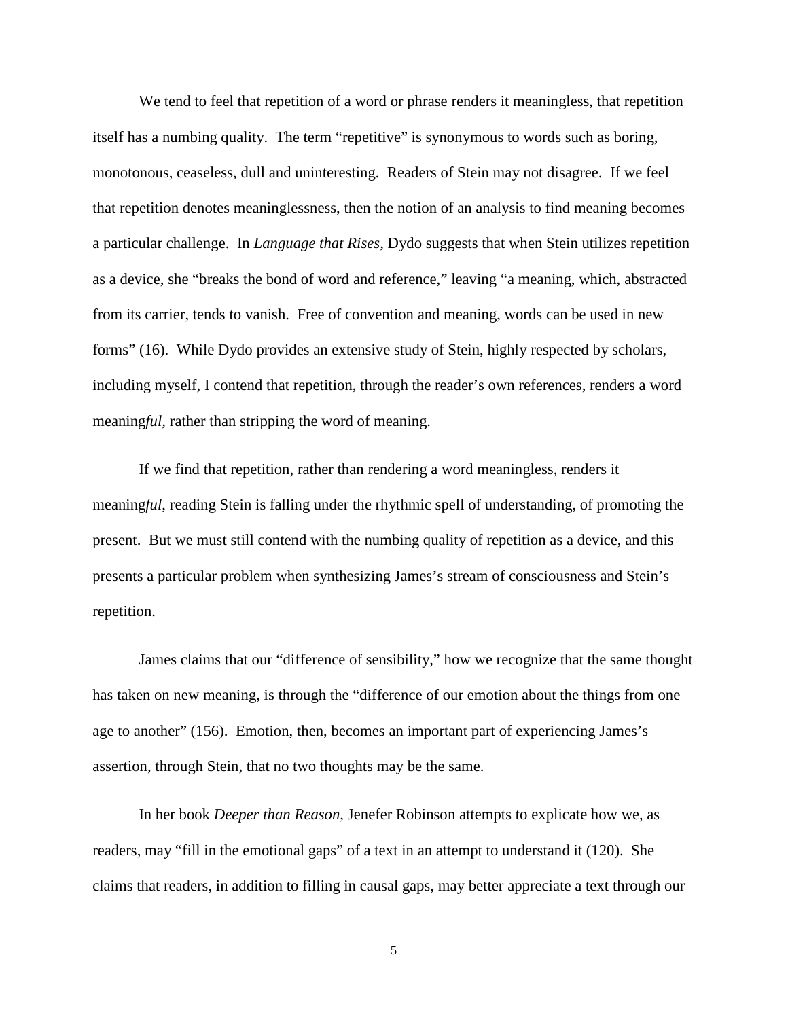We tend to feel that repetition of a word or phrase renders it meaningless, that repetition itself has a numbing quality. The term "repetitive" is synonymous to words such as boring, monotonous, ceaseless, dull and uninteresting. Readers of Stein may not disagree. If we feel that repetition denotes meaninglessness, then the notion of an analysis to find meaning becomes a particular challenge. In *Language that Rises,* Dydo suggests that when Stein utilizes repetition as a device, she "breaks the bond of word and reference," leaving "a meaning, which, abstracted from its carrier, tends to vanish. Free of convention and meaning, words can be used in new forms" (16). While Dydo provides an extensive study of Stein, highly respected by scholars, including myself, I contend that repetition, through the reader's own references, renders a word meaning*ful,* rather than stripping the word of meaning.

If we find that repetition, rather than rendering a word meaningless, renders it meaning*ful*, reading Stein is falling under the rhythmic spell of understanding, of promoting the present. But we must still contend with the numbing quality of repetition as a device, and this presents a particular problem when synthesizing James's stream of consciousness and Stein's repetition.

James claims that our "difference of sensibility," how we recognize that the same thought has taken on new meaning, is through the "difference of our emotion about the things from one age to another" (156). Emotion, then, becomes an important part of experiencing James's assertion, through Stein, that no two thoughts may be the same.

In her book *Deeper than Reason,* Jenefer Robinson attempts to explicate how we, as readers, may "fill in the emotional gaps" of a text in an attempt to understand it (120). She claims that readers, in addition to filling in causal gaps, may better appreciate a text through our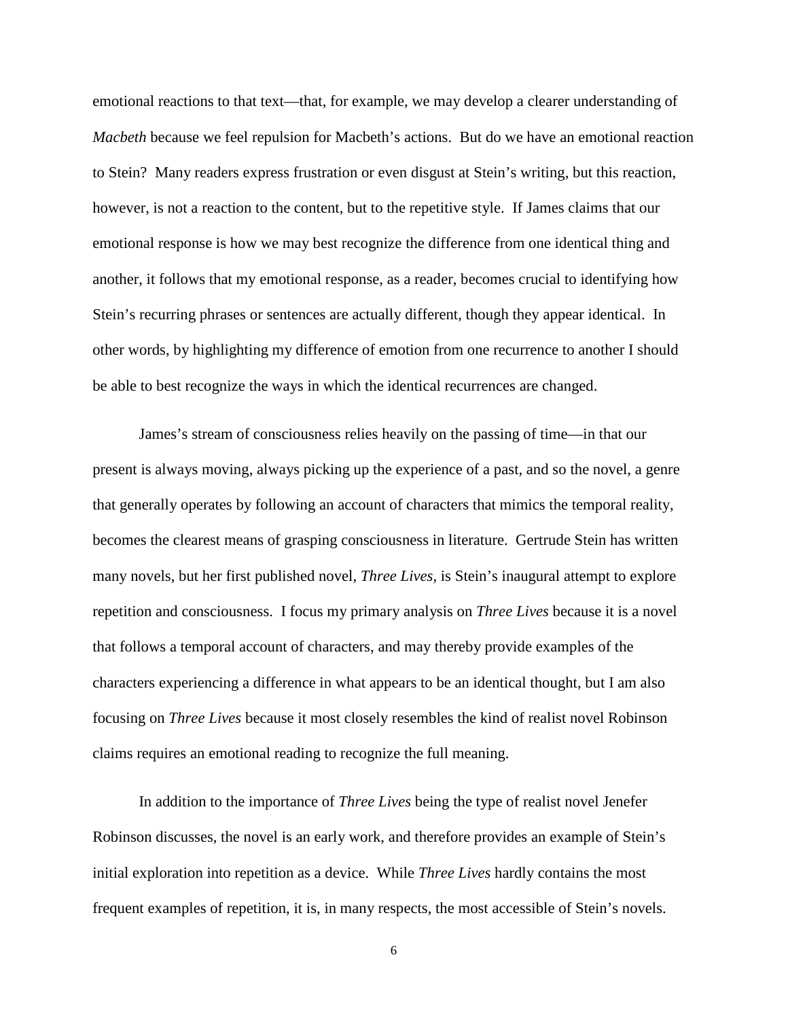emotional reactions to that text—that, for example, we may develop a clearer understanding of *Macbeth* because we feel repulsion for Macbeth's actions. But do we have an emotional reaction to Stein? Many readers express frustration or even disgust at Stein's writing, but this reaction, however, is not a reaction to the content, but to the repetitive style. If James claims that our emotional response is how we may best recognize the difference from one identical thing and another, it follows that my emotional response, as a reader, becomes crucial to identifying how Stein's recurring phrases or sentences are actually different, though they appear identical. In other words, by highlighting my difference of emotion from one recurrence to another I should be able to best recognize the ways in which the identical recurrences are changed.

James's stream of consciousness relies heavily on the passing of time—in that our present is always moving, always picking up the experience of a past, and so the novel, a genre that generally operates by following an account of characters that mimics the temporal reality, becomes the clearest means of grasping consciousness in literature. Gertrude Stein has written many novels, but her first published novel, *Three Lives,* is Stein's inaugural attempt to explore repetition and consciousness. I focus my primary analysis on *Three Lives* because it is a novel that follows a temporal account of characters, and may thereby provide examples of the characters experiencing a difference in what appears to be an identical thought, but I am also focusing on *Three Lives* because it most closely resembles the kind of realist novel Robinson claims requires an emotional reading to recognize the full meaning.

In addition to the importance of *Three Lives* being the type of realist novel Jenefer Robinson discusses, the novel is an early work, and therefore provides an example of Stein's initial exploration into repetition as a device. While *Three Lives* hardly contains the most frequent examples of repetition, it is, in many respects, the most accessible of Stein's novels.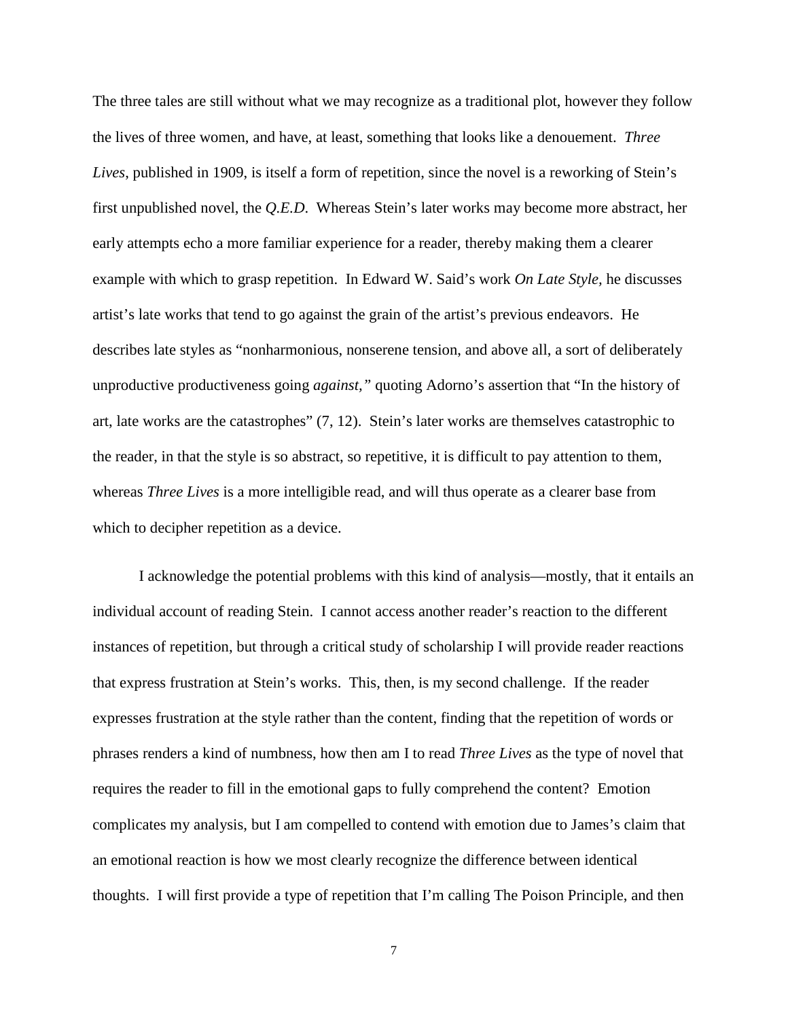The three tales are still without what we may recognize as a traditional plot, however they follow the lives of three women, and have, at least, something that looks like a denouement. *Three Lives*, published in 1909, is itself a form of repetition, since the novel is a reworking of Stein's first unpublished novel, the *Q.E.D*. Whereas Stein's later works may become more abstract, her early attempts echo a more familiar experience for a reader, thereby making them a clearer example with which to grasp repetition. In Edward W. Said's work *On Late Style,* he discusses artist's late works that tend to go against the grain of the artist's previous endeavors. He describes late styles as "nonharmonious, nonserene tension, and above all, a sort of deliberately unproductive productiveness going *against,"* quoting Adorno's assertion that "In the history of art, late works are the catastrophes" (7, 12). Stein's later works are themselves catastrophic to the reader, in that the style is so abstract, so repetitive, it is difficult to pay attention to them, whereas *Three Lives* is a more intelligible read, and will thus operate as a clearer base from which to decipher repetition as a device.

I acknowledge the potential problems with this kind of analysis—mostly, that it entails an individual account of reading Stein. I cannot access another reader's reaction to the different instances of repetition, but through a critical study of scholarship I will provide reader reactions that express frustration at Stein's works. This, then, is my second challenge. If the reader expresses frustration at the style rather than the content, finding that the repetition of words or phrases renders a kind of numbness, how then am I to read *Three Lives* as the type of novel that requires the reader to fill in the emotional gaps to fully comprehend the content? Emotion complicates my analysis, but I am compelled to contend with emotion due to James's claim that an emotional reaction is how we most clearly recognize the difference between identical thoughts. I will first provide a type of repetition that I'm calling The Poison Principle, and then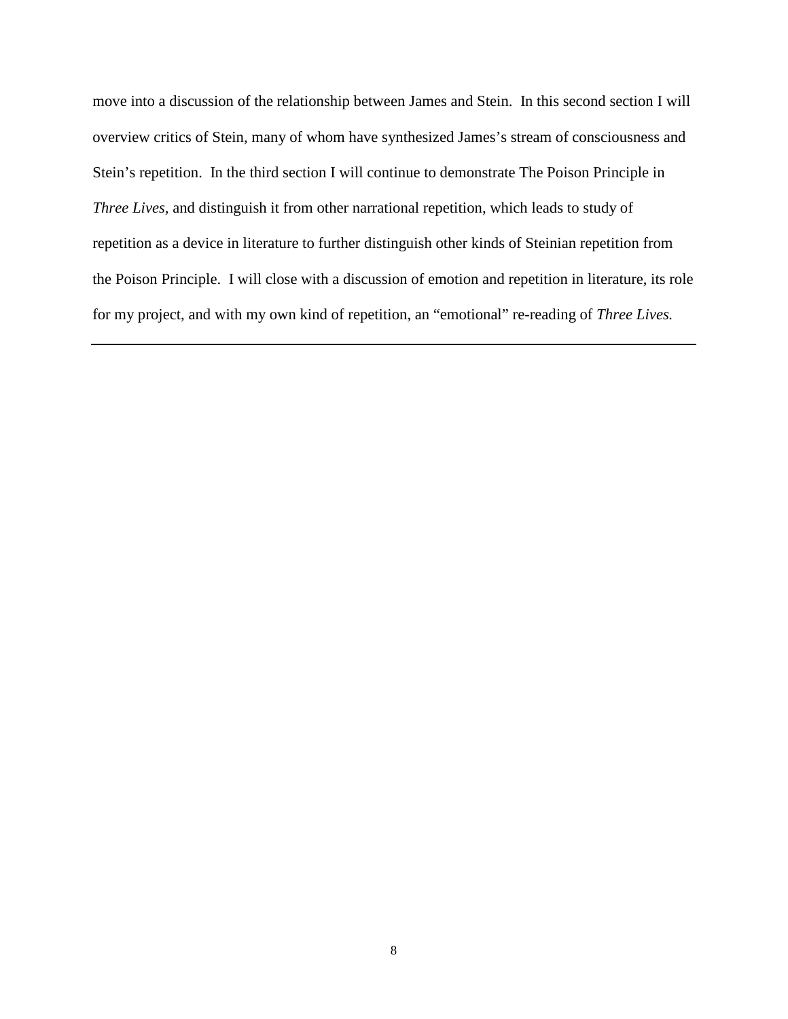move into a discussion of the relationship between James and Stein. In this second section I will overview critics of Stein, many of whom have synthesized James's stream of consciousness and Stein's repetition. In the third section I will continue to demonstrate The Poison Principle in *Three Lives,* and distinguish it from other narrational repetition, which leads to study of repetition as a device in literature to further distinguish other kinds of Steinian repetition from the Poison Principle. I will close with a discussion of emotion and repetition in literature, its role for my project, and with my own kind of repetition, an "emotional" re-reading of *Three Lives.*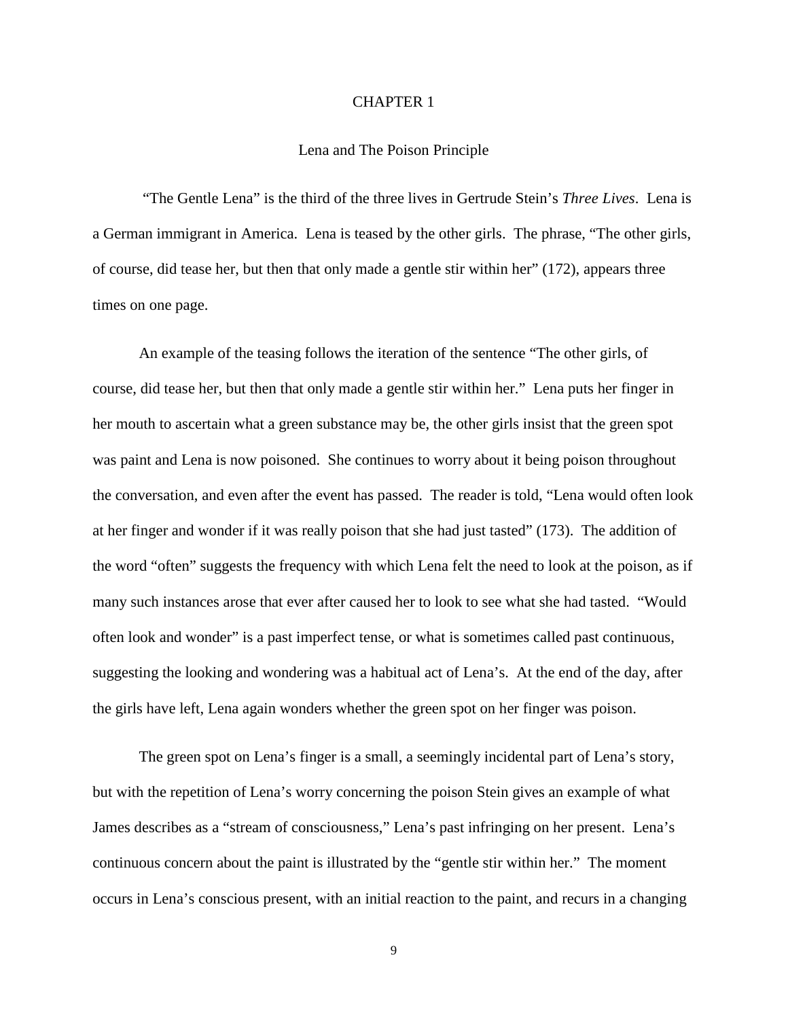#### CHAPTER 1

#### Lena and The Poison Principle

"The Gentle Lena" is the third of the three lives in Gertrude Stein's *Three Lives*. Lena is a German immigrant in America. Lena is teased by the other girls. The phrase, "The other girls, of course, did tease her, but then that only made a gentle stir within her" (172), appears three times on one page.

An example of the teasing follows the iteration of the sentence "The other girls, of course, did tease her, but then that only made a gentle stir within her." Lena puts her finger in her mouth to ascertain what a green substance may be, the other girls insist that the green spot was paint and Lena is now poisoned. She continues to worry about it being poison throughout the conversation, and even after the event has passed. The reader is told, "Lena would often look at her finger and wonder if it was really poison that she had just tasted" (173). The addition of the word "often" suggests the frequency with which Lena felt the need to look at the poison, as if many such instances arose that ever after caused her to look to see what she had tasted. "Would often look and wonder" is a past imperfect tense, or what is sometimes called past continuous, suggesting the looking and wondering was a habitual act of Lena's. At the end of the day, after the girls have left, Lena again wonders whether the green spot on her finger was poison.

The green spot on Lena's finger is a small, a seemingly incidental part of Lena's story, but with the repetition of Lena's worry concerning the poison Stein gives an example of what James describes as a "stream of consciousness," Lena's past infringing on her present. Lena's continuous concern about the paint is illustrated by the "gentle stir within her." The moment occurs in Lena's conscious present, with an initial reaction to the paint, and recurs in a changing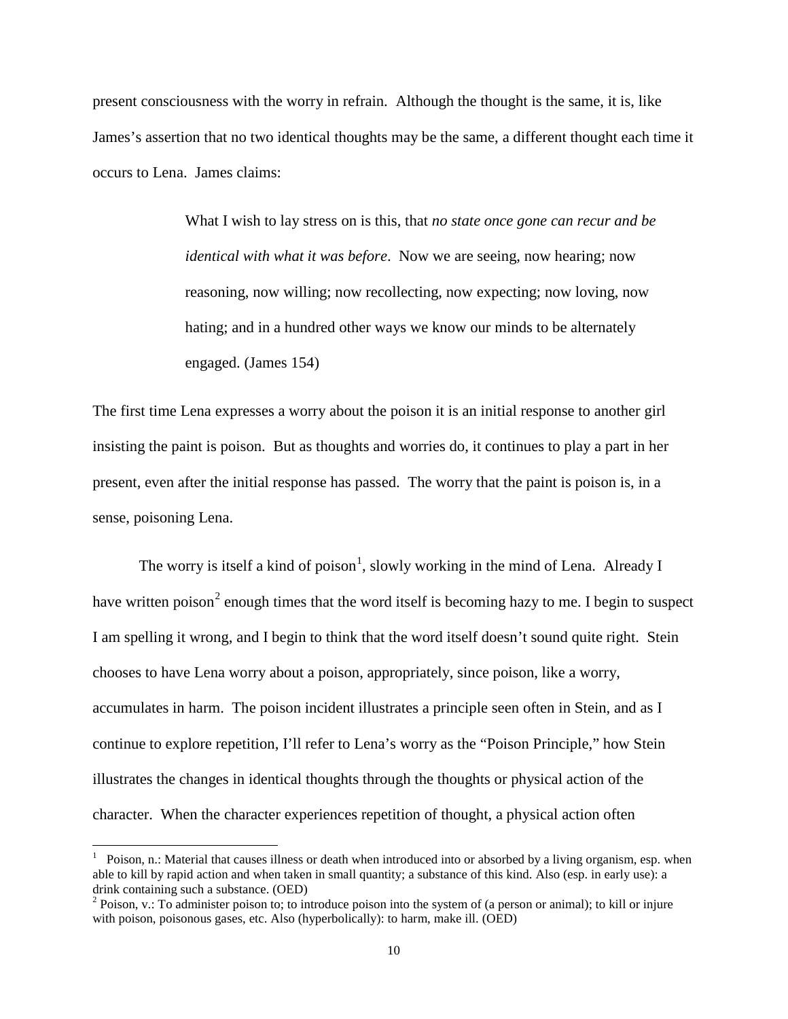present consciousness with the worry in refrain. Although the thought is the same, it is, like James's assertion that no two identical thoughts may be the same, a different thought each time it occurs to Lena. James claims:

> What I wish to lay stress on is this, that *no state once gone can recur and be identical with what it was before*. Now we are seeing, now hearing; now reasoning, now willing; now recollecting, now expecting; now loving, now hating; and in a hundred other ways we know our minds to be alternately engaged. (James 154)

The first time Lena expresses a worry about the poison it is an initial response to another girl insisting the paint is poison. But as thoughts and worries do, it continues to play a part in her present, even after the initial response has passed. The worry that the paint is poison is, in a sense, poisoning Lena.

The worry is itself a kind of poison<sup>[1](#page-14-0)</sup>, slowly working in the mind of Lena. Already I have written poison<sup>[2](#page-14-1)</sup> enough times that the word itself is becoming hazy to me. I begin to suspect I am spelling it wrong, and I begin to think that the word itself doesn't sound quite right. Stein chooses to have Lena worry about a poison, appropriately, since poison, like a worry, accumulates in harm. The poison incident illustrates a principle seen often in Stein, and as I continue to explore repetition, I'll refer to Lena's worry as the "Poison Principle," how Stein illustrates the changes in identical thoughts through the thoughts or physical action of the character. When the character experiences repetition of thought, a physical action often

<span id="page-14-0"></span><sup>|&</sup>lt;br>|<br>| <sup>1</sup> Poison, n.: Material that causes illness or death when introduced into or absorbed by a living organism, esp. when able to kill by rapid action and when taken in small quantity; a substance of this kind. Also (esp. in early use): a

<span id="page-14-1"></span><sup>2</sup> Poison, v.: To administer poison to; to introduce poison into the system of (a person or animal); to kill or injure with poison, poisonous gases, etc. Also (hyperbolically): to harm, make ill. (OED)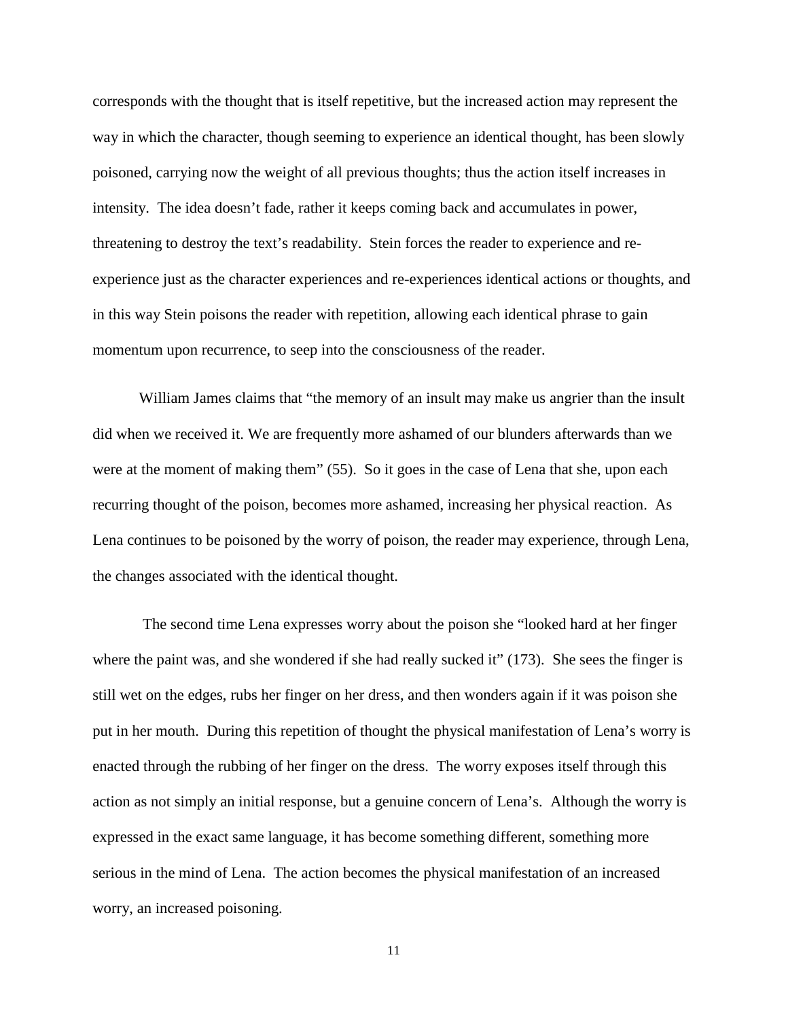corresponds with the thought that is itself repetitive, but the increased action may represent the way in which the character, though seeming to experience an identical thought, has been slowly poisoned, carrying now the weight of all previous thoughts; thus the action itself increases in intensity. The idea doesn't fade, rather it keeps coming back and accumulates in power, threatening to destroy the text's readability. Stein forces the reader to experience and reexperience just as the character experiences and re-experiences identical actions or thoughts, and in this way Stein poisons the reader with repetition, allowing each identical phrase to gain momentum upon recurrence, to seep into the consciousness of the reader.

William James claims that "the memory of an insult may make us angrier than the insult did when we received it. We are frequently more ashamed of our blunders afterwards than we were at the moment of making them" (55). So it goes in the case of Lena that she, upon each recurring thought of the poison, becomes more ashamed, increasing her physical reaction. As Lena continues to be poisoned by the worry of poison, the reader may experience, through Lena, the changes associated with the identical thought.

The second time Lena expresses worry about the poison she "looked hard at her finger where the paint was, and she wondered if she had really sucked it" (173). She sees the finger is still wet on the edges, rubs her finger on her dress, and then wonders again if it was poison she put in her mouth. During this repetition of thought the physical manifestation of Lena's worry is enacted through the rubbing of her finger on the dress. The worry exposes itself through this action as not simply an initial response, but a genuine concern of Lena's. Although the worry is expressed in the exact same language, it has become something different, something more serious in the mind of Lena. The action becomes the physical manifestation of an increased worry, an increased poisoning.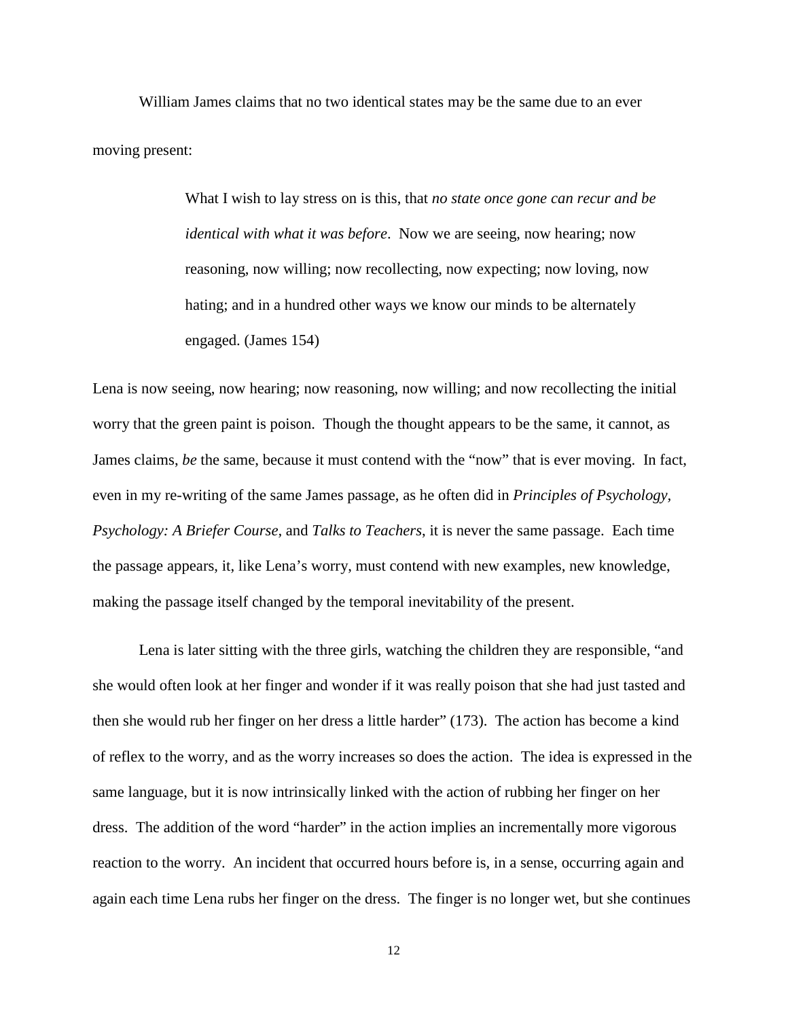William James claims that no two identical states may be the same due to an ever moving present:

> What I wish to lay stress on is this, that *no state once gone can recur and be identical with what it was before*. Now we are seeing, now hearing; now reasoning, now willing; now recollecting, now expecting; now loving, now hating; and in a hundred other ways we know our minds to be alternately engaged. (James 154)

Lena is now seeing, now hearing; now reasoning, now willing; and now recollecting the initial worry that the green paint is poison. Though the thought appears to be the same, it cannot, as James claims, *be* the same, because it must contend with the "now" that is ever moving. In fact, even in my re-writing of the same James passage, as he often did in *Principles of Psychology, Psychology: A Briefer Course,* and *Talks to Teachers*, it is never the same passage. Each time the passage appears, it, like Lena's worry, must contend with new examples, new knowledge, making the passage itself changed by the temporal inevitability of the present.

Lena is later sitting with the three girls, watching the children they are responsible, "and she would often look at her finger and wonder if it was really poison that she had just tasted and then she would rub her finger on her dress a little harder" (173). The action has become a kind of reflex to the worry, and as the worry increases so does the action. The idea is expressed in the same language, but it is now intrinsically linked with the action of rubbing her finger on her dress. The addition of the word "harder" in the action implies an incrementally more vigorous reaction to the worry. An incident that occurred hours before is, in a sense, occurring again and again each time Lena rubs her finger on the dress. The finger is no longer wet, but she continues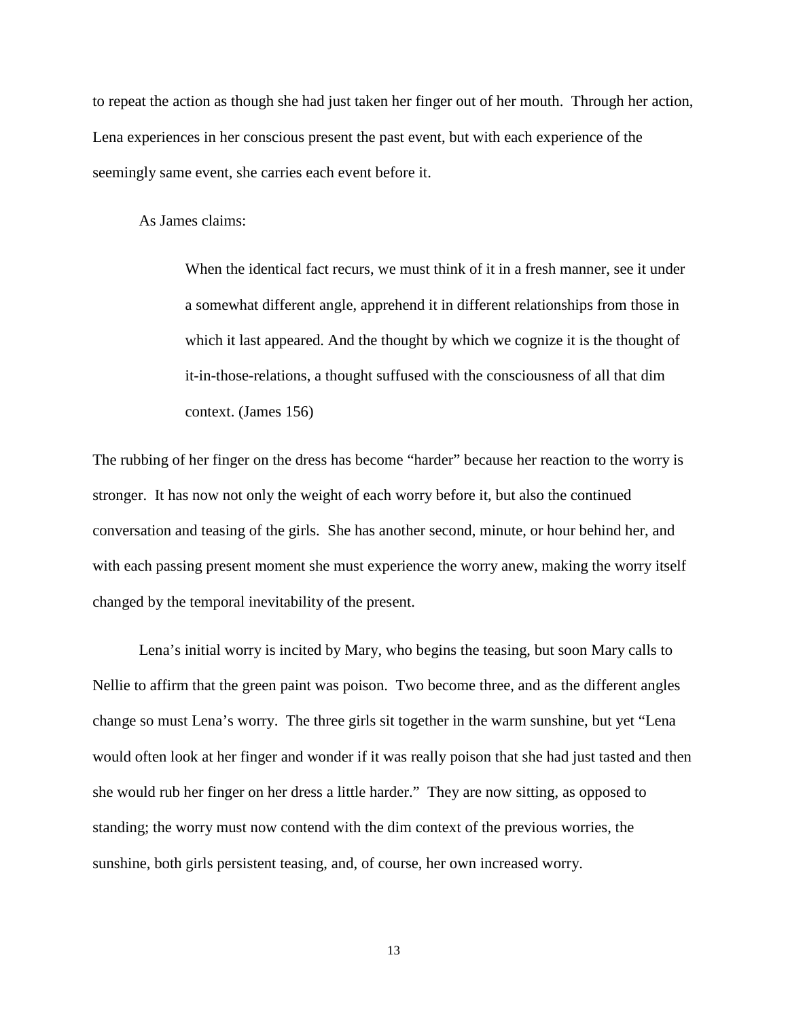to repeat the action as though she had just taken her finger out of her mouth. Through her action, Lena experiences in her conscious present the past event, but with each experience of the seemingly same event, she carries each event before it.

As James claims:

When the identical fact recurs, we must think of it in a fresh manner, see it under a somewhat different angle, apprehend it in different relationships from those in which it last appeared. And the thought by which we cognize it is the thought of it-in-those-relations, a thought suffused with the consciousness of all that dim context. (James 156)

The rubbing of her finger on the dress has become "harder" because her reaction to the worry is stronger. It has now not only the weight of each worry before it, but also the continued conversation and teasing of the girls. She has another second, minute, or hour behind her, and with each passing present moment she must experience the worry anew, making the worry itself changed by the temporal inevitability of the present.

Lena's initial worry is incited by Mary, who begins the teasing, but soon Mary calls to Nellie to affirm that the green paint was poison. Two become three, and as the different angles change so must Lena's worry. The three girls sit together in the warm sunshine, but yet "Lena would often look at her finger and wonder if it was really poison that she had just tasted and then she would rub her finger on her dress a little harder." They are now sitting, as opposed to standing; the worry must now contend with the dim context of the previous worries, the sunshine, both girls persistent teasing, and, of course, her own increased worry.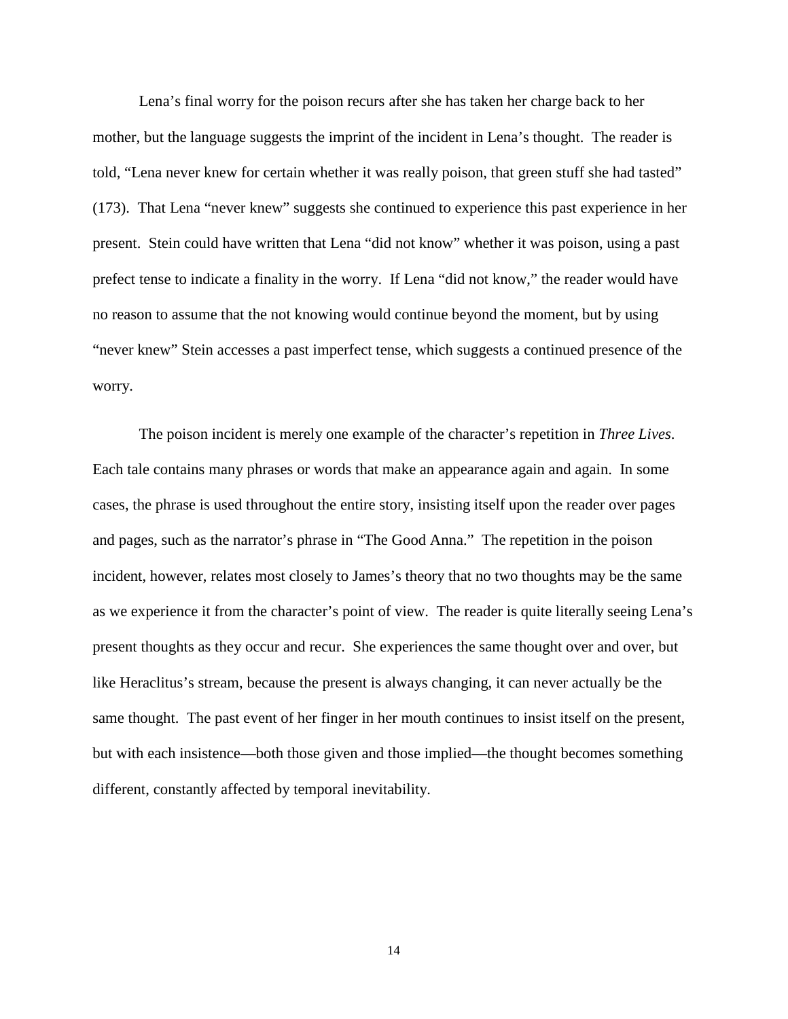Lena's final worry for the poison recurs after she has taken her charge back to her mother, but the language suggests the imprint of the incident in Lena's thought. The reader is told, "Lena never knew for certain whether it was really poison, that green stuff she had tasted" (173). That Lena "never knew" suggests she continued to experience this past experience in her present. Stein could have written that Lena "did not know" whether it was poison, using a past prefect tense to indicate a finality in the worry. If Lena "did not know," the reader would have no reason to assume that the not knowing would continue beyond the moment, but by using "never knew" Stein accesses a past imperfect tense, which suggests a continued presence of the worry.

The poison incident is merely one example of the character's repetition in *Three Lives*. Each tale contains many phrases or words that make an appearance again and again. In some cases, the phrase is used throughout the entire story, insisting itself upon the reader over pages and pages, such as the narrator's phrase in "The Good Anna." The repetition in the poison incident, however, relates most closely to James's theory that no two thoughts may be the same as we experience it from the character's point of view. The reader is quite literally seeing Lena's present thoughts as they occur and recur. She experiences the same thought over and over, but like Heraclitus's stream, because the present is always changing, it can never actually be the same thought. The past event of her finger in her mouth continues to insist itself on the present, but with each insistence—both those given and those implied—the thought becomes something different, constantly affected by temporal inevitability.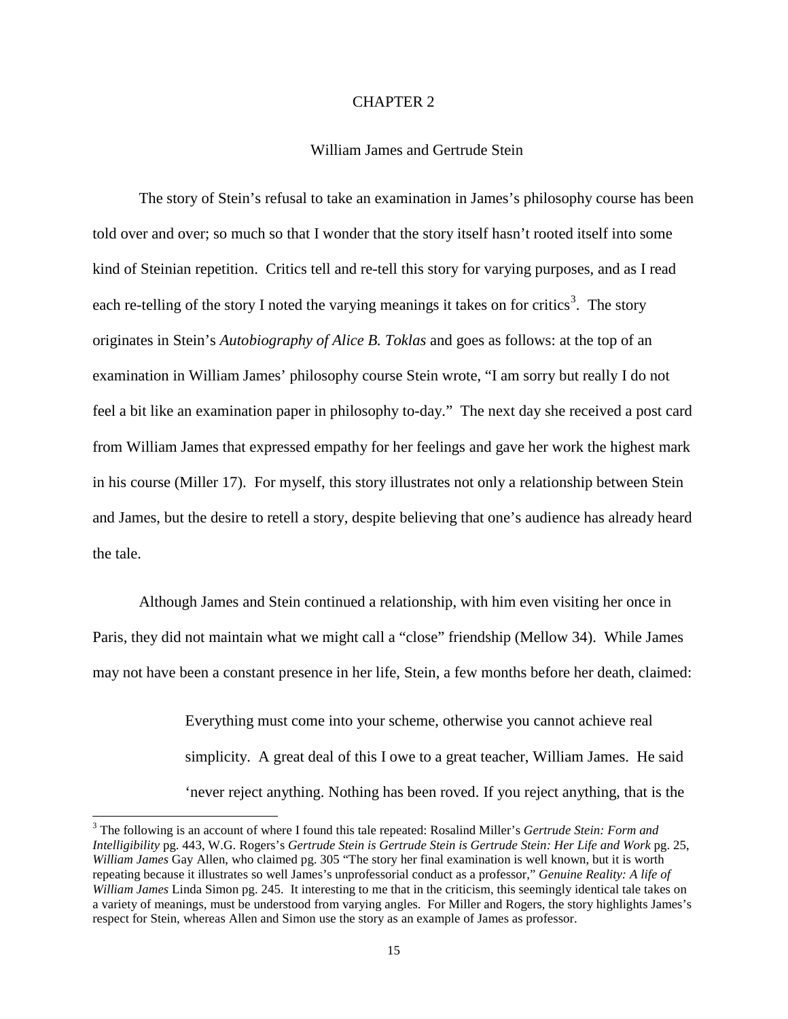#### CHAPTER 2

### William James and Gertrude Stein

The story of Stein's refusal to take an examination in James's philosophy course has been told over and over; so much so that I wonder that the story itself hasn't rooted itself into some kind of Steinian repetition. Critics tell and re-tell this story for varying purposes, and as I read each re-telling of the story I noted the varying meanings it takes on for critics<sup>[3](#page-19-0)</sup>. The story originates in Stein's *Autobiography of Alice B. Toklas* and goes as follows: at the top of an examination in William James' philosophy course Stein wrote, "I am sorry but really I do not feel a bit like an examination paper in philosophy to-day." The next day she received a post card from William James that expressed empathy for her feelings and gave her work the highest mark in his course (Miller 17). For myself, this story illustrates not only a relationship between Stein and James, but the desire to retell a story, despite believing that one's audience has already heard the tale.

Although James and Stein continued a relationship, with him even visiting her once in Paris, they did not maintain what we might call a "close" friendship (Mellow 34). While James may not have been a constant presence in her life, Stein, a few months before her death, claimed:

> Everything must come into your scheme, otherwise you cannot achieve real simplicity. A great deal of this I owe to a great teacher, William James. He said 'never reject anything. Nothing has been roved. If you reject anything, that is the

<span id="page-19-0"></span> <sup>3</sup> The following is an account of where I found this tale repeated: Rosalind Miller's *Gertrude Stein: Form and Intelligibility* pg. 443, W.G. Rogers's *Gertrude Stein is Gertrude Stein is Gertrude Stein: Her Life and Work* pg. 25, *William James* Gay Allen, who claimed pg. 305 "The story her final examination is well known, but it is worth repeating because it illustrates so well James's unprofessorial conduct as a professor," *Genuine Reality: A life of William James* Linda Simon pg. 245. It interesting to me that in the criticism, this seemingly identical tale takes on a variety of meanings, must be understood from varying angles. For Miller and Rogers, the story highlights James's respect for Stein, whereas Allen and Simon use the story as an example of James as professor.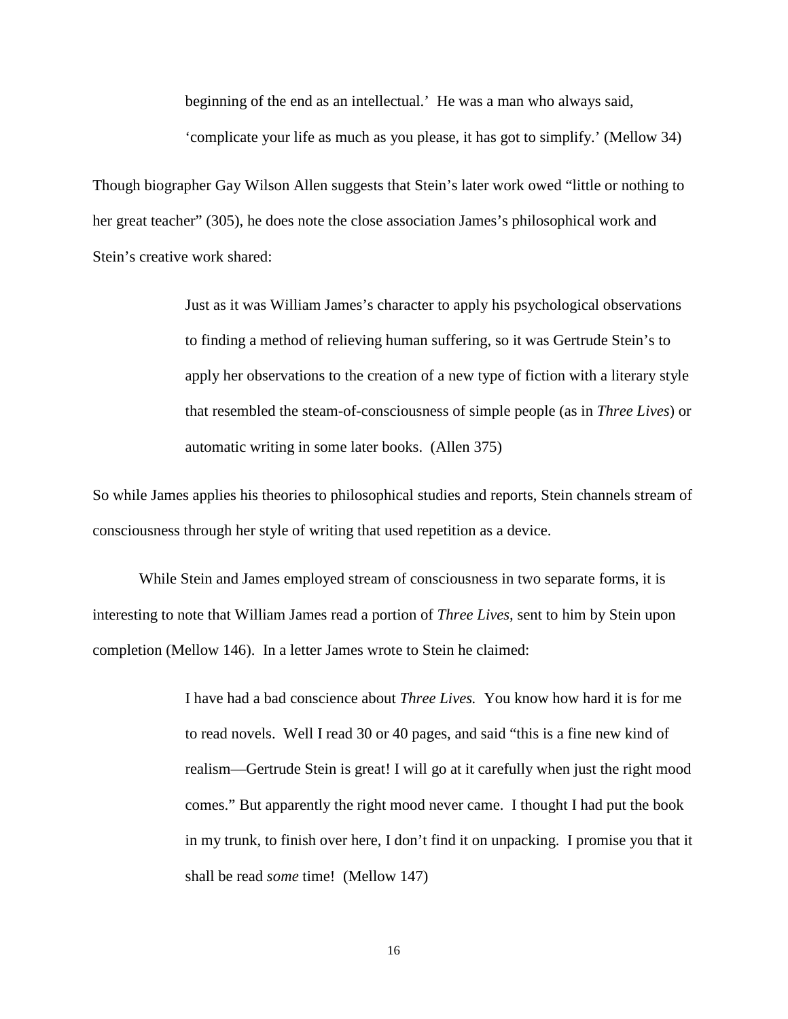beginning of the end as an intellectual.' He was a man who always said, 'complicate your life as much as you please, it has got to simplify.' (Mellow 34)

Though biographer Gay Wilson Allen suggests that Stein's later work owed "little or nothing to her great teacher" (305), he does note the close association James's philosophical work and Stein's creative work shared:

> Just as it was William James's character to apply his psychological observations to finding a method of relieving human suffering, so it was Gertrude Stein's to apply her observations to the creation of a new type of fiction with a literary style that resembled the steam-of-consciousness of simple people (as in *Three Lives*) or automatic writing in some later books. (Allen 375)

So while James applies his theories to philosophical studies and reports, Stein channels stream of consciousness through her style of writing that used repetition as a device.

While Stein and James employed stream of consciousness in two separate forms, it is interesting to note that William James read a portion of *Three Lives,* sent to him by Stein upon completion (Mellow 146). In a letter James wrote to Stein he claimed:

> I have had a bad conscience about *Three Lives.* You know how hard it is for me to read novels. Well I read 30 or 40 pages, and said "this is a fine new kind of realism—Gertrude Stein is great! I will go at it carefully when just the right mood comes." But apparently the right mood never came. I thought I had put the book in my trunk, to finish over here, I don't find it on unpacking. I promise you that it shall be read *some* time! (Mellow 147)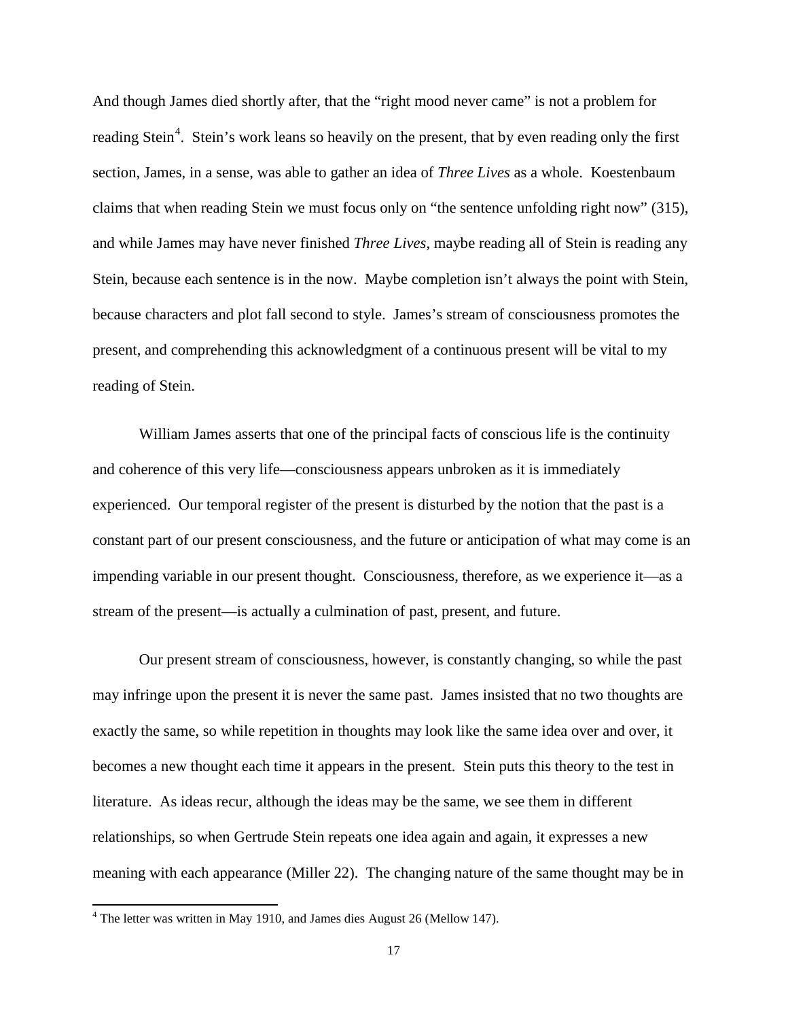And though James died shortly after, that the "right mood never came" is not a problem for reading Stein<sup>[4](#page-21-0)</sup>. Stein's work leans so heavily on the present, that by even reading only the first section, James, in a sense, was able to gather an idea of *Three Lives* as a whole. Koestenbaum claims that when reading Stein we must focus only on "the sentence unfolding right now" (315), and while James may have never finished *Three Lives*, maybe reading all of Stein is reading any Stein, because each sentence is in the now. Maybe completion isn't always the point with Stein, because characters and plot fall second to style. James's stream of consciousness promotes the present, and comprehending this acknowledgment of a continuous present will be vital to my reading of Stein.

William James asserts that one of the principal facts of conscious life is the continuity and coherence of this very life—consciousness appears unbroken as it is immediately experienced. Our temporal register of the present is disturbed by the notion that the past is a constant part of our present consciousness, and the future or anticipation of what may come is an impending variable in our present thought. Consciousness, therefore, as we experience it—as a stream of the present—is actually a culmination of past, present, and future.

Our present stream of consciousness, however, is constantly changing, so while the past may infringe upon the present it is never the same past. James insisted that no two thoughts are exactly the same, so while repetition in thoughts may look like the same idea over and over, it becomes a new thought each time it appears in the present. Stein puts this theory to the test in literature. As ideas recur, although the ideas may be the same, we see them in different relationships, so when Gertrude Stein repeats one idea again and again, it expresses a new meaning with each appearance (Miller 22). The changing nature of the same thought may be in

<span id="page-21-0"></span> $4$  The letter was written in May 1910, and James dies August 26 (Mellow 147).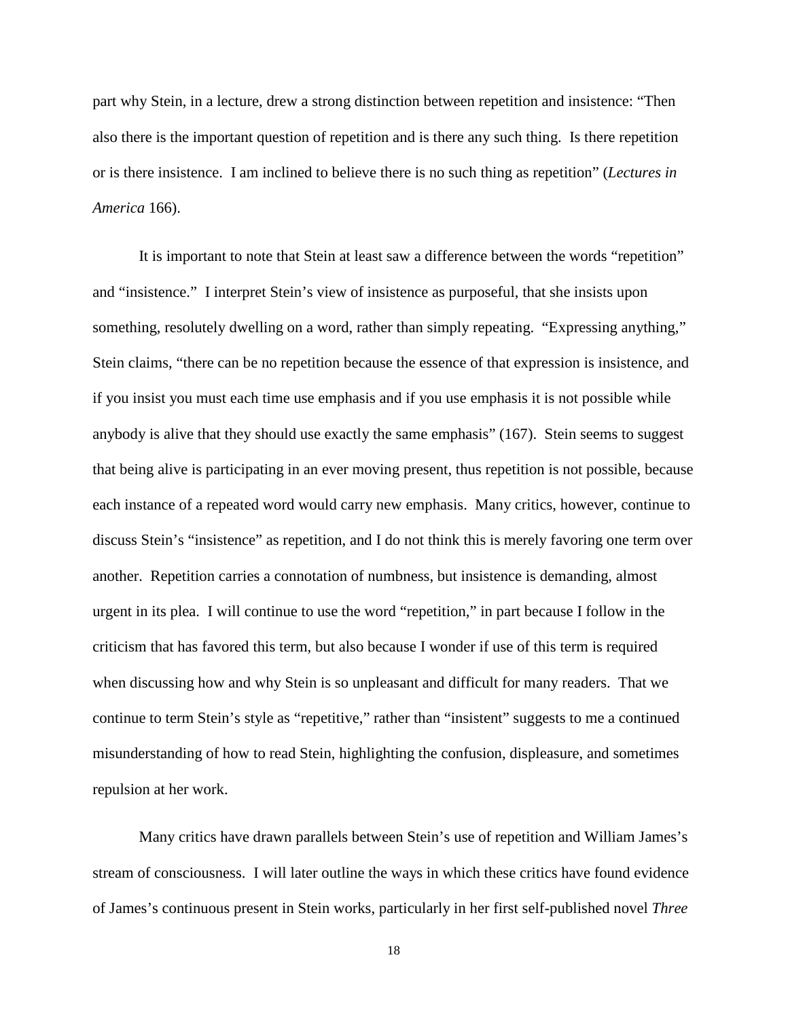part why Stein, in a lecture, drew a strong distinction between repetition and insistence: "Then also there is the important question of repetition and is there any such thing. Is there repetition or is there insistence. I am inclined to believe there is no such thing as repetition" (*Lectures in America* 166).

It is important to note that Stein at least saw a difference between the words "repetition" and "insistence." I interpret Stein's view of insistence as purposeful, that she insists upon something, resolutely dwelling on a word, rather than simply repeating. "Expressing anything," Stein claims, "there can be no repetition because the essence of that expression is insistence, and if you insist you must each time use emphasis and if you use emphasis it is not possible while anybody is alive that they should use exactly the same emphasis" (167). Stein seems to suggest that being alive is participating in an ever moving present, thus repetition is not possible, because each instance of a repeated word would carry new emphasis. Many critics, however, continue to discuss Stein's "insistence" as repetition, and I do not think this is merely favoring one term over another. Repetition carries a connotation of numbness, but insistence is demanding, almost urgent in its plea. I will continue to use the word "repetition," in part because I follow in the criticism that has favored this term, but also because I wonder if use of this term is required when discussing how and why Stein is so unpleasant and difficult for many readers. That we continue to term Stein's style as "repetitive," rather than "insistent" suggests to me a continued misunderstanding of how to read Stein, highlighting the confusion, displeasure, and sometimes repulsion at her work.

Many critics have drawn parallels between Stein's use of repetition and William James's stream of consciousness. I will later outline the ways in which these critics have found evidence of James's continuous present in Stein works, particularly in her first self-published novel *Three*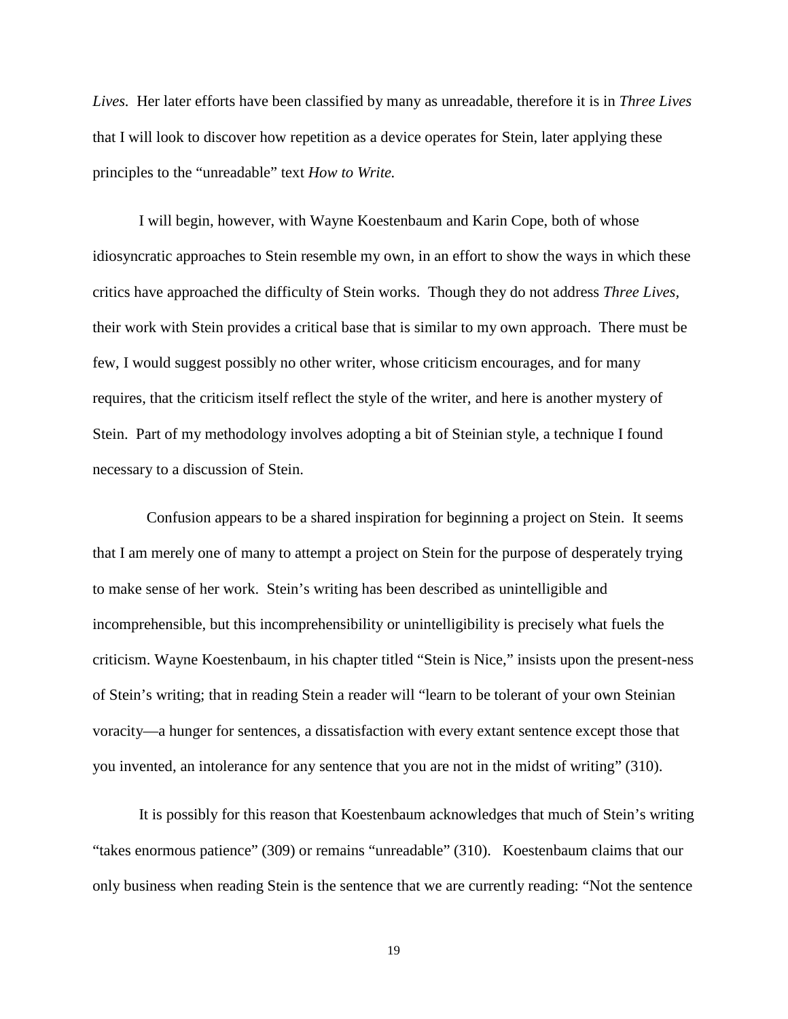*Lives.* Her later efforts have been classified by many as unreadable, therefore it is in *Three Lives*  that I will look to discover how repetition as a device operates for Stein, later applying these principles to the "unreadable" text *How to Write.* 

I will begin, however, with Wayne Koestenbaum and Karin Cope, both of whose idiosyncratic approaches to Stein resemble my own, in an effort to show the ways in which these critics have approached the difficulty of Stein works. Though they do not address *Three Lives,*  their work with Stein provides a critical base that is similar to my own approach. There must be few, I would suggest possibly no other writer, whose criticism encourages, and for many requires, that the criticism itself reflect the style of the writer, and here is another mystery of Stein. Part of my methodology involves adopting a bit of Steinian style, a technique I found necessary to a discussion of Stein.

 Confusion appears to be a shared inspiration for beginning a project on Stein. It seems that I am merely one of many to attempt a project on Stein for the purpose of desperately trying to make sense of her work. Stein's writing has been described as unintelligible and incomprehensible, but this incomprehensibility or unintelligibility is precisely what fuels the criticism. Wayne Koestenbaum, in his chapter titled "Stein is Nice," insists upon the present-ness of Stein's writing; that in reading Stein a reader will "learn to be tolerant of your own Steinian voracity—a hunger for sentences, a dissatisfaction with every extant sentence except those that you invented, an intolerance for any sentence that you are not in the midst of writing" (310).

It is possibly for this reason that Koestenbaum acknowledges that much of Stein's writing "takes enormous patience" (309) or remains "unreadable" (310). Koestenbaum claims that our only business when reading Stein is the sentence that we are currently reading: "Not the sentence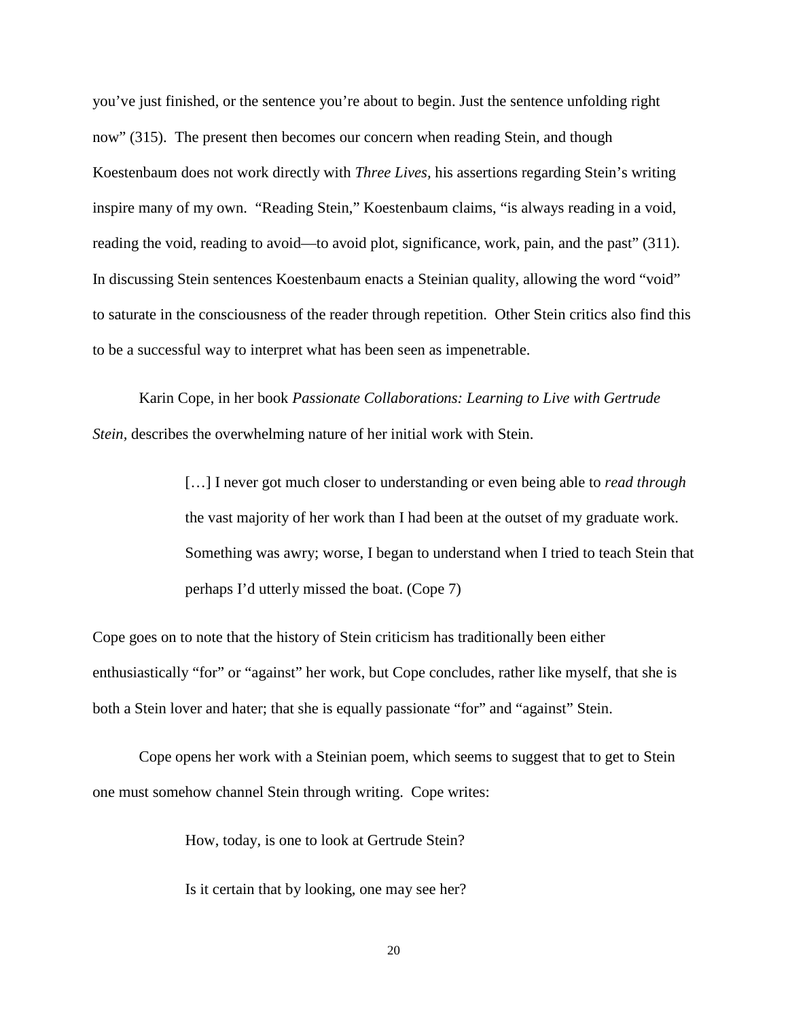you've just finished, or the sentence you're about to begin. Just the sentence unfolding right now" (315). The present then becomes our concern when reading Stein, and though Koestenbaum does not work directly with *Three Lives,* his assertions regarding Stein's writing inspire many of my own. "Reading Stein," Koestenbaum claims, "is always reading in a void, reading the void, reading to avoid—to avoid plot, significance, work, pain, and the past" (311). In discussing Stein sentences Koestenbaum enacts a Steinian quality, allowing the word "void" to saturate in the consciousness of the reader through repetition. Other Stein critics also find this to be a successful way to interpret what has been seen as impenetrable.

Karin Cope, in her book *Passionate Collaborations: Learning to Live with Gertrude Stein, describes the overwhelming nature of her initial work with Stein.* 

> [...] I never got much closer to understanding or even being able to *read through* the vast majority of her work than I had been at the outset of my graduate work. Something was awry; worse, I began to understand when I tried to teach Stein that perhaps I'd utterly missed the boat. (Cope 7)

Cope goes on to note that the history of Stein criticism has traditionally been either enthusiastically "for" or "against" her work, but Cope concludes, rather like myself, that she is both a Stein lover and hater; that she is equally passionate "for" and "against" Stein.

Cope opens her work with a Steinian poem, which seems to suggest that to get to Stein one must somehow channel Stein through writing. Cope writes:

How, today, is one to look at Gertrude Stein?

Is it certain that by looking, one may see her?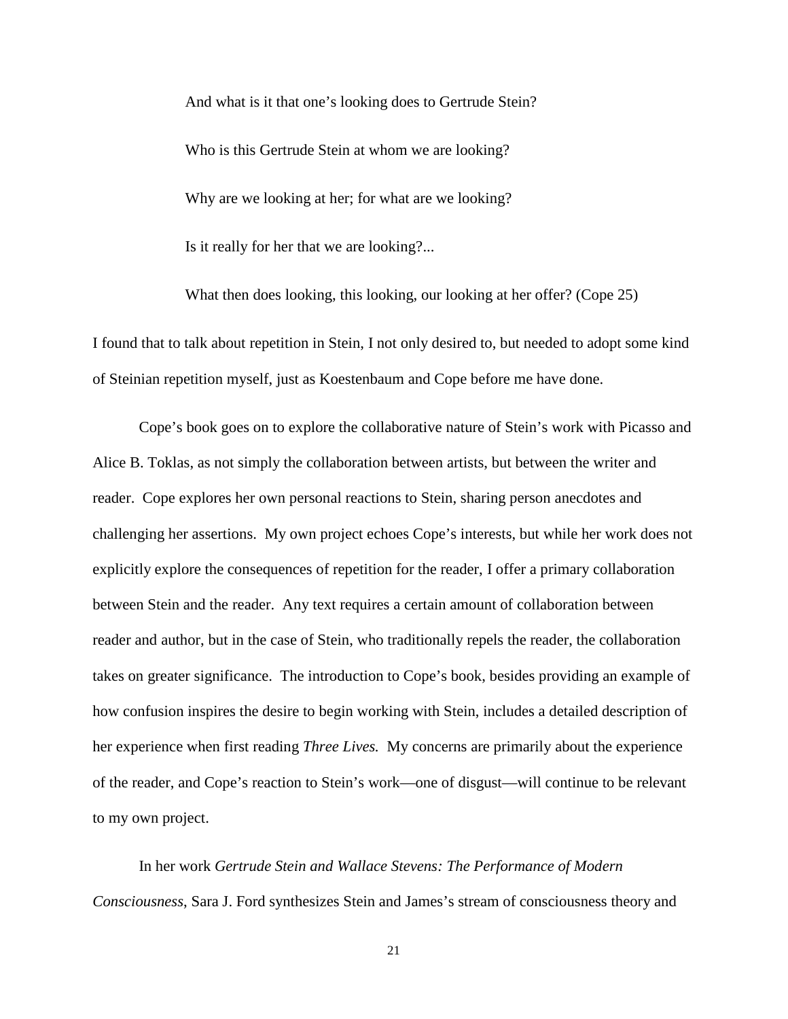And what is it that one's looking does to Gertrude Stein? Who is this Gertrude Stein at whom we are looking? Why are we looking at her; for what are we looking? Is it really for her that we are looking?...

What then does looking, this looking, our looking at her offer? (Cope 25)

I found that to talk about repetition in Stein, I not only desired to, but needed to adopt some kind of Steinian repetition myself, just as Koestenbaum and Cope before me have done.

Cope's book goes on to explore the collaborative nature of Stein's work with Picasso and Alice B. Toklas, as not simply the collaboration between artists, but between the writer and reader. Cope explores her own personal reactions to Stein, sharing person anecdotes and challenging her assertions. My own project echoes Cope's interests, but while her work does not explicitly explore the consequences of repetition for the reader, I offer a primary collaboration between Stein and the reader. Any text requires a certain amount of collaboration between reader and author, but in the case of Stein, who traditionally repels the reader, the collaboration takes on greater significance. The introduction to Cope's book, besides providing an example of how confusion inspires the desire to begin working with Stein, includes a detailed description of her experience when first reading *Three Lives.* My concerns are primarily about the experience of the reader, and Cope's reaction to Stein's work—one of disgust—will continue to be relevant to my own project.

In her work *Gertrude Stein and Wallace Stevens: The Performance of Modern Consciousness*, Sara J. Ford synthesizes Stein and James's stream of consciousness theory and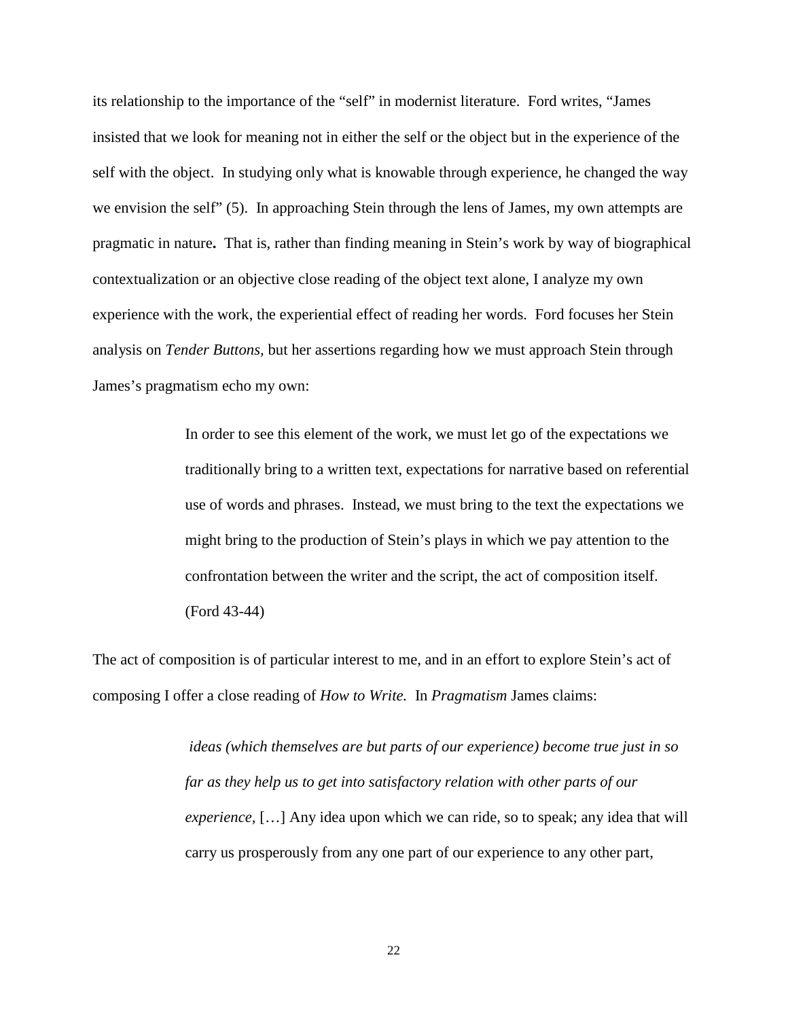its relationship to the importance of the "self" in modernist literature. Ford writes, "James insisted that we look for meaning not in either the self or the object but in the experience of the self with the object. In studying only what is knowable through experience, he changed the way we envision the self" (5). In approaching Stein through the lens of James, my own attempts are pragmatic in nature**.** That is, rather than finding meaning in Stein's work by way of biographical contextualization or an objective close reading of the object text alone, I analyze my own experience with the work, the experiential effect of reading her words. Ford focuses her Stein analysis on *Tender Buttons,* but her assertions regarding how we must approach Stein through James's pragmatism echo my own:

> In order to see this element of the work, we must let go of the expectations we traditionally bring to a written text, expectations for narrative based on referential use of words and phrases. Instead, we must bring to the text the expectations we might bring to the production of Stein's plays in which we pay attention to the confrontation between the writer and the script, the act of composition itself. (Ford 43-44)

The act of composition is of particular interest to me, and in an effort to explore Stein's act of composing I offer a close reading of *How to Write.* In *Pragmatism* James claims:

> *ideas (which themselves are but parts of our experience) become true just in so far as they help us to get into satisfactory relation with other parts of our experience,* […] Any idea upon which we can ride, so to speak; any idea that will carry us prosperously from any one part of our experience to any other part,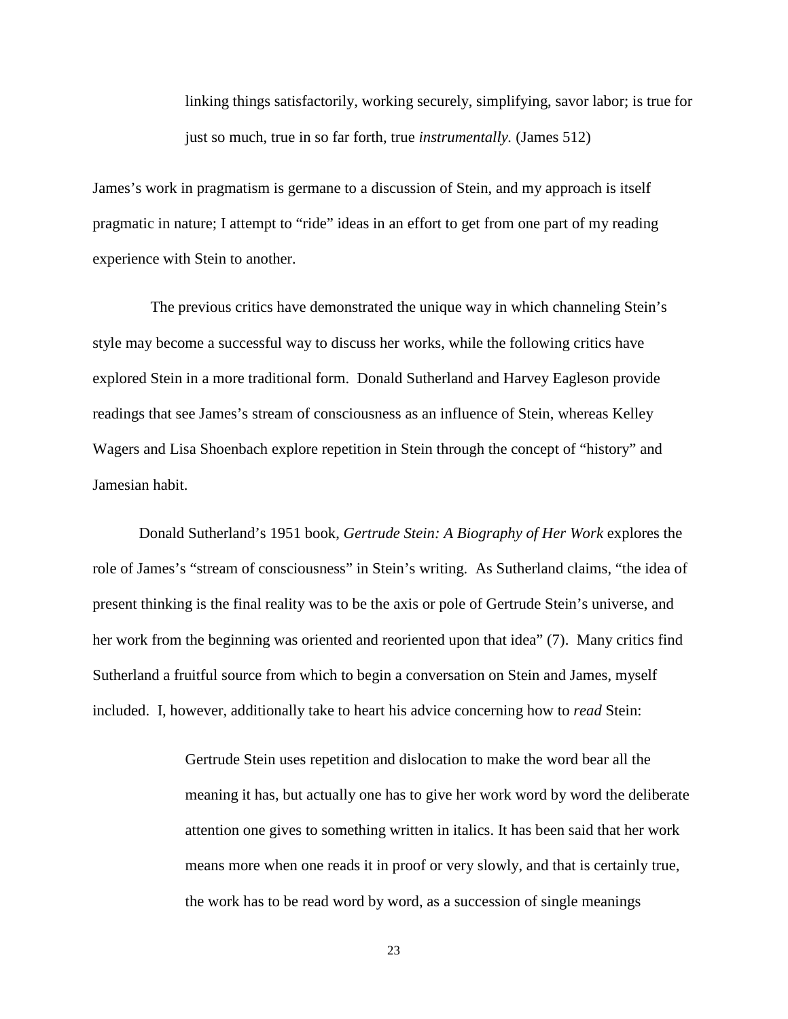linking things satisfactorily, working securely, simplifying, savor labor; is true for just so much, true in so far forth, true *instrumentally.* (James 512)

James's work in pragmatism is germane to a discussion of Stein, and my approach is itself pragmatic in nature; I attempt to "ride" ideas in an effort to get from one part of my reading experience with Stein to another.

 The previous critics have demonstrated the unique way in which channeling Stein's style may become a successful way to discuss her works, while the following critics have explored Stein in a more traditional form. Donald Sutherland and Harvey Eagleson provide readings that see James's stream of consciousness as an influence of Stein, whereas Kelley Wagers and Lisa Shoenbach explore repetition in Stein through the concept of "history" and Jamesian habit.

Donald Sutherland's 1951 book, *Gertrude Stein: A Biography of Her Work* explores the role of James's "stream of consciousness" in Stein's writing. As Sutherland claims, "the idea of present thinking is the final reality was to be the axis or pole of Gertrude Stein's universe, and her work from the beginning was oriented and reoriented upon that idea" (7). Many critics find Sutherland a fruitful source from which to begin a conversation on Stein and James, myself included. I, however, additionally take to heart his advice concerning how to *read* Stein:

> Gertrude Stein uses repetition and dislocation to make the word bear all the meaning it has, but actually one has to give her work word by word the deliberate attention one gives to something written in italics. It has been said that her work means more when one reads it in proof or very slowly, and that is certainly true, the work has to be read word by word, as a succession of single meanings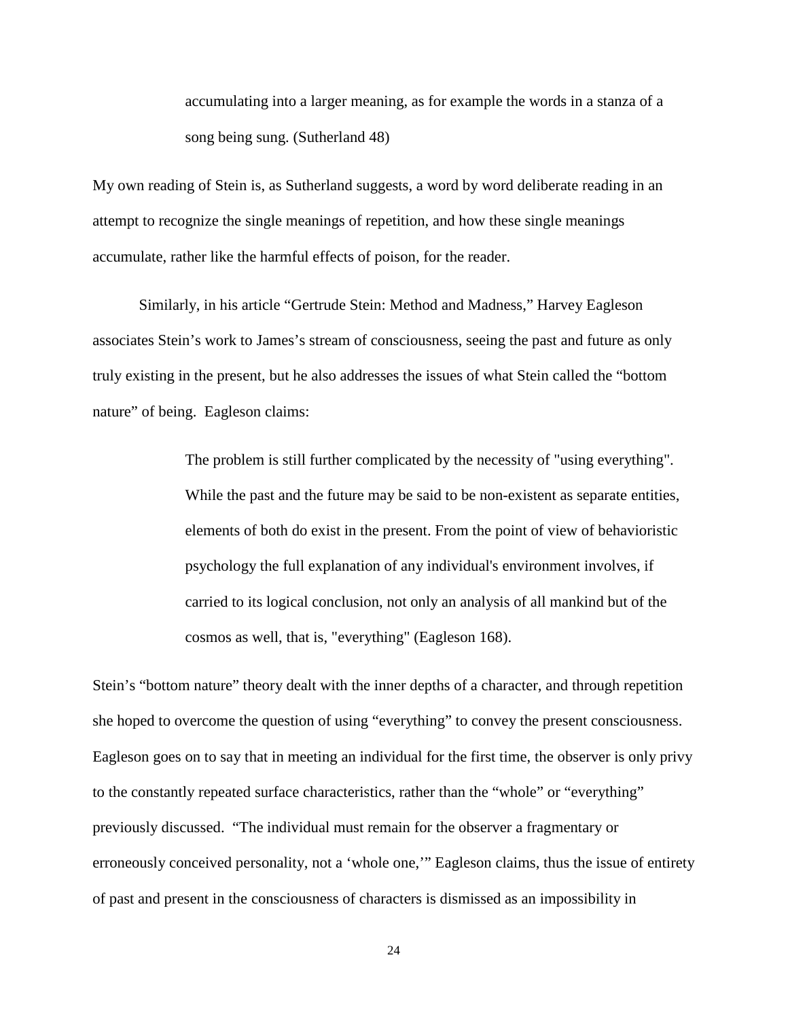accumulating into a larger meaning, as for example the words in a stanza of a song being sung. (Sutherland 48)

My own reading of Stein is, as Sutherland suggests, a word by word deliberate reading in an attempt to recognize the single meanings of repetition, and how these single meanings accumulate, rather like the harmful effects of poison, for the reader.

Similarly, in his article "Gertrude Stein: Method and Madness," Harvey Eagleson associates Stein's work to James's stream of consciousness, seeing the past and future as only truly existing in the present, but he also addresses the issues of what Stein called the "bottom nature" of being. Eagleson claims:

> The problem is still further complicated by the necessity of "using everything". While the past and the future may be said to be non-existent as separate entities, elements of both do exist in the present. From the point of view of behavioristic psychology the full explanation of any individual's environment involves, if carried to its logical conclusion, not only an analysis of all mankind but of the cosmos as well, that is, "everything" (Eagleson 168).

Stein's "bottom nature" theory dealt with the inner depths of a character, and through repetition she hoped to overcome the question of using "everything" to convey the present consciousness. Eagleson goes on to say that in meeting an individual for the first time, the observer is only privy to the constantly repeated surface characteristics, rather than the "whole" or "everything" previously discussed. "The individual must remain for the observer a fragmentary or erroneously conceived personality, not a 'whole one,'" Eagleson claims, thus the issue of entirety of past and present in the consciousness of characters is dismissed as an impossibility in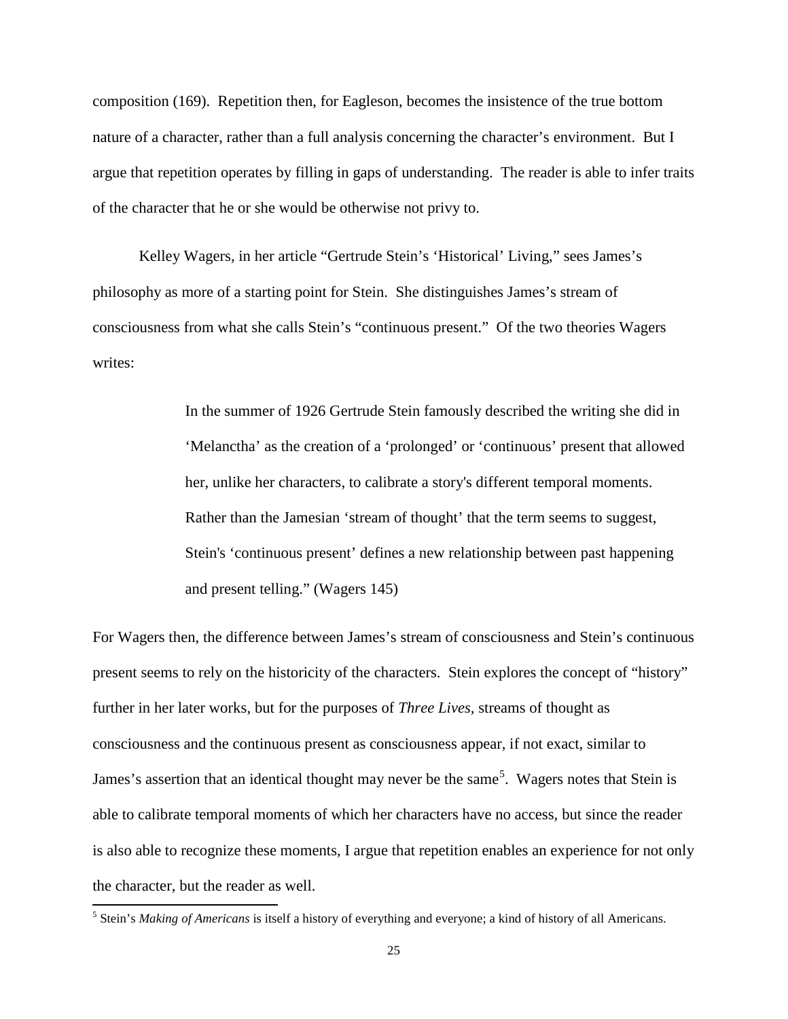composition (169). Repetition then, for Eagleson, becomes the insistence of the true bottom nature of a character, rather than a full analysis concerning the character's environment. But I argue that repetition operates by filling in gaps of understanding. The reader is able to infer traits of the character that he or she would be otherwise not privy to.

Kelley Wagers, in her article "Gertrude Stein's 'Historical' Living," sees James's philosophy as more of a starting point for Stein. She distinguishes James's stream of consciousness from what she calls Stein's "continuous present." Of the two theories Wagers writes:

> In the summer of 1926 Gertrude Stein famously described the writing she did in 'Melanctha' as the creation of a 'prolonged' or 'continuous' present that allowed her, unlike her characters, to calibrate a story's different temporal moments. Rather than the Jamesian 'stream of thought' that the term seems to suggest, Stein's 'continuous present' defines a new relationship between past happening and present telling." (Wagers 145)

For Wagers then, the difference between James's stream of consciousness and Stein's continuous present seems to rely on the historicity of the characters. Stein explores the concept of "history" further in her later works, but for the purposes of *Three Lives,* streams of thought as consciousness and the continuous present as consciousness appear, if not exact, similar to James's assertion that an identical thought may never be the same<sup>[5](#page-29-0)</sup>. Wagers notes that Stein is able to calibrate temporal moments of which her characters have no access, but since the reader is also able to recognize these moments, I argue that repetition enables an experience for not only the character, but the reader as well.

<span id="page-29-0"></span> <sup>5</sup> Stein's *Making of Americans* is itself a history of everything and everyone; a kind of history of all Americans.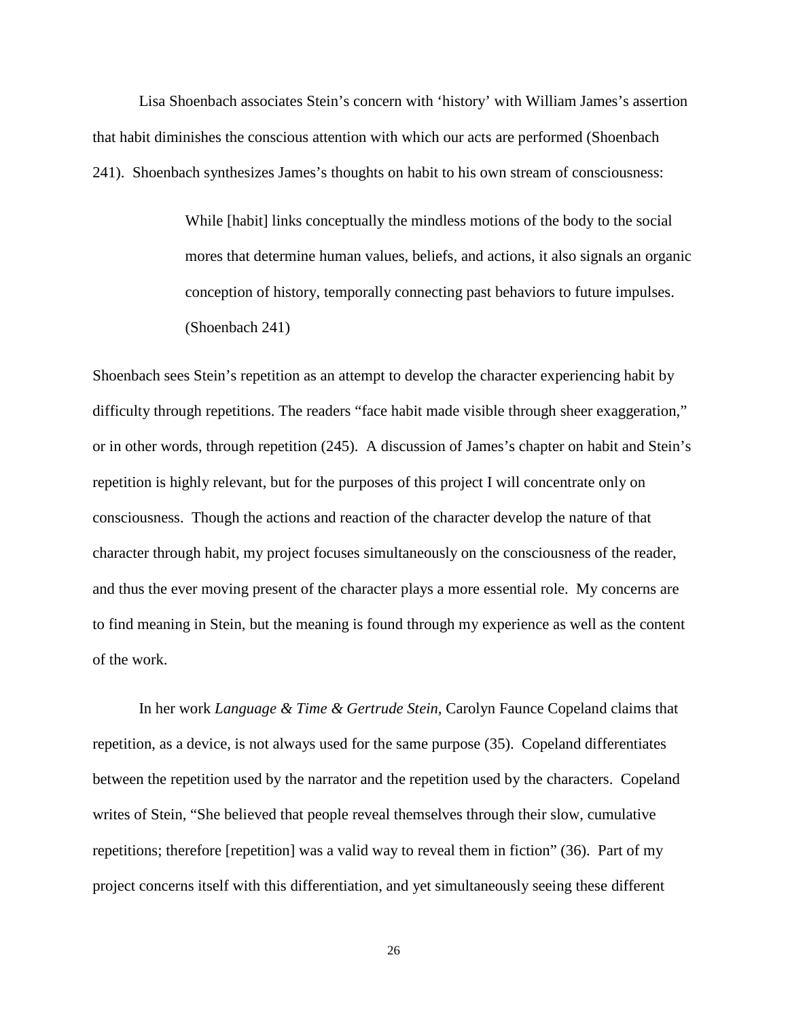Lisa Shoenbach associates Stein's concern with 'history' with William James's assertion that habit diminishes the conscious attention with which our acts are performed (Shoenbach 241). Shoenbach synthesizes James's thoughts on habit to his own stream of consciousness:

> While [habit] links conceptually the mindless motions of the body to the social mores that determine human values, beliefs, and actions, it also signals an organic conception of history, temporally connecting past behaviors to future impulses. (Shoenbach 241)

Shoenbach sees Stein's repetition as an attempt to develop the character experiencing habit by difficulty through repetitions. The readers "face habit made visible through sheer exaggeration," or in other words, through repetition (245). A discussion of James's chapter on habit and Stein's repetition is highly relevant, but for the purposes of this project I will concentrate only on consciousness. Though the actions and reaction of the character develop the nature of that character through habit, my project focuses simultaneously on the consciousness of the reader, and thus the ever moving present of the character plays a more essential role. My concerns are to find meaning in Stein, but the meaning is found through my experience as well as the content of the work.

In her work *Language & Time & Gertrude Stein,* Carolyn Faunce Copeland claims that repetition, as a device, is not always used for the same purpose (35). Copeland differentiates between the repetition used by the narrator and the repetition used by the characters. Copeland writes of Stein, "She believed that people reveal themselves through their slow, cumulative repetitions; therefore [repetition] was a valid way to reveal them in fiction" (36). Part of my project concerns itself with this differentiation, and yet simultaneously seeing these different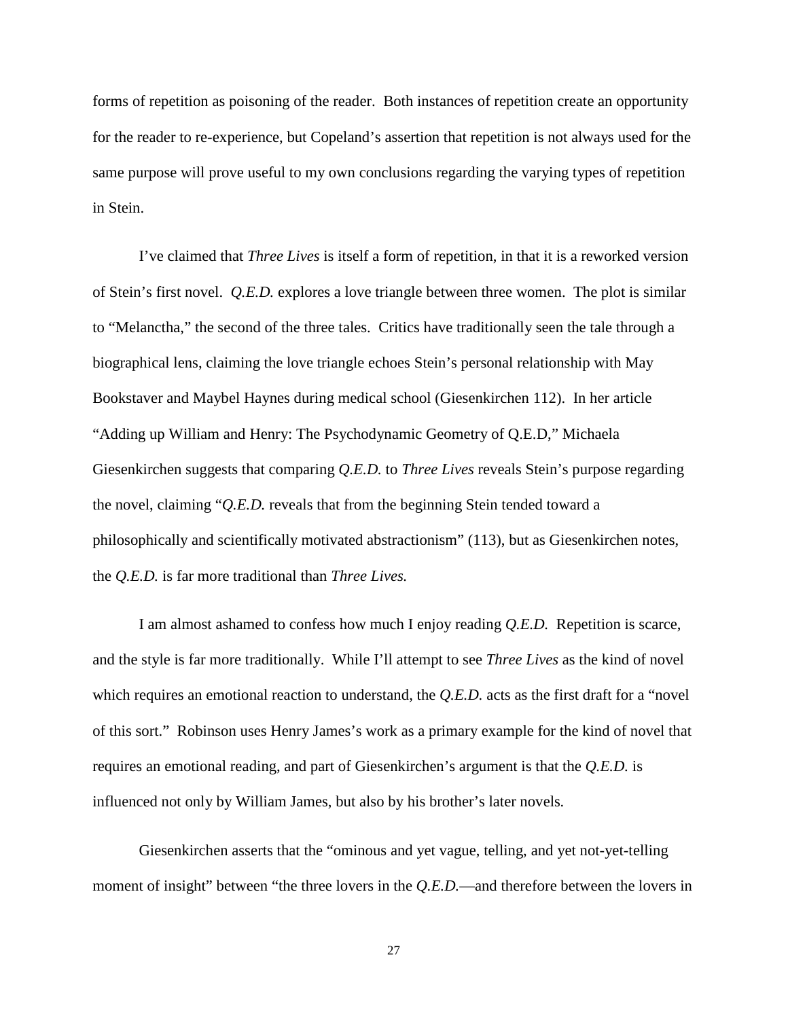forms of repetition as poisoning of the reader. Both instances of repetition create an opportunity for the reader to re-experience, but Copeland's assertion that repetition is not always used for the same purpose will prove useful to my own conclusions regarding the varying types of repetition in Stein.

I've claimed that *Three Lives* is itself a form of repetition, in that it is a reworked version of Stein's first novel. *Q.E.D.* explores a love triangle between three women. The plot is similar to "Melanctha," the second of the three tales. Critics have traditionally seen the tale through a biographical lens, claiming the love triangle echoes Stein's personal relationship with May Bookstaver and Maybel Haynes during medical school (Giesenkirchen 112). In her article "Adding up William and Henry: The Psychodynamic Geometry of Q.E.D," Michaela Giesenkirchen suggests that comparing *Q.E.D.* to *Three Lives* reveals Stein's purpose regarding the novel, claiming "*Q.E.D.* reveals that from the beginning Stein tended toward a philosophically and scientifically motivated abstractionism" (113), but as Giesenkirchen notes, the *Q.E.D.* is far more traditional than *Three Lives.* 

I am almost ashamed to confess how much I enjoy reading *Q.E.D.* Repetition is scarce, and the style is far more traditionally. While I'll attempt to see *Three Lives* as the kind of novel which requires an emotional reaction to understand, the *Q.E.D.* acts as the first draft for a "novel" of this sort." Robinson uses Henry James's work as a primary example for the kind of novel that requires an emotional reading, and part of Giesenkirchen's argument is that the *Q.E.D.* is influenced not only by William James, but also by his brother's later novels*.* 

Giesenkirchen asserts that the "ominous and yet vague, telling, and yet not-yet-telling moment of insight" between "the three lovers in the *Q.E.D.*—and therefore between the lovers in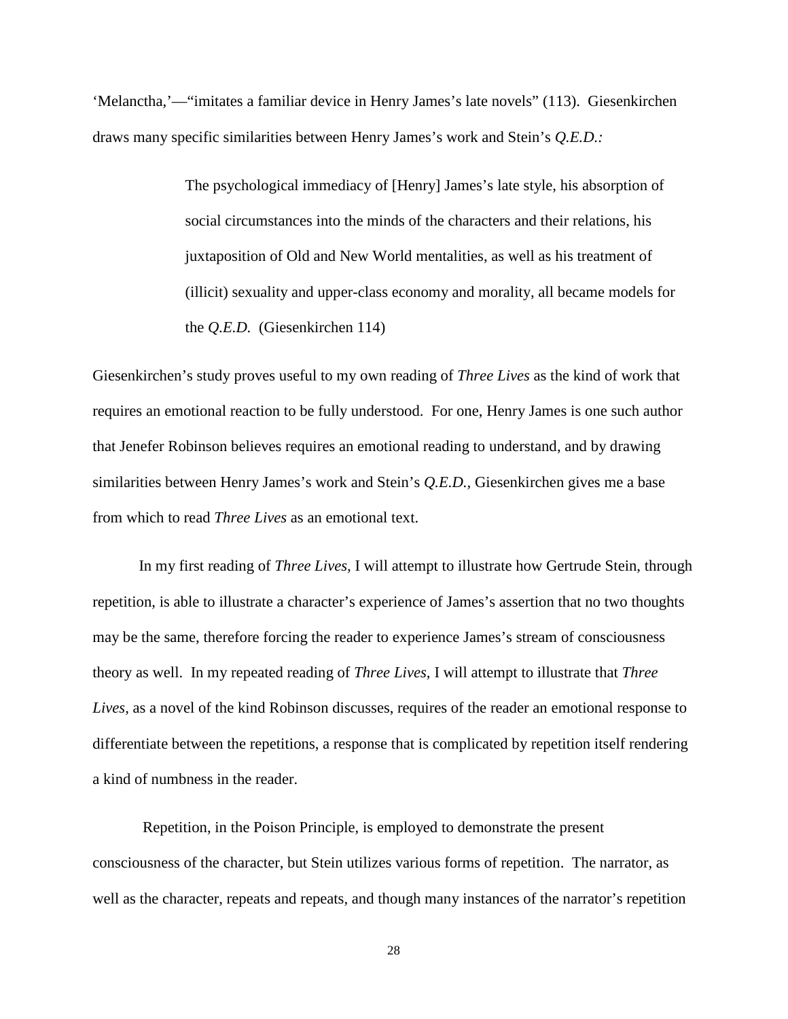'Melanctha,'—"imitates a familiar device in Henry James's late novels" (113). Giesenkirchen draws many specific similarities between Henry James's work and Stein's *Q.E.D.:*

> The psychological immediacy of [Henry] James's late style, his absorption of social circumstances into the minds of the characters and their relations, his juxtaposition of Old and New World mentalities, as well as his treatment of (illicit) sexuality and upper-class economy and morality, all became models for the *Q.E.D.* (Giesenkirchen 114)

Giesenkirchen's study proves useful to my own reading of *Three Lives* as the kind of work that requires an emotional reaction to be fully understood. For one, Henry James is one such author that Jenefer Robinson believes requires an emotional reading to understand, and by drawing similarities between Henry James's work and Stein's *Q.E.D.,* Giesenkirchen gives me a base from which to read *Three Lives* as an emotional text.

In my first reading of *Three Lives,* I will attempt to illustrate how Gertrude Stein, through repetition, is able to illustrate a character's experience of James's assertion that no two thoughts may be the same, therefore forcing the reader to experience James's stream of consciousness theory as well. In my repeated reading of *Three Lives,* I will attempt to illustrate that *Three Lives,* as a novel of the kind Robinson discusses, requires of the reader an emotional response to differentiate between the repetitions, a response that is complicated by repetition itself rendering a kind of numbness in the reader.

Repetition, in the Poison Principle, is employed to demonstrate the present consciousness of the character, but Stein utilizes various forms of repetition. The narrator, as well as the character, repeats and repeats, and though many instances of the narrator's repetition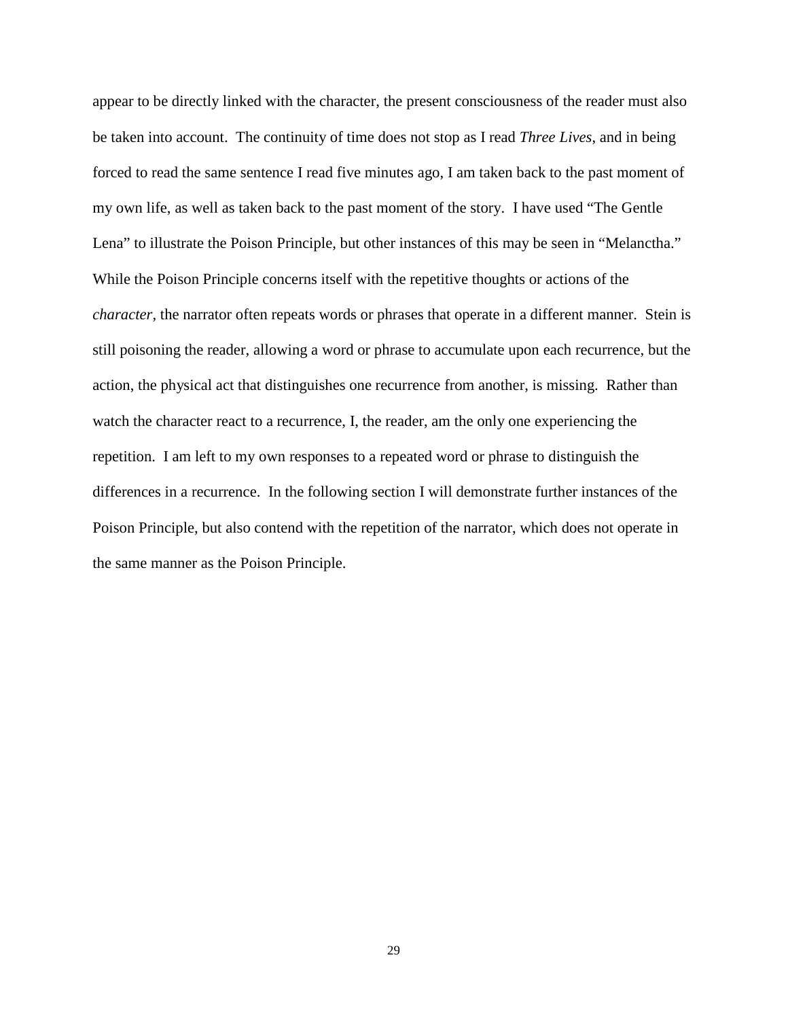appear to be directly linked with the character, the present consciousness of the reader must also be taken into account. The continuity of time does not stop as I read *Three Lives*, and in being forced to read the same sentence I read five minutes ago, I am taken back to the past moment of my own life, as well as taken back to the past moment of the story. I have used "The Gentle Lena" to illustrate the Poison Principle, but other instances of this may be seen in "Melanctha." While the Poison Principle concerns itself with the repetitive thoughts or actions of the *character,* the narrator often repeats words or phrases that operate in a different manner. Stein is still poisoning the reader, allowing a word or phrase to accumulate upon each recurrence, but the action, the physical act that distinguishes one recurrence from another, is missing. Rather than watch the character react to a recurrence, I, the reader, am the only one experiencing the repetition. I am left to my own responses to a repeated word or phrase to distinguish the differences in a recurrence. In the following section I will demonstrate further instances of the Poison Principle, but also contend with the repetition of the narrator, which does not operate in the same manner as the Poison Principle.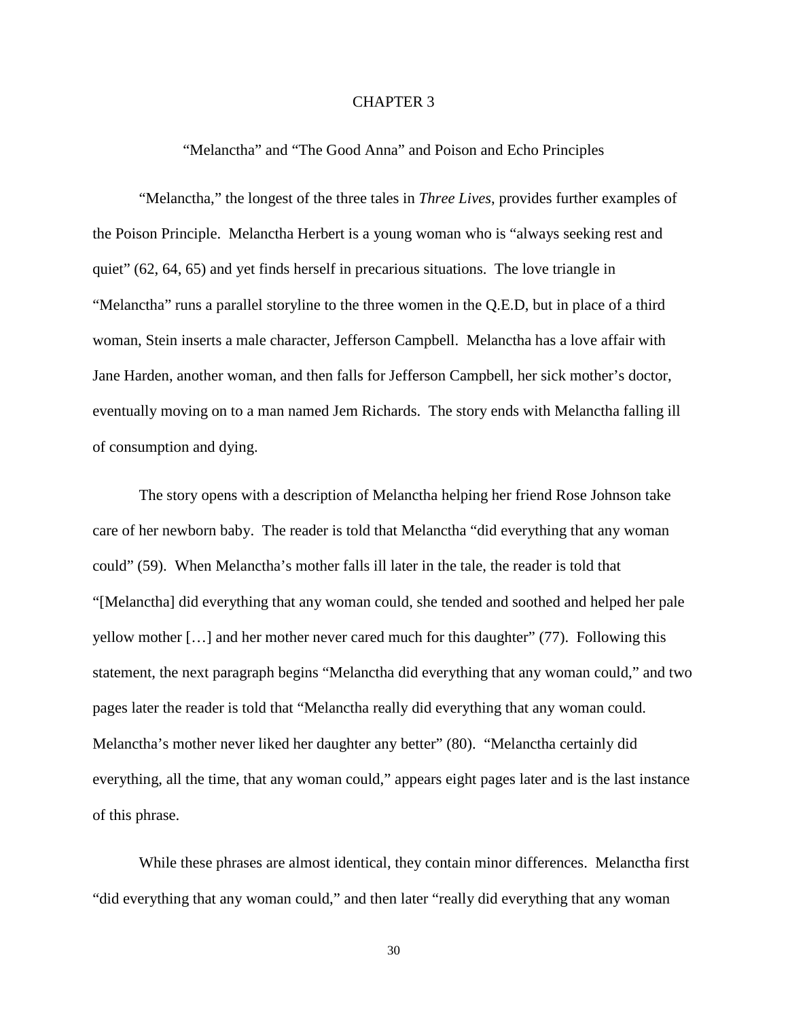#### CHAPTER 3

"Melanctha" and "The Good Anna" and Poison and Echo Principles

"Melanctha," the longest of the three tales in *Three Lives*, provides further examples of the Poison Principle. Melanctha Herbert is a young woman who is "always seeking rest and quiet" (62, 64, 65) and yet finds herself in precarious situations. The love triangle in "Melanctha" runs a parallel storyline to the three women in the Q.E.D, but in place of a third woman, Stein inserts a male character, Jefferson Campbell. Melanctha has a love affair with Jane Harden, another woman, and then falls for Jefferson Campbell, her sick mother's doctor, eventually moving on to a man named Jem Richards. The story ends with Melanctha falling ill of consumption and dying.

The story opens with a description of Melanctha helping her friend Rose Johnson take care of her newborn baby. The reader is told that Melanctha "did everything that any woman could" (59). When Melanctha's mother falls ill later in the tale, the reader is told that "[Melanctha] did everything that any woman could, she tended and soothed and helped her pale yellow mother […] and her mother never cared much for this daughter" (77). Following this statement, the next paragraph begins "Melanctha did everything that any woman could," and two pages later the reader is told that "Melanctha really did everything that any woman could. Melanctha's mother never liked her daughter any better" (80). "Melanctha certainly did everything, all the time, that any woman could," appears eight pages later and is the last instance of this phrase.

While these phrases are almost identical, they contain minor differences. Melanctha first "did everything that any woman could," and then later "really did everything that any woman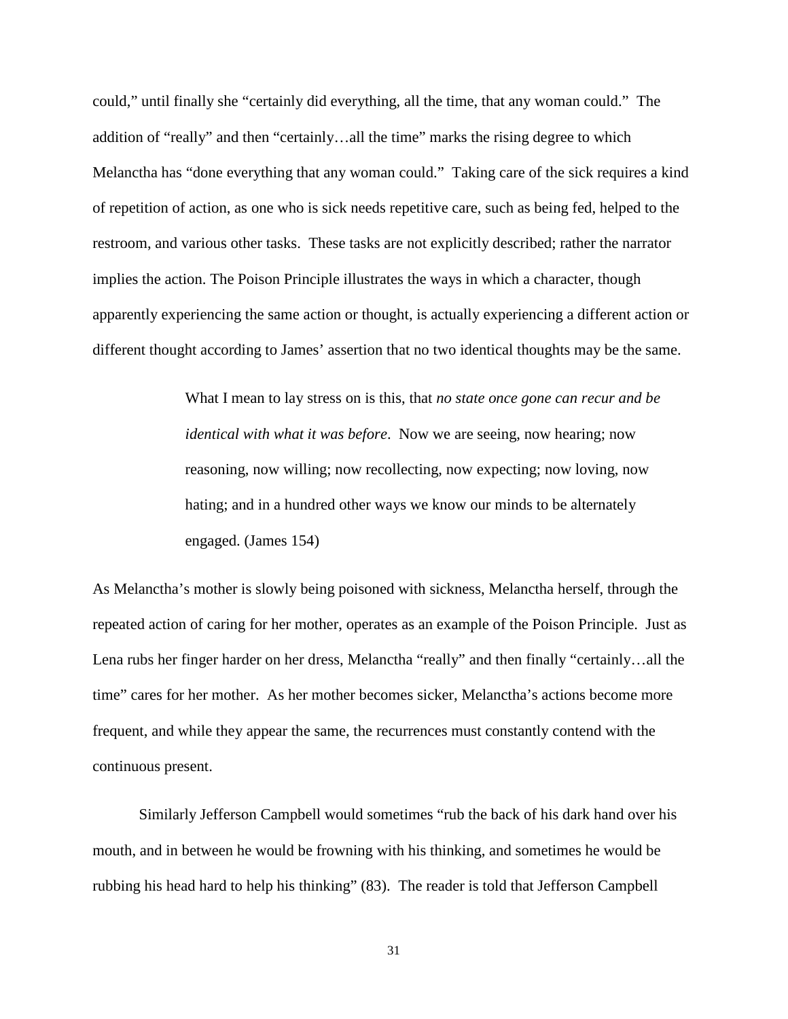could," until finally she "certainly did everything, all the time, that any woman could." The addition of "really" and then "certainly…all the time" marks the rising degree to which Melanctha has "done everything that any woman could." Taking care of the sick requires a kind of repetition of action, as one who is sick needs repetitive care, such as being fed, helped to the restroom, and various other tasks. These tasks are not explicitly described; rather the narrator implies the action. The Poison Principle illustrates the ways in which a character, though apparently experiencing the same action or thought, is actually experiencing a different action or different thought according to James' assertion that no two identical thoughts may be the same.

> What I mean to lay stress on is this, that *no state once gone can recur and be identical with what it was before*. Now we are seeing, now hearing; now reasoning, now willing; now recollecting, now expecting; now loving, now hating; and in a hundred other ways we know our minds to be alternately engaged. (James 154)

As Melanctha's mother is slowly being poisoned with sickness, Melanctha herself, through the repeated action of caring for her mother, operates as an example of the Poison Principle. Just as Lena rubs her finger harder on her dress, Melanctha "really" and then finally "certainly…all the time" cares for her mother. As her mother becomes sicker, Melanctha's actions become more frequent, and while they appear the same, the recurrences must constantly contend with the continuous present.

Similarly Jefferson Campbell would sometimes "rub the back of his dark hand over his mouth, and in between he would be frowning with his thinking, and sometimes he would be rubbing his head hard to help his thinking" (83). The reader is told that Jefferson Campbell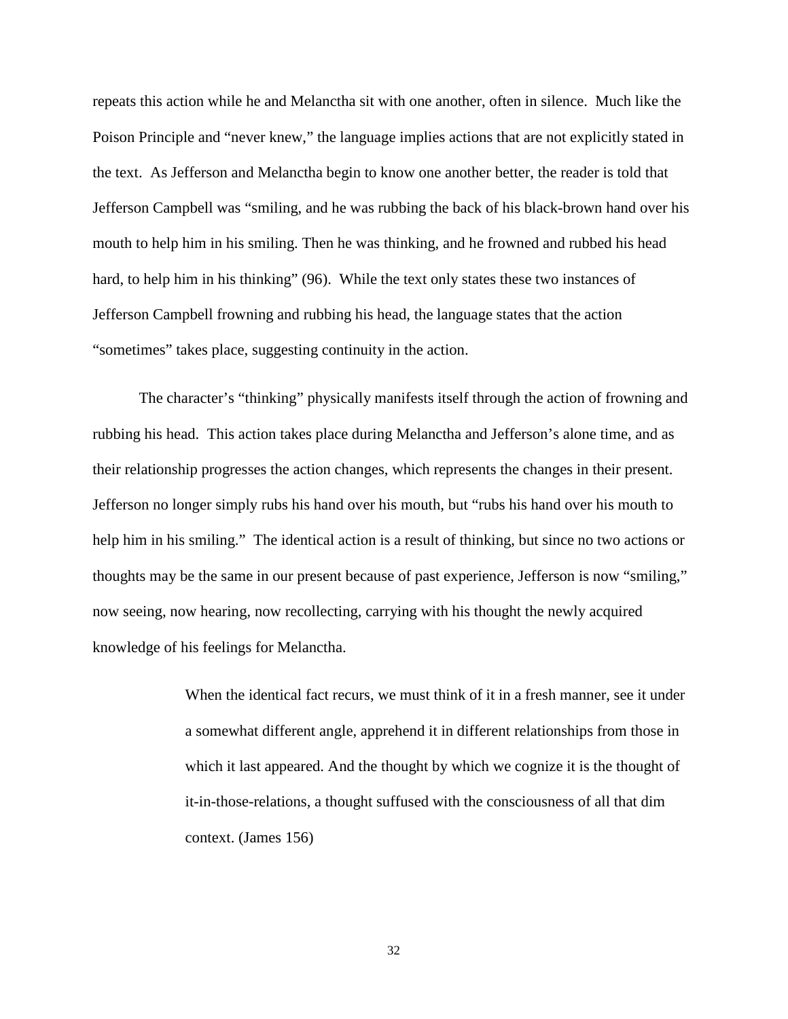repeats this action while he and Melanctha sit with one another, often in silence. Much like the Poison Principle and "never knew," the language implies actions that are not explicitly stated in the text. As Jefferson and Melanctha begin to know one another better, the reader is told that Jefferson Campbell was "smiling, and he was rubbing the back of his black-brown hand over his mouth to help him in his smiling. Then he was thinking, and he frowned and rubbed his head hard, to help him in his thinking" (96). While the text only states these two instances of Jefferson Campbell frowning and rubbing his head, the language states that the action "sometimes" takes place, suggesting continuity in the action.

The character's "thinking" physically manifests itself through the action of frowning and rubbing his head. This action takes place during Melanctha and Jefferson's alone time, and as their relationship progresses the action changes, which represents the changes in their present. Jefferson no longer simply rubs his hand over his mouth, but "rubs his hand over his mouth to help him in his smiling." The identical action is a result of thinking, but since no two actions or thoughts may be the same in our present because of past experience, Jefferson is now "smiling," now seeing, now hearing, now recollecting, carrying with his thought the newly acquired knowledge of his feelings for Melanctha.

> When the identical fact recurs, we must think of it in a fresh manner, see it under a somewhat different angle, apprehend it in different relationships from those in which it last appeared. And the thought by which we cognize it is the thought of it-in-those-relations, a thought suffused with the consciousness of all that dim context. (James 156)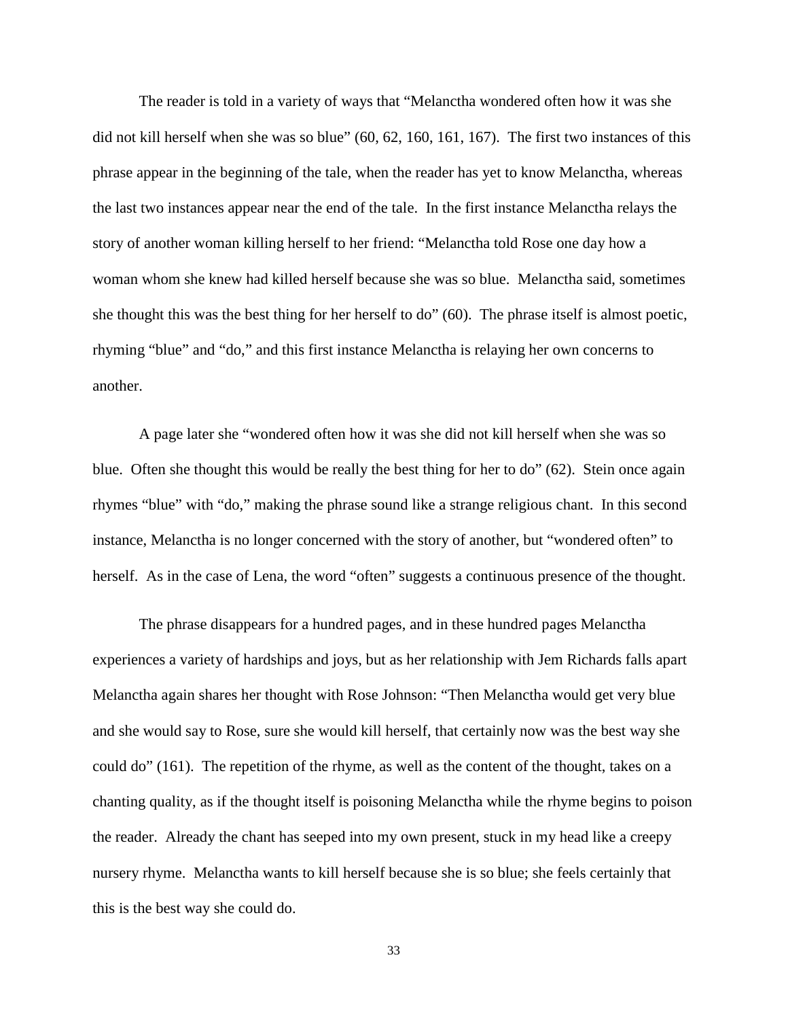The reader is told in a variety of ways that "Melanctha wondered often how it was she did not kill herself when she was so blue" (60, 62, 160, 161, 167). The first two instances of this phrase appear in the beginning of the tale, when the reader has yet to know Melanctha, whereas the last two instances appear near the end of the tale. In the first instance Melanctha relays the story of another woman killing herself to her friend: "Melanctha told Rose one day how a woman whom she knew had killed herself because she was so blue. Melanctha said, sometimes she thought this was the best thing for her herself to do" (60). The phrase itself is almost poetic, rhyming "blue" and "do," and this first instance Melanctha is relaying her own concerns to another.

A page later she "wondered often how it was she did not kill herself when she was so blue. Often she thought this would be really the best thing for her to do" (62). Stein once again rhymes "blue" with "do," making the phrase sound like a strange religious chant. In this second instance, Melanctha is no longer concerned with the story of another, but "wondered often" to herself. As in the case of Lena, the word "often" suggests a continuous presence of the thought.

The phrase disappears for a hundred pages, and in these hundred pages Melanctha experiences a variety of hardships and joys, but as her relationship with Jem Richards falls apart Melanctha again shares her thought with Rose Johnson: "Then Melanctha would get very blue and she would say to Rose, sure she would kill herself, that certainly now was the best way she could do" (161). The repetition of the rhyme, as well as the content of the thought, takes on a chanting quality, as if the thought itself is poisoning Melanctha while the rhyme begins to poison the reader. Already the chant has seeped into my own present, stuck in my head like a creepy nursery rhyme. Melanctha wants to kill herself because she is so blue; she feels certainly that this is the best way she could do.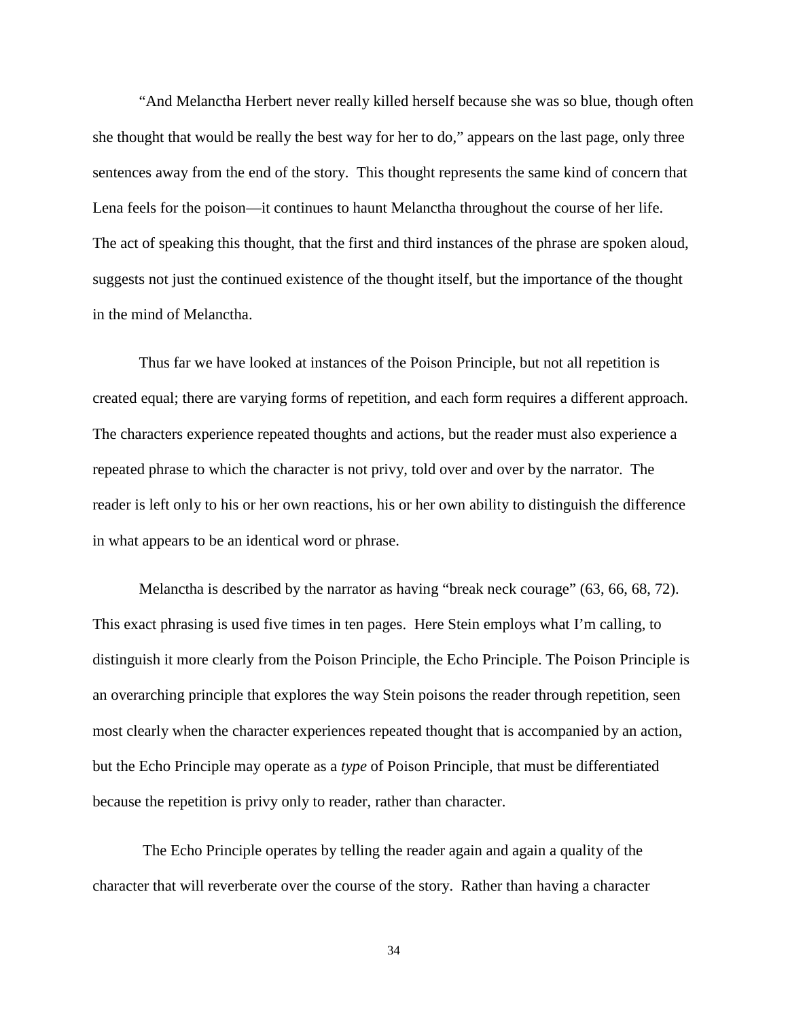"And Melanctha Herbert never really killed herself because she was so blue, though often she thought that would be really the best way for her to do," appears on the last page, only three sentences away from the end of the story. This thought represents the same kind of concern that Lena feels for the poison—it continues to haunt Melanctha throughout the course of her life. The act of speaking this thought, that the first and third instances of the phrase are spoken aloud, suggests not just the continued existence of the thought itself, but the importance of the thought in the mind of Melanctha.

Thus far we have looked at instances of the Poison Principle, but not all repetition is created equal; there are varying forms of repetition, and each form requires a different approach. The characters experience repeated thoughts and actions, but the reader must also experience a repeated phrase to which the character is not privy, told over and over by the narrator. The reader is left only to his or her own reactions, his or her own ability to distinguish the difference in what appears to be an identical word or phrase.

Melanctha is described by the narrator as having "break neck courage" (63, 66, 68, 72). This exact phrasing is used five times in ten pages. Here Stein employs what I'm calling, to distinguish it more clearly from the Poison Principle, the Echo Principle. The Poison Principle is an overarching principle that explores the way Stein poisons the reader through repetition, seen most clearly when the character experiences repeated thought that is accompanied by an action, but the Echo Principle may operate as a *type* of Poison Principle, that must be differentiated because the repetition is privy only to reader, rather than character.

The Echo Principle operates by telling the reader again and again a quality of the character that will reverberate over the course of the story. Rather than having a character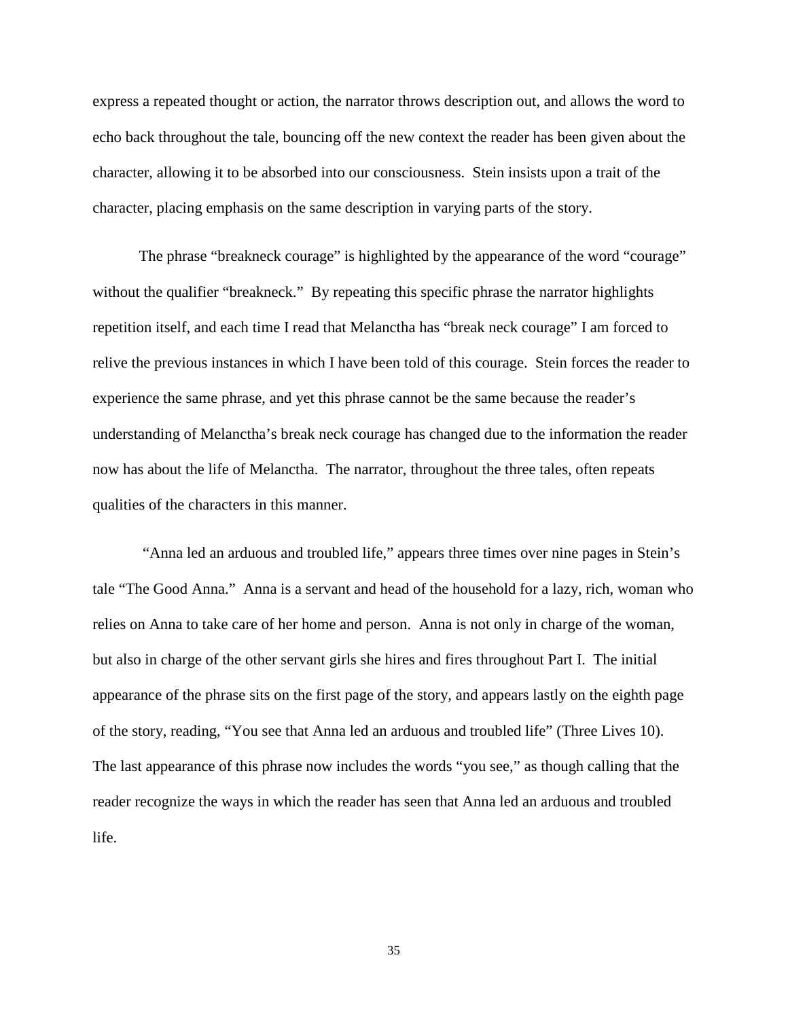express a repeated thought or action, the narrator throws description out, and allows the word to echo back throughout the tale, bouncing off the new context the reader has been given about the character, allowing it to be absorbed into our consciousness. Stein insists upon a trait of the character, placing emphasis on the same description in varying parts of the story.

The phrase "breakneck courage" is highlighted by the appearance of the word "courage" without the qualifier "breakneck." By repeating this specific phrase the narrator highlights repetition itself, and each time I read that Melanctha has "break neck courage" I am forced to relive the previous instances in which I have been told of this courage. Stein forces the reader to experience the same phrase, and yet this phrase cannot be the same because the reader's understanding of Melanctha's break neck courage has changed due to the information the reader now has about the life of Melanctha. The narrator, throughout the three tales, often repeats qualities of the characters in this manner.

"Anna led an arduous and troubled life," appears three times over nine pages in Stein's tale "The Good Anna." Anna is a servant and head of the household for a lazy, rich, woman who relies on Anna to take care of her home and person. Anna is not only in charge of the woman, but also in charge of the other servant girls she hires and fires throughout Part I. The initial appearance of the phrase sits on the first page of the story, and appears lastly on the eighth page of the story, reading, "You see that Anna led an arduous and troubled life" (Three Lives 10). The last appearance of this phrase now includes the words "you see," as though calling that the reader recognize the ways in which the reader has seen that Anna led an arduous and troubled life.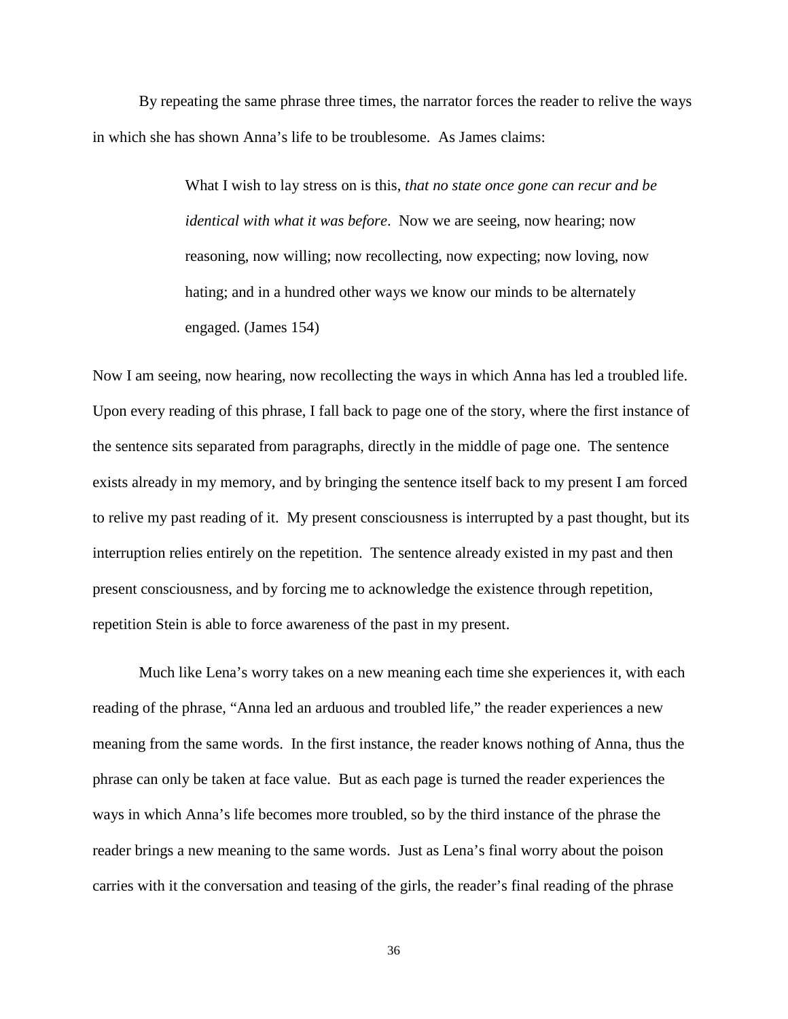By repeating the same phrase three times, the narrator forces the reader to relive the ways in which she has shown Anna's life to be troublesome. As James claims:

> What I wish to lay stress on is this, *that no state once gone can recur and be identical with what it was before*. Now we are seeing, now hearing; now reasoning, now willing; now recollecting, now expecting; now loving, now hating; and in a hundred other ways we know our minds to be alternately engaged. (James 154)

Now I am seeing, now hearing, now recollecting the ways in which Anna has led a troubled life. Upon every reading of this phrase, I fall back to page one of the story, where the first instance of the sentence sits separated from paragraphs, directly in the middle of page one. The sentence exists already in my memory, and by bringing the sentence itself back to my present I am forced to relive my past reading of it. My present consciousness is interrupted by a past thought, but its interruption relies entirely on the repetition. The sentence already existed in my past and then present consciousness, and by forcing me to acknowledge the existence through repetition, repetition Stein is able to force awareness of the past in my present.

Much like Lena's worry takes on a new meaning each time she experiences it, with each reading of the phrase, "Anna led an arduous and troubled life," the reader experiences a new meaning from the same words. In the first instance, the reader knows nothing of Anna, thus the phrase can only be taken at face value. But as each page is turned the reader experiences the ways in which Anna's life becomes more troubled, so by the third instance of the phrase the reader brings a new meaning to the same words. Just as Lena's final worry about the poison carries with it the conversation and teasing of the girls, the reader's final reading of the phrase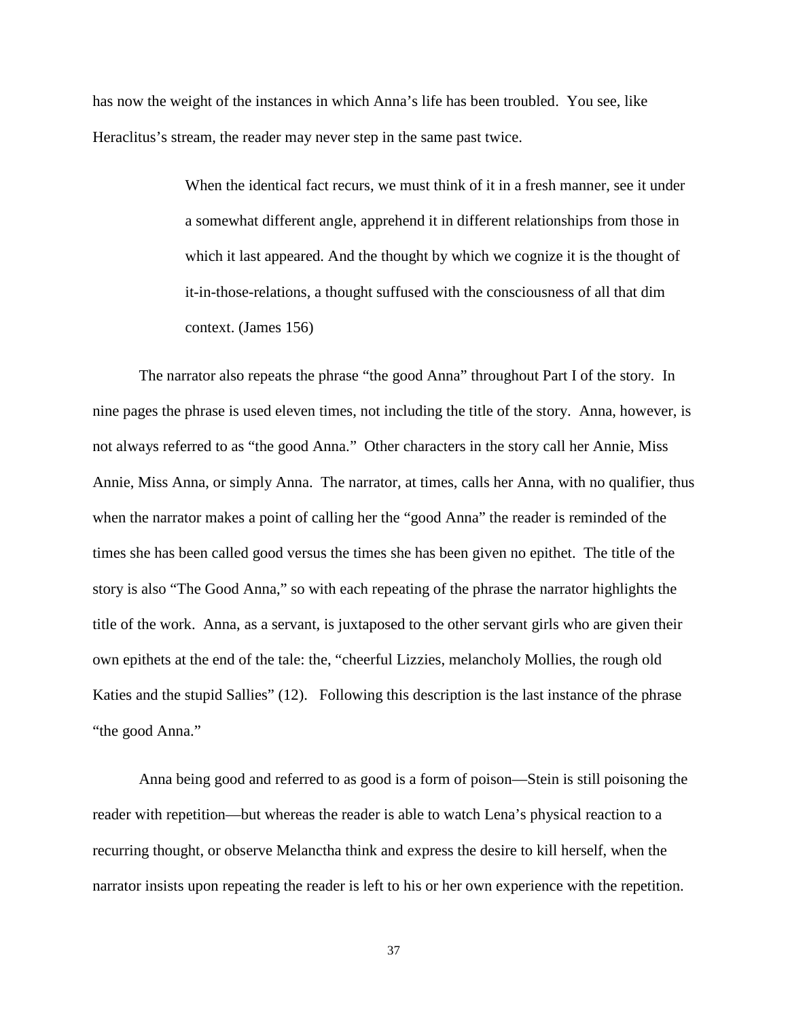has now the weight of the instances in which Anna's life has been troubled. You see, like Heraclitus's stream, the reader may never step in the same past twice.

> When the identical fact recurs, we must think of it in a fresh manner, see it under a somewhat different angle, apprehend it in different relationships from those in which it last appeared. And the thought by which we cognize it is the thought of it-in-those-relations, a thought suffused with the consciousness of all that dim context. (James 156)

The narrator also repeats the phrase "the good Anna" throughout Part I of the story. In nine pages the phrase is used eleven times, not including the title of the story. Anna, however, is not always referred to as "the good Anna." Other characters in the story call her Annie, Miss Annie, Miss Anna, or simply Anna. The narrator, at times, calls her Anna, with no qualifier, thus when the narrator makes a point of calling her the "good Anna" the reader is reminded of the times she has been called good versus the times she has been given no epithet. The title of the story is also "The Good Anna," so with each repeating of the phrase the narrator highlights the title of the work. Anna, as a servant, is juxtaposed to the other servant girls who are given their own epithets at the end of the tale: the, "cheerful Lizzies, melancholy Mollies, the rough old Katies and the stupid Sallies" (12). Following this description is the last instance of the phrase "the good Anna."

Anna being good and referred to as good is a form of poison—Stein is still poisoning the reader with repetition—but whereas the reader is able to watch Lena's physical reaction to a recurring thought, or observe Melanctha think and express the desire to kill herself, when the narrator insists upon repeating the reader is left to his or her own experience with the repetition.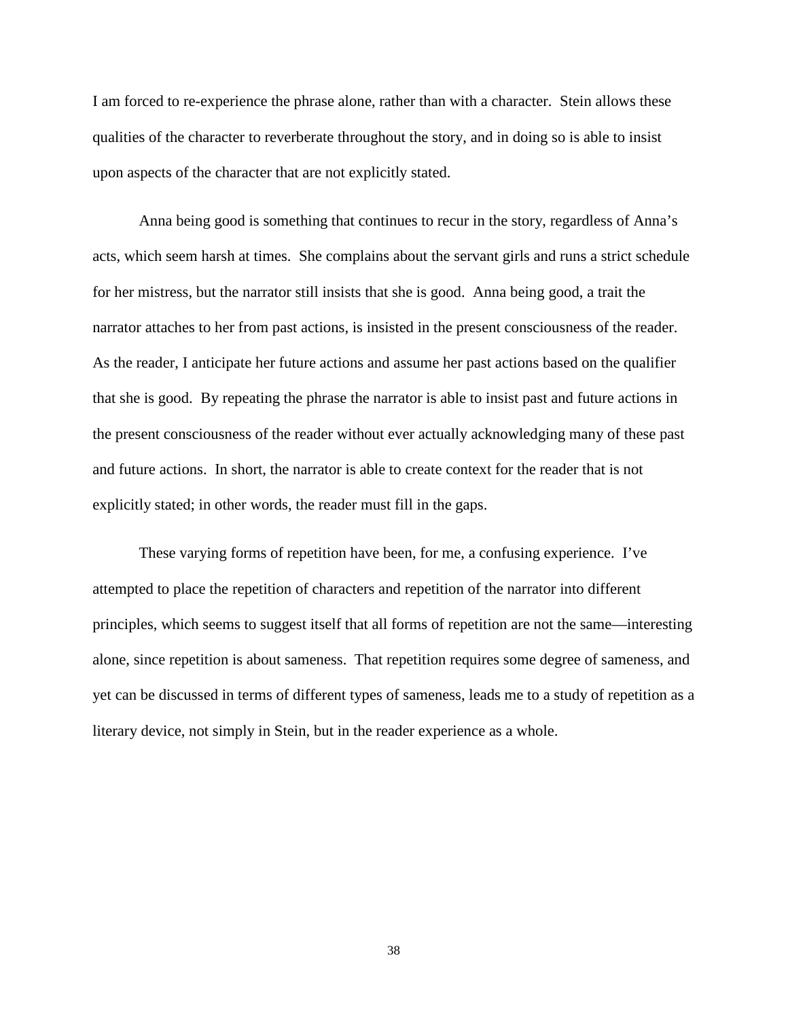I am forced to re-experience the phrase alone, rather than with a character. Stein allows these qualities of the character to reverberate throughout the story, and in doing so is able to insist upon aspects of the character that are not explicitly stated.

Anna being good is something that continues to recur in the story, regardless of Anna's acts, which seem harsh at times. She complains about the servant girls and runs a strict schedule for her mistress, but the narrator still insists that she is good. Anna being good, a trait the narrator attaches to her from past actions, is insisted in the present consciousness of the reader. As the reader, I anticipate her future actions and assume her past actions based on the qualifier that she is good. By repeating the phrase the narrator is able to insist past and future actions in the present consciousness of the reader without ever actually acknowledging many of these past and future actions. In short, the narrator is able to create context for the reader that is not explicitly stated; in other words, the reader must fill in the gaps.

These varying forms of repetition have been, for me, a confusing experience. I've attempted to place the repetition of characters and repetition of the narrator into different principles, which seems to suggest itself that all forms of repetition are not the same—interesting alone, since repetition is about sameness. That repetition requires some degree of sameness, and yet can be discussed in terms of different types of sameness, leads me to a study of repetition as a literary device, not simply in Stein, but in the reader experience as a whole.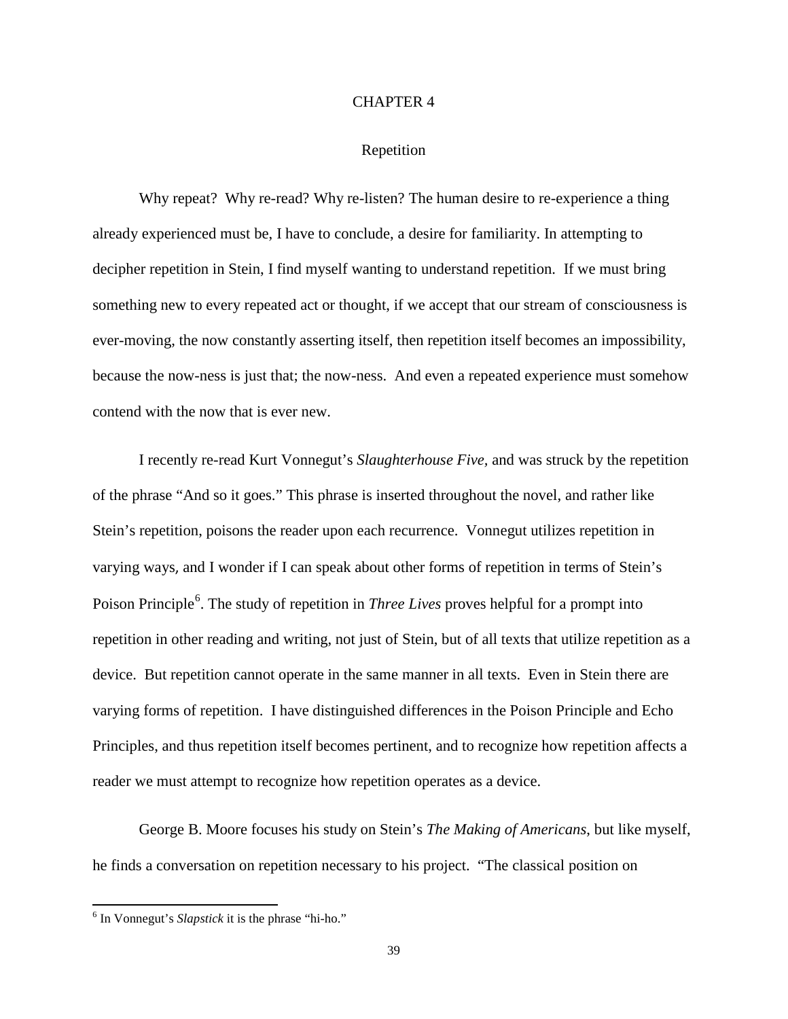#### CHAPTER 4

# Repetition

Why repeat? Why re-read? Why re-listen? The human desire to re-experience a thing already experienced must be, I have to conclude, a desire for familiarity. In attempting to decipher repetition in Stein, I find myself wanting to understand repetition. If we must bring something new to every repeated act or thought, if we accept that our stream of consciousness is ever-moving, the now constantly asserting itself, then repetition itself becomes an impossibility, because the now-ness is just that; the now-ness. And even a repeated experience must somehow contend with the now that is ever new.

I recently re-read Kurt Vonnegut's *Slaughterhouse Five,* and was struck by the repetition of the phrase "And so it goes." This phrase is inserted throughout the novel, and rather like Stein's repetition, poisons the reader upon each recurrence. Vonnegut utilizes repetition in varying ways, and I wonder if I can speak about other forms of repetition in terms of Stein's Poison Principle<sup>[6](#page-43-0)</sup>. The study of repetition in *Three Lives* proves helpful for a prompt into repetition in other reading and writing, not just of Stein, but of all texts that utilize repetition as a device. But repetition cannot operate in the same manner in all texts. Even in Stein there are varying forms of repetition. I have distinguished differences in the Poison Principle and Echo Principles, and thus repetition itself becomes pertinent, and to recognize how repetition affects a reader we must attempt to recognize how repetition operates as a device.

George B. Moore focuses his study on Stein's *The Making of Americans*, but like myself, he finds a conversation on repetition necessary to his project. "The classical position on

<span id="page-43-0"></span> <sup>6</sup> In Vonnegut's *Slapstick* it is the phrase "hi-ho."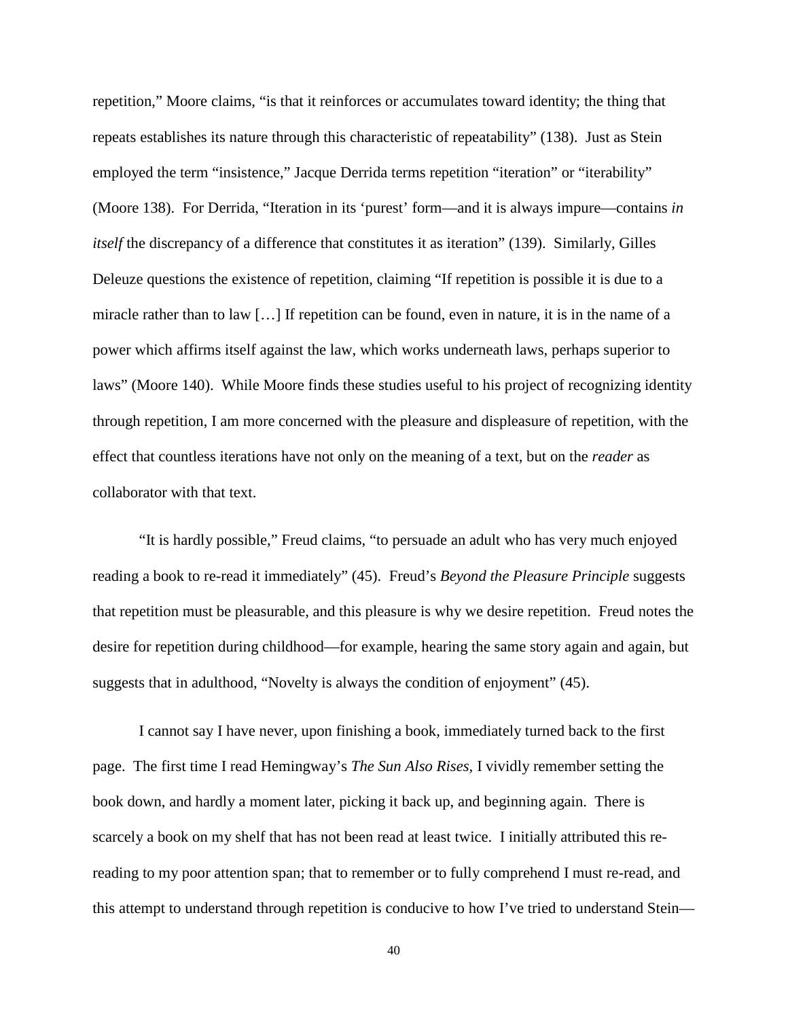repetition," Moore claims, "is that it reinforces or accumulates toward identity; the thing that repeats establishes its nature through this characteristic of repeatability" (138). Just as Stein employed the term "insistence," Jacque Derrida terms repetition "iteration" or "iterability" (Moore 138). For Derrida, "Iteration in its 'purest' form—and it is always impure—contains *in itself* the discrepancy of a difference that constitutes it as iteration" (139). Similarly, Gilles Deleuze questions the existence of repetition, claiming "If repetition is possible it is due to a miracle rather than to law […] If repetition can be found, even in nature, it is in the name of a power which affirms itself against the law, which works underneath laws, perhaps superior to laws" (Moore 140). While Moore finds these studies useful to his project of recognizing identity through repetition, I am more concerned with the pleasure and displeasure of repetition*,* with the effect that countless iterations have not only on the meaning of a text, but on the *reader* as collaborator with that text.

"It is hardly possible," Freud claims, "to persuade an adult who has very much enjoyed reading a book to re-read it immediately" (45). Freud's *Beyond the Pleasure Principle* suggests that repetition must be pleasurable, and this pleasure is why we desire repetition. Freud notes the desire for repetition during childhood—for example, hearing the same story again and again, but suggests that in adulthood, "Novelty is always the condition of enjoyment" (45).

I cannot say I have never, upon finishing a book, immediately turned back to the first page. The first time I read Hemingway's *The Sun Also Rises,* I vividly remember setting the book down, and hardly a moment later, picking it back up, and beginning again. There is scarcely a book on my shelf that has not been read at least twice. I initially attributed this rereading to my poor attention span; that to remember or to fully comprehend I must re-read, and this attempt to understand through repetition is conducive to how I've tried to understand Stein—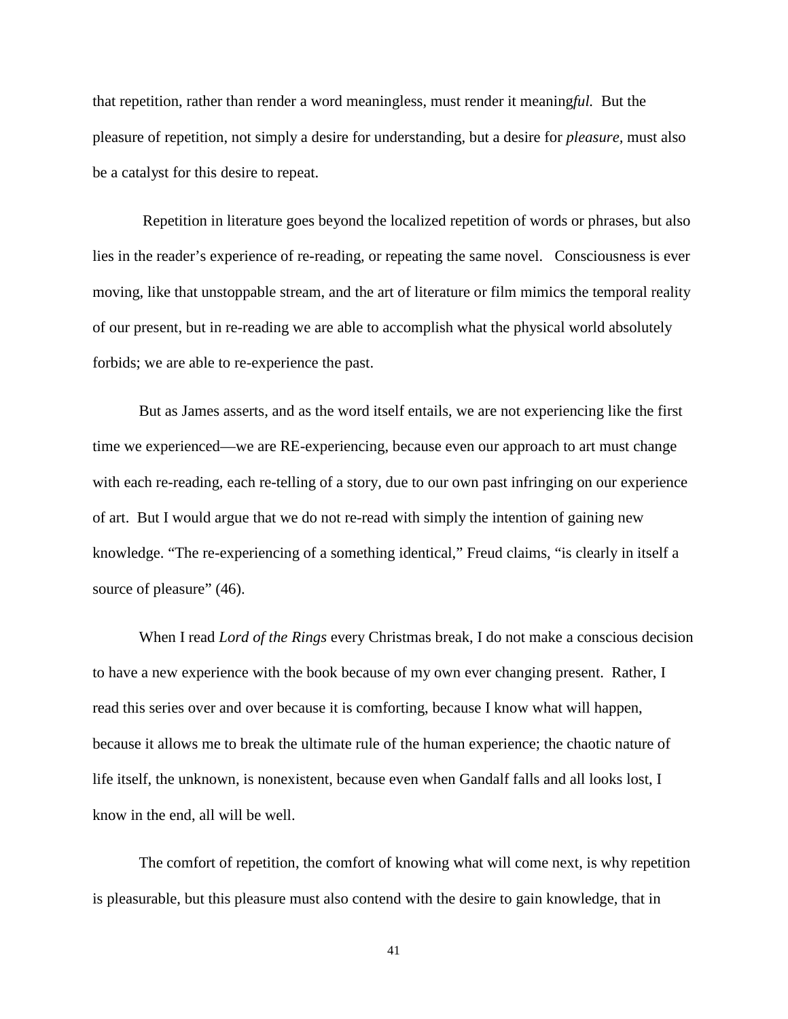that repetition, rather than render a word meaningless, must render it meaning*ful.* But the pleasure of repetition, not simply a desire for understanding, but a desire for *pleasure,* must also be a catalyst for this desire to repeat.

Repetition in literature goes beyond the localized repetition of words or phrases, but also lies in the reader's experience of re-reading, or repeating the same novel. Consciousness is ever moving, like that unstoppable stream, and the art of literature or film mimics the temporal reality of our present, but in re-reading we are able to accomplish what the physical world absolutely forbids; we are able to re-experience the past.

But as James asserts, and as the word itself entails, we are not experiencing like the first time we experienced—we are RE-experiencing, because even our approach to art must change with each re-reading, each re-telling of a story, due to our own past infringing on our experience of art. But I would argue that we do not re-read with simply the intention of gaining new knowledge. "The re-experiencing of a something identical," Freud claims, "is clearly in itself a source of pleasure" (46).

When I read *Lord of the Rings* every Christmas break, I do not make a conscious decision to have a new experience with the book because of my own ever changing present. Rather, I read this series over and over because it is comforting, because I know what will happen, because it allows me to break the ultimate rule of the human experience; the chaotic nature of life itself, the unknown, is nonexistent, because even when Gandalf falls and all looks lost, I know in the end, all will be well.

The comfort of repetition, the comfort of knowing what will come next, is why repetition is pleasurable, but this pleasure must also contend with the desire to gain knowledge, that in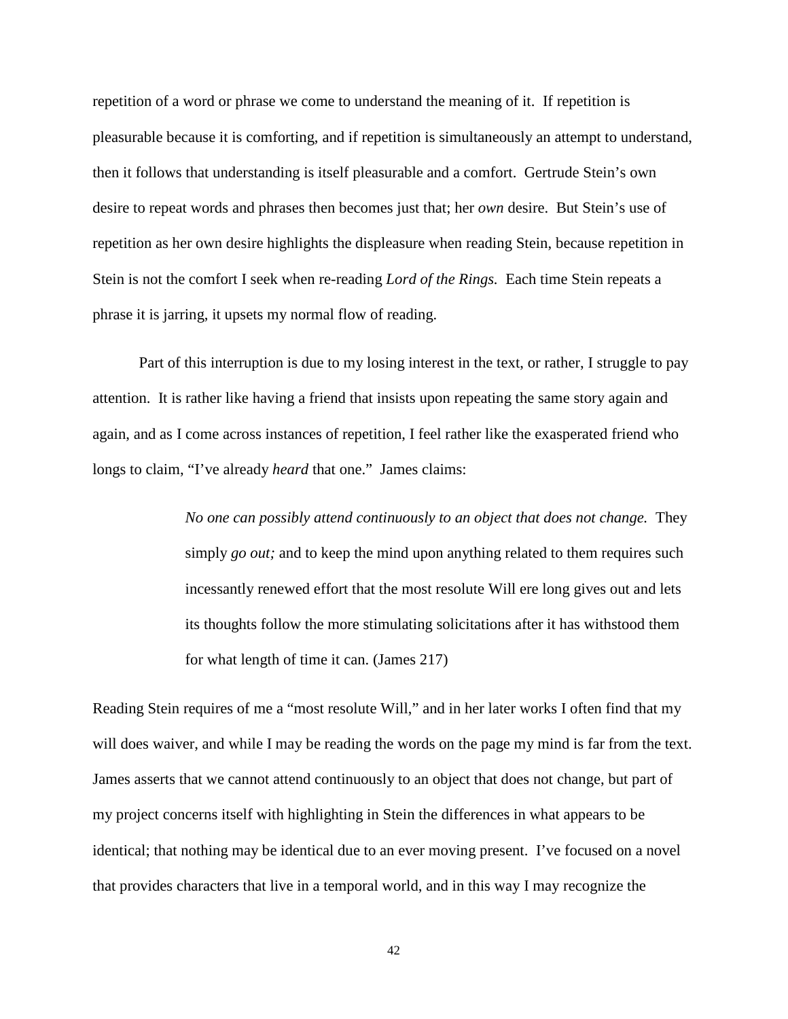repetition of a word or phrase we come to understand the meaning of it. If repetition is pleasurable because it is comforting, and if repetition is simultaneously an attempt to understand, then it follows that understanding is itself pleasurable and a comfort. Gertrude Stein's own desire to repeat words and phrases then becomes just that; her *own* desire. But Stein's use of repetition as her own desire highlights the displeasure when reading Stein, because repetition in Stein is not the comfort I seek when re-reading *Lord of the Rings.* Each time Stein repeats a phrase it is jarring, it upsets my normal flow of reading.

Part of this interruption is due to my losing interest in the text, or rather, I struggle to pay attention. It is rather like having a friend that insists upon repeating the same story again and again, and as I come across instances of repetition, I feel rather like the exasperated friend who longs to claim, "I've already *heard* that one." James claims:

> *No one can possibly attend continuously to an object that does not change.* They simply *go out;* and to keep the mind upon anything related to them requires such incessantly renewed effort that the most resolute Will ere long gives out and lets its thoughts follow the more stimulating solicitations after it has withstood them for what length of time it can. (James 217)

Reading Stein requires of me a "most resolute Will," and in her later works I often find that my will does waiver, and while I may be reading the words on the page my mind is far from the text. James asserts that we cannot attend continuously to an object that does not change, but part of my project concerns itself with highlighting in Stein the differences in what appears to be identical; that nothing may be identical due to an ever moving present. I've focused on a novel that provides characters that live in a temporal world, and in this way I may recognize the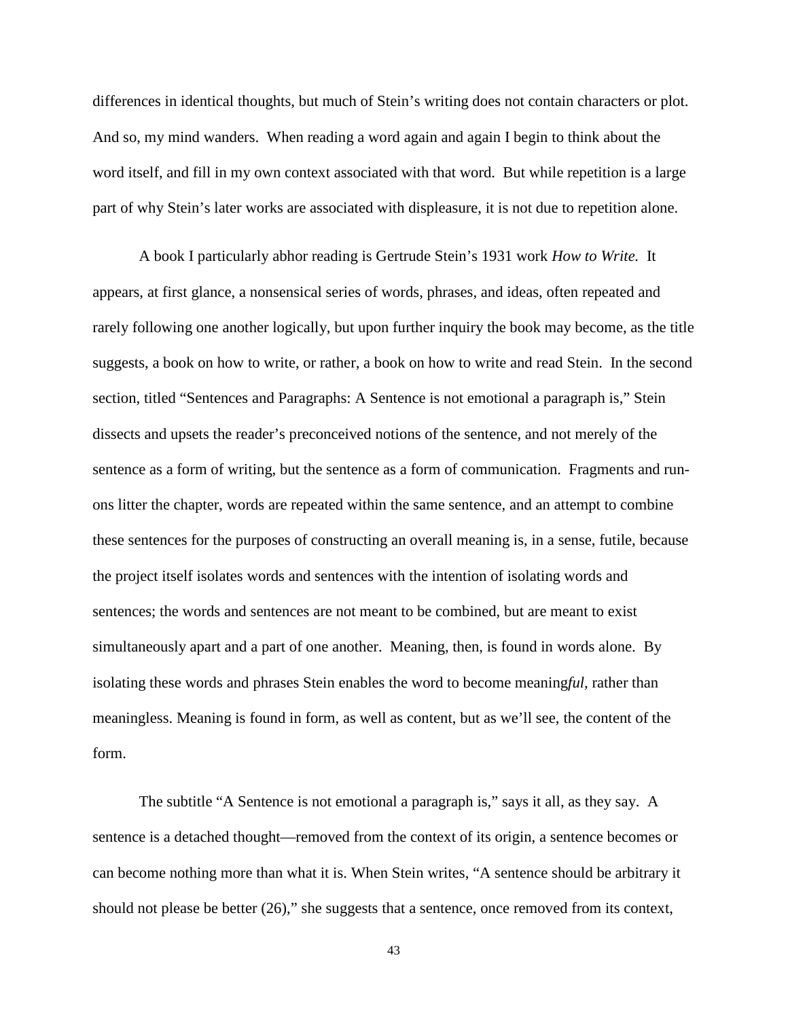differences in identical thoughts, but much of Stein's writing does not contain characters or plot. And so, my mind wanders. When reading a word again and again I begin to think about the word itself, and fill in my own context associated with that word. But while repetition is a large part of why Stein's later works are associated with displeasure, it is not due to repetition alone.

A book I particularly abhor reading is Gertrude Stein's 1931 work *How to Write.* It appears, at first glance, a nonsensical series of words, phrases, and ideas, often repeated and rarely following one another logically, but upon further inquiry the book may become, as the title suggests, a book on how to write, or rather, a book on how to write and read Stein. In the second section, titled "Sentences and Paragraphs: A Sentence is not emotional a paragraph is," Stein dissects and upsets the reader's preconceived notions of the sentence, and not merely of the sentence as a form of writing, but the sentence as a form of communication. Fragments and runons litter the chapter, words are repeated within the same sentence, and an attempt to combine these sentences for the purposes of constructing an overall meaning is, in a sense, futile, because the project itself isolates words and sentences with the intention of isolating words and sentences; the words and sentences are not meant to be combined, but are meant to exist simultaneously apart and a part of one another. Meaning, then, is found in words alone. By isolating these words and phrases Stein enables the word to become meaning*ful,* rather than meaningless. Meaning is found in form, as well as content, but as we'll see, the content of the form.

The subtitle "A Sentence is not emotional a paragraph is," says it all, as they say. A sentence is a detached thought—removed from the context of its origin, a sentence becomes or can become nothing more than what it is. When Stein writes, "A sentence should be arbitrary it should not please be better (26)," she suggests that a sentence, once removed from its context,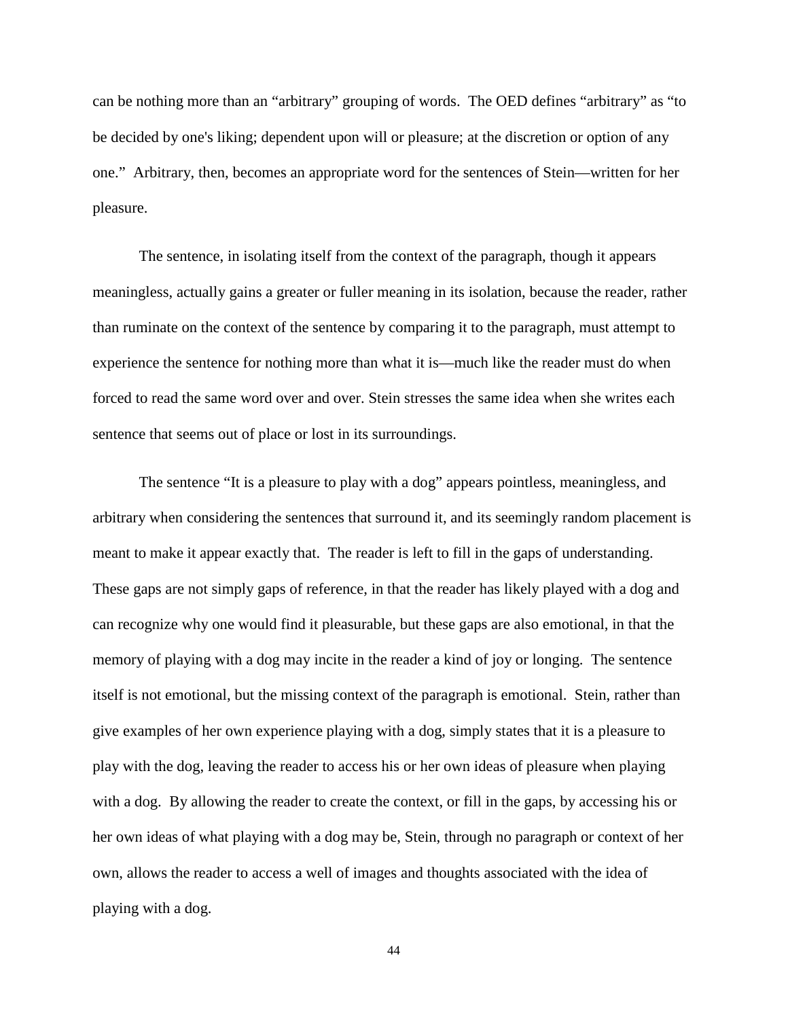can be nothing more than an "arbitrary" grouping of words. The OED defines "arbitrary" as "to be decided by one's liking; dependent upon will or pleasure; at the discretion or option of any one." Arbitrary, then, becomes an appropriate word for the sentences of Stein—written for her pleasure.

The sentence, in isolating itself from the context of the paragraph, though it appears meaningless, actually gains a greater or fuller meaning in its isolation, because the reader, rather than ruminate on the context of the sentence by comparing it to the paragraph, must attempt to experience the sentence for nothing more than what it is—much like the reader must do when forced to read the same word over and over. Stein stresses the same idea when she writes each sentence that seems out of place or lost in its surroundings.

The sentence "It is a pleasure to play with a dog" appears pointless, meaningless, and arbitrary when considering the sentences that surround it, and its seemingly random placement is meant to make it appear exactly that. The reader is left to fill in the gaps of understanding. These gaps are not simply gaps of reference, in that the reader has likely played with a dog and can recognize why one would find it pleasurable, but these gaps are also emotional, in that the memory of playing with a dog may incite in the reader a kind of joy or longing. The sentence itself is not emotional, but the missing context of the paragraph is emotional. Stein, rather than give examples of her own experience playing with a dog, simply states that it is a pleasure to play with the dog, leaving the reader to access his or her own ideas of pleasure when playing with a dog. By allowing the reader to create the context, or fill in the gaps, by accessing his or her own ideas of what playing with a dog may be, Stein, through no paragraph or context of her own, allows the reader to access a well of images and thoughts associated with the idea of playing with a dog.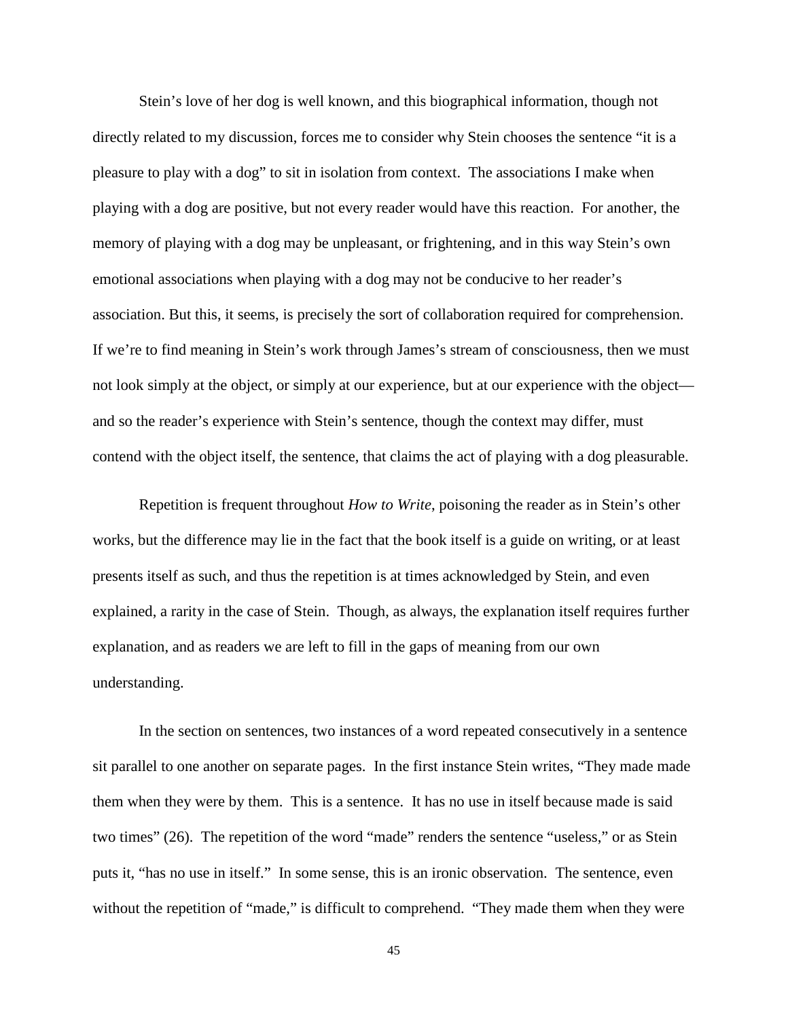Stein's love of her dog is well known, and this biographical information, though not directly related to my discussion, forces me to consider why Stein chooses the sentence "it is a pleasure to play with a dog" to sit in isolation from context. The associations I make when playing with a dog are positive, but not every reader would have this reaction. For another, the memory of playing with a dog may be unpleasant, or frightening, and in this way Stein's own emotional associations when playing with a dog may not be conducive to her reader's association. But this, it seems, is precisely the sort of collaboration required for comprehension. If we're to find meaning in Stein's work through James's stream of consciousness, then we must not look simply at the object, or simply at our experience, but at our experience with the object and so the reader's experience with Stein's sentence, though the context may differ, must contend with the object itself, the sentence, that claims the act of playing with a dog pleasurable.

Repetition is frequent throughout *How to Write*, poisoning the reader as in Stein's other works, but the difference may lie in the fact that the book itself is a guide on writing, or at least presents itself as such, and thus the repetition is at times acknowledged by Stein, and even explained, a rarity in the case of Stein. Though, as always, the explanation itself requires further explanation, and as readers we are left to fill in the gaps of meaning from our own understanding.

In the section on sentences, two instances of a word repeated consecutively in a sentence sit parallel to one another on separate pages. In the first instance Stein writes, "They made made them when they were by them. This is a sentence. It has no use in itself because made is said two times" (26). The repetition of the word "made" renders the sentence "useless," or as Stein puts it, "has no use in itself." In some sense, this is an ironic observation. The sentence, even without the repetition of "made," is difficult to comprehend. "They made them when they were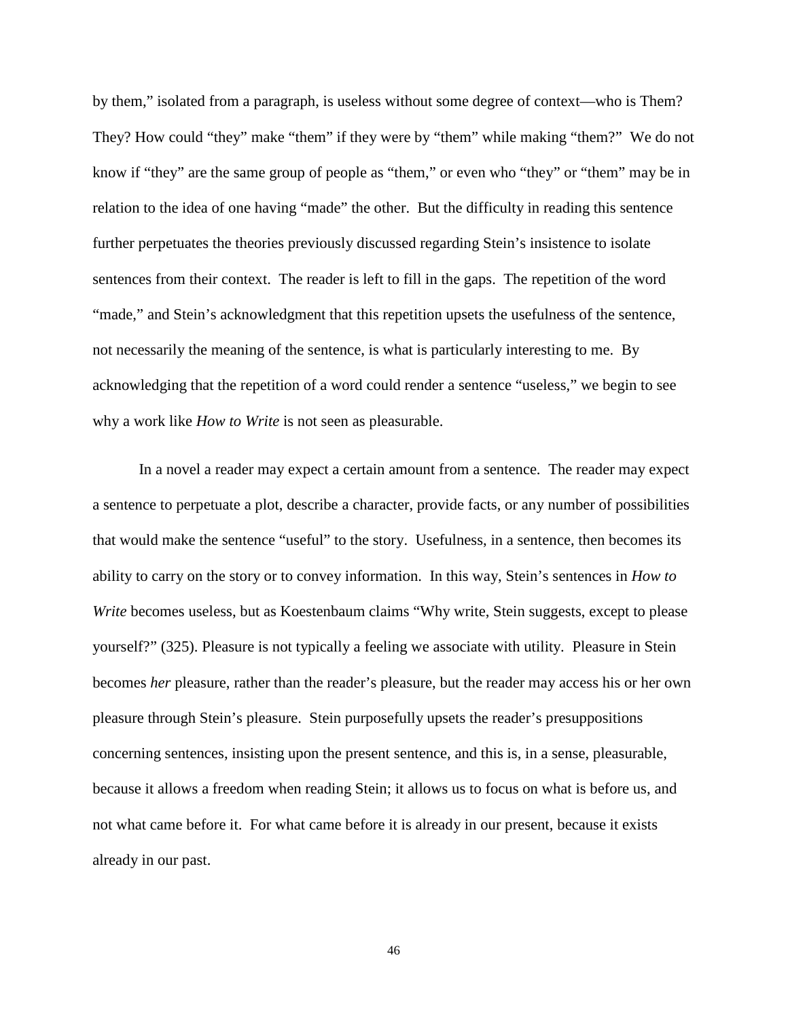by them," isolated from a paragraph, is useless without some degree of context—who is Them? They? How could "they" make "them" if they were by "them" while making "them?" We do not know if "they" are the same group of people as "them," or even who "they" or "them" may be in relation to the idea of one having "made" the other. But the difficulty in reading this sentence further perpetuates the theories previously discussed regarding Stein's insistence to isolate sentences from their context. The reader is left to fill in the gaps. The repetition of the word "made," and Stein's acknowledgment that this repetition upsets the usefulness of the sentence, not necessarily the meaning of the sentence, is what is particularly interesting to me. By acknowledging that the repetition of a word could render a sentence "useless," we begin to see why a work like *How to Write* is not seen as pleasurable.

In a novel a reader may expect a certain amount from a sentence. The reader may expect a sentence to perpetuate a plot, describe a character, provide facts, or any number of possibilities that would make the sentence "useful" to the story. Usefulness, in a sentence, then becomes its ability to carry on the story or to convey information. In this way, Stein's sentences in *How to Write* becomes useless, but as Koestenbaum claims "Why write, Stein suggests, except to please yourself?" (325). Pleasure is not typically a feeling we associate with utility. Pleasure in Stein becomes *her* pleasure, rather than the reader's pleasure, but the reader may access his or her own pleasure through Stein's pleasure. Stein purposefully upsets the reader's presuppositions concerning sentences, insisting upon the present sentence, and this is, in a sense, pleasurable, because it allows a freedom when reading Stein; it allows us to focus on what is before us, and not what came before it. For what came before it is already in our present, because it exists already in our past.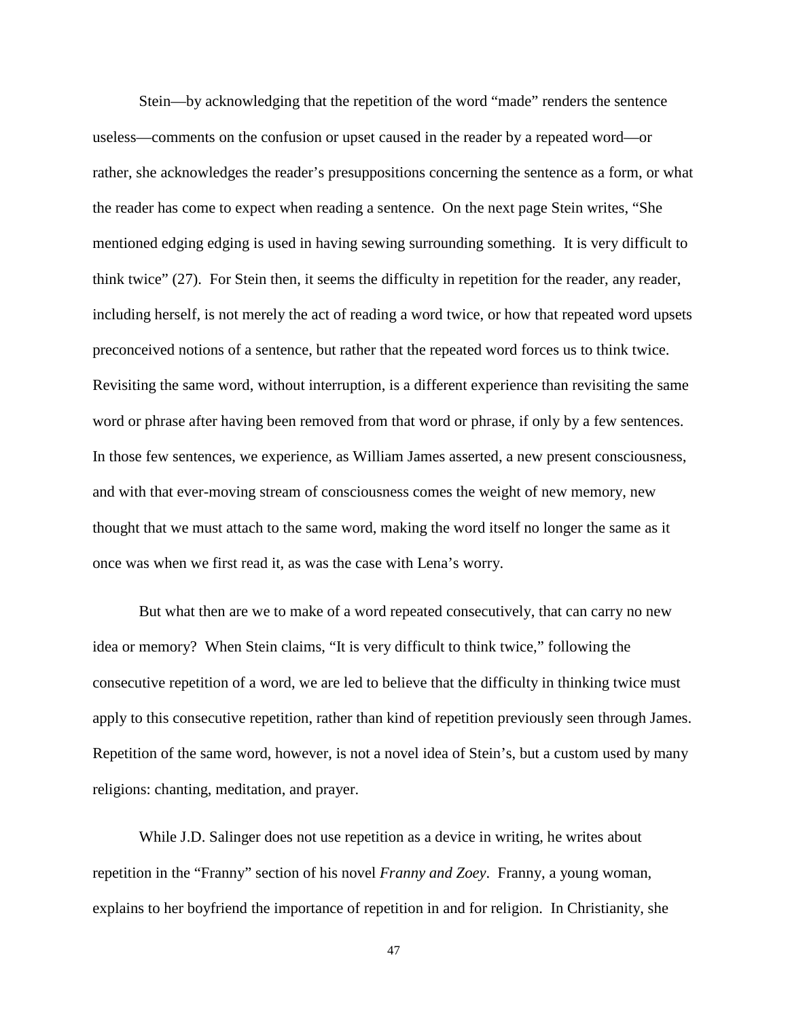Stein—by acknowledging that the repetition of the word "made" renders the sentence useless—comments on the confusion or upset caused in the reader by a repeated word—or rather, she acknowledges the reader's presuppositions concerning the sentence as a form, or what the reader has come to expect when reading a sentence. On the next page Stein writes, "She mentioned edging edging is used in having sewing surrounding something. It is very difficult to think twice" (27). For Stein then, it seems the difficulty in repetition for the reader, any reader, including herself, is not merely the act of reading a word twice, or how that repeated word upsets preconceived notions of a sentence, but rather that the repeated word forces us to think twice. Revisiting the same word, without interruption, is a different experience than revisiting the same word or phrase after having been removed from that word or phrase, if only by a few sentences. In those few sentences, we experience, as William James asserted, a new present consciousness, and with that ever-moving stream of consciousness comes the weight of new memory, new thought that we must attach to the same word, making the word itself no longer the same as it once was when we first read it, as was the case with Lena's worry.

But what then are we to make of a word repeated consecutively, that can carry no new idea or memory? When Stein claims, "It is very difficult to think twice," following the consecutive repetition of a word, we are led to believe that the difficulty in thinking twice must apply to this consecutive repetition, rather than kind of repetition previously seen through James. Repetition of the same word, however, is not a novel idea of Stein's, but a custom used by many religions: chanting, meditation, and prayer.

While J.D. Salinger does not use repetition as a device in writing, he writes about repetition in the "Franny" section of his novel *Franny and Zoey*. Franny, a young woman, explains to her boyfriend the importance of repetition in and for religion. In Christianity, she

<sup>47</sup>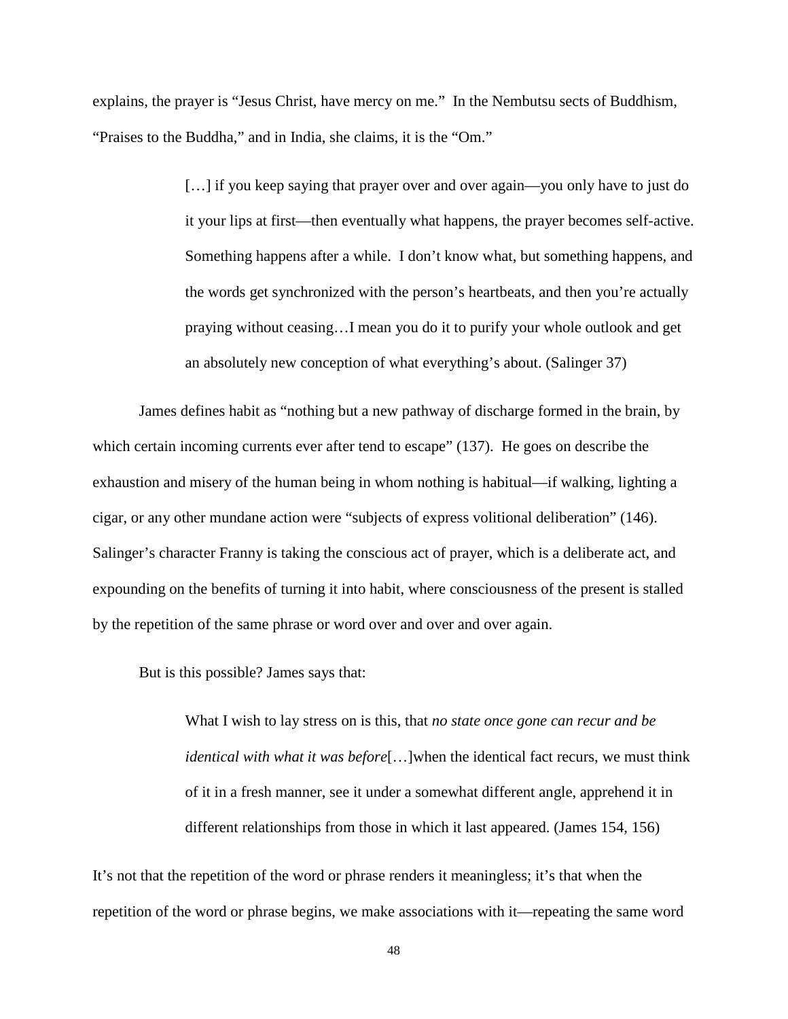explains, the prayer is "Jesus Christ, have mercy on me." In the Nembutsu sects of Buddhism, "Praises to the Buddha," and in India, she claims, it is the "Om."

> [...] if you keep saying that prayer over and over again—you only have to just do it your lips at first—then eventually what happens, the prayer becomes self-active. Something happens after a while. I don't know what, but something happens, and the words get synchronized with the person's heartbeats, and then you're actually praying without ceasing…I mean you do it to purify your whole outlook and get an absolutely new conception of what everything's about. (Salinger 37)

James defines habit as "nothing but a new pathway of discharge formed in the brain, by which certain incoming currents ever after tend to escape" (137). He goes on describe the exhaustion and misery of the human being in whom nothing is habitual—if walking, lighting a cigar, or any other mundane action were "subjects of express volitional deliberation" (146). Salinger's character Franny is taking the conscious act of prayer, which is a deliberate act, and expounding on the benefits of turning it into habit, where consciousness of the present is stalled by the repetition of the same phrase or word over and over and over again.

But is this possible? James says that:

What I wish to lay stress on is this, that *no state once gone can recur and be identical with what it was before*[…]when the identical fact recurs, we must think of it in a fresh manner, see it under a somewhat different angle, apprehend it in different relationships from those in which it last appeared. (James 154, 156)

It's not that the repetition of the word or phrase renders it meaningless; it's that when the repetition of the word or phrase begins, we make associations with it—repeating the same word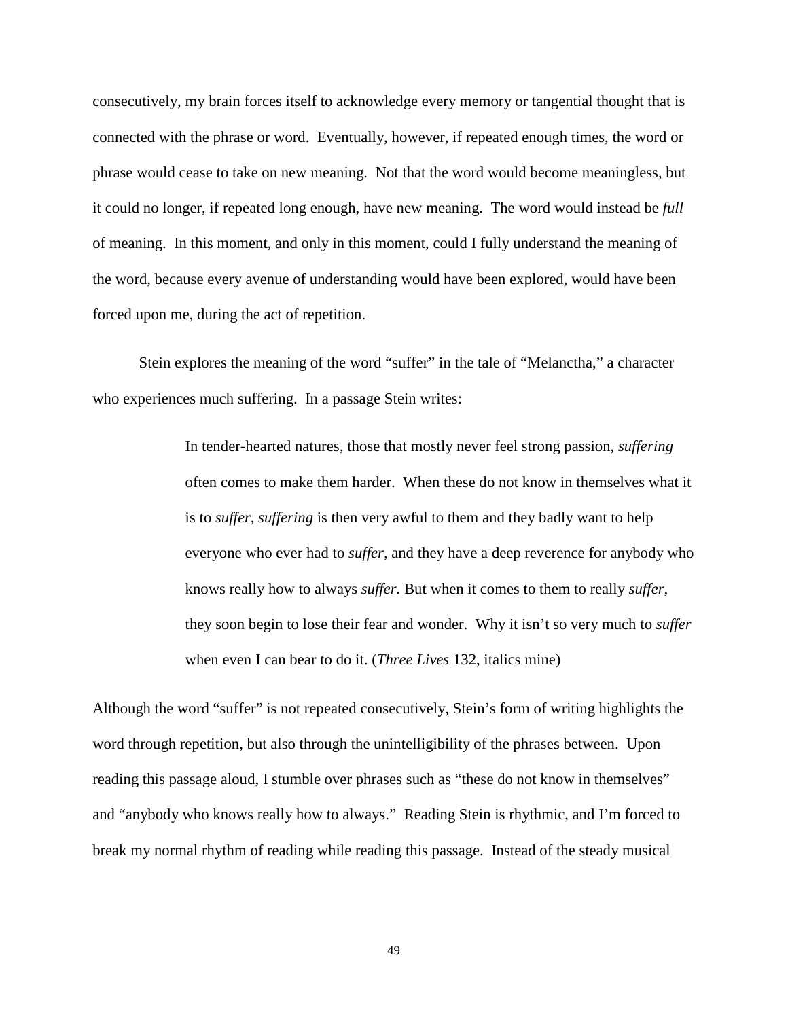consecutively, my brain forces itself to acknowledge every memory or tangential thought that is connected with the phrase or word. Eventually, however, if repeated enough times, the word or phrase would cease to take on new meaning. Not that the word would become meaningless, but it could no longer, if repeated long enough, have new meaning. The word would instead be *full*  of meaning. In this moment, and only in this moment, could I fully understand the meaning of the word, because every avenue of understanding would have been explored, would have been forced upon me, during the act of repetition.

Stein explores the meaning of the word "suffer" in the tale of "Melanctha," a character who experiences much suffering. In a passage Stein writes:

> In tender-hearted natures, those that mostly never feel strong passion, *suffering*  often comes to make them harder. When these do not know in themselves what it is to *suffer, suffering* is then very awful to them and they badly want to help everyone who ever had to *suffer,* and they have a deep reverence for anybody who knows really how to always *suffer.* But when it comes to them to really *suffer,*  they soon begin to lose their fear and wonder. Why it isn't so very much to *suffer*  when even I can bear to do it. (*Three Lives* 132, italics mine)

Although the word "suffer" is not repeated consecutively, Stein's form of writing highlights the word through repetition, but also through the unintelligibility of the phrases between. Upon reading this passage aloud, I stumble over phrases such as "these do not know in themselves" and "anybody who knows really how to always." Reading Stein is rhythmic, and I'm forced to break my normal rhythm of reading while reading this passage. Instead of the steady musical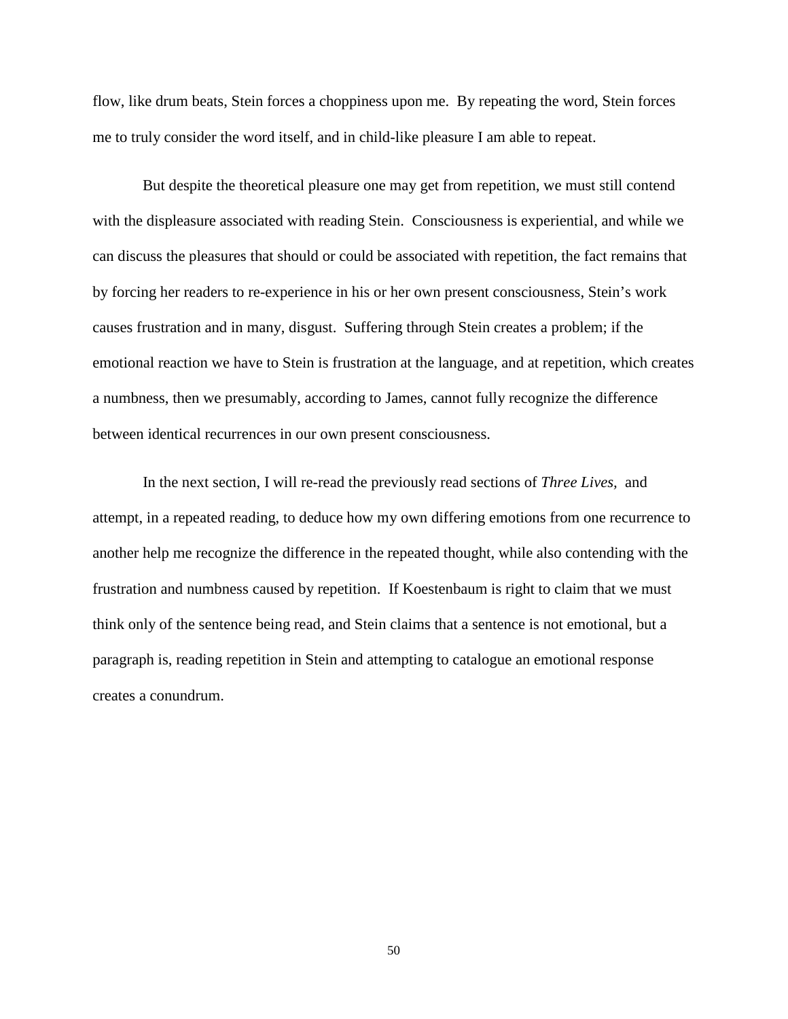flow, like drum beats, Stein forces a choppiness upon me. By repeating the word, Stein forces me to truly consider the word itself, and in child-like pleasure I am able to repeat.

But despite the theoretical pleasure one may get from repetition, we must still contend with the displeasure associated with reading Stein. Consciousness is experiential, and while we can discuss the pleasures that should or could be associated with repetition, the fact remains that by forcing her readers to re-experience in his or her own present consciousness, Stein's work causes frustration and in many, disgust. Suffering through Stein creates a problem; if the emotional reaction we have to Stein is frustration at the language, and at repetition, which creates a numbness, then we presumably, according to James, cannot fully recognize the difference between identical recurrences in our own present consciousness.

In the next section, I will re-read the previously read sections of *Three Lives,* and attempt, in a repeated reading, to deduce how my own differing emotions from one recurrence to another help me recognize the difference in the repeated thought, while also contending with the frustration and numbness caused by repetition. If Koestenbaum is right to claim that we must think only of the sentence being read, and Stein claims that a sentence is not emotional, but a paragraph is, reading repetition in Stein and attempting to catalogue an emotional response creates a conundrum.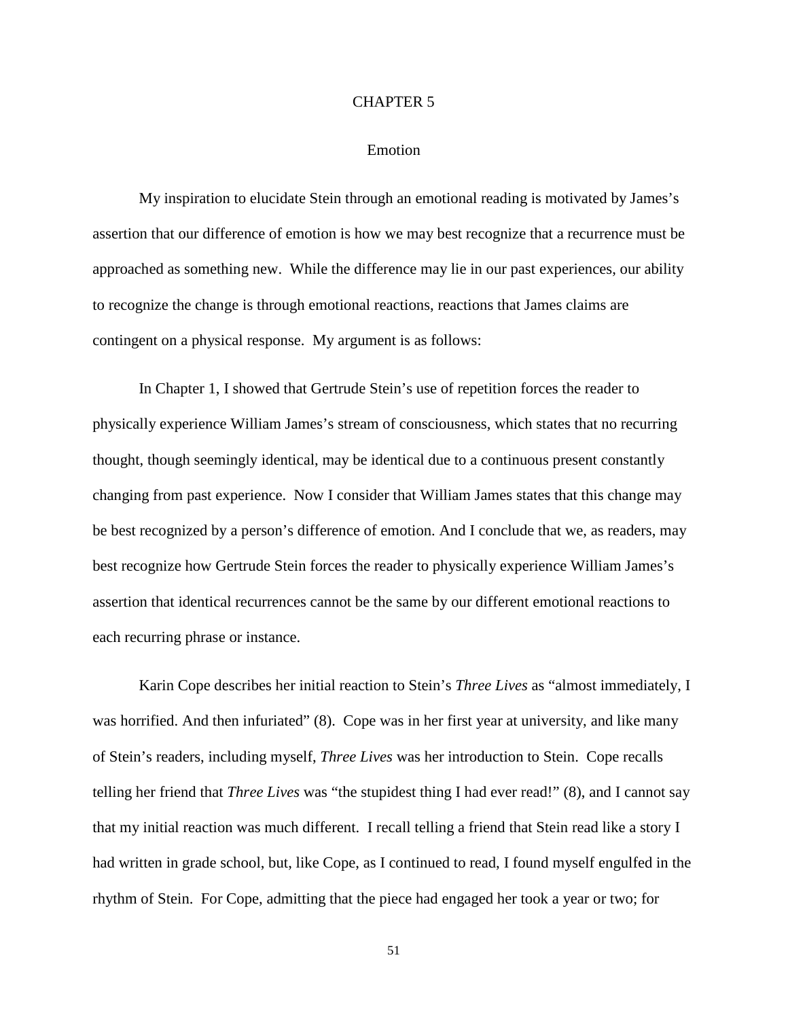#### CHAPTER 5

# Emotion

My inspiration to elucidate Stein through an emotional reading is motivated by James's assertion that our difference of emotion is how we may best recognize that a recurrence must be approached as something new. While the difference may lie in our past experiences, our ability to recognize the change is through emotional reactions, reactions that James claims are contingent on a physical response. My argument is as follows:

In Chapter 1, I showed that Gertrude Stein's use of repetition forces the reader to physically experience William James's stream of consciousness, which states that no recurring thought, though seemingly identical, may be identical due to a continuous present constantly changing from past experience. Now I consider that William James states that this change may be best recognized by a person's difference of emotion. And I conclude that we, as readers, may best recognize how Gertrude Stein forces the reader to physically experience William James's assertion that identical recurrences cannot be the same by our different emotional reactions to each recurring phrase or instance.

Karin Cope describes her initial reaction to Stein's *Three Lives* as "almost immediately, I was horrified. And then infuriated" (8). Cope was in her first year at university, and like many of Stein's readers, including myself, *Three Lives* was her introduction to Stein. Cope recalls telling her friend that *Three Lives* was "the stupidest thing I had ever read!" (8), and I cannot say that my initial reaction was much different. I recall telling a friend that Stein read like a story I had written in grade school, but, like Cope, as I continued to read, I found myself engulfed in the rhythm of Stein. For Cope, admitting that the piece had engaged her took a year or two; for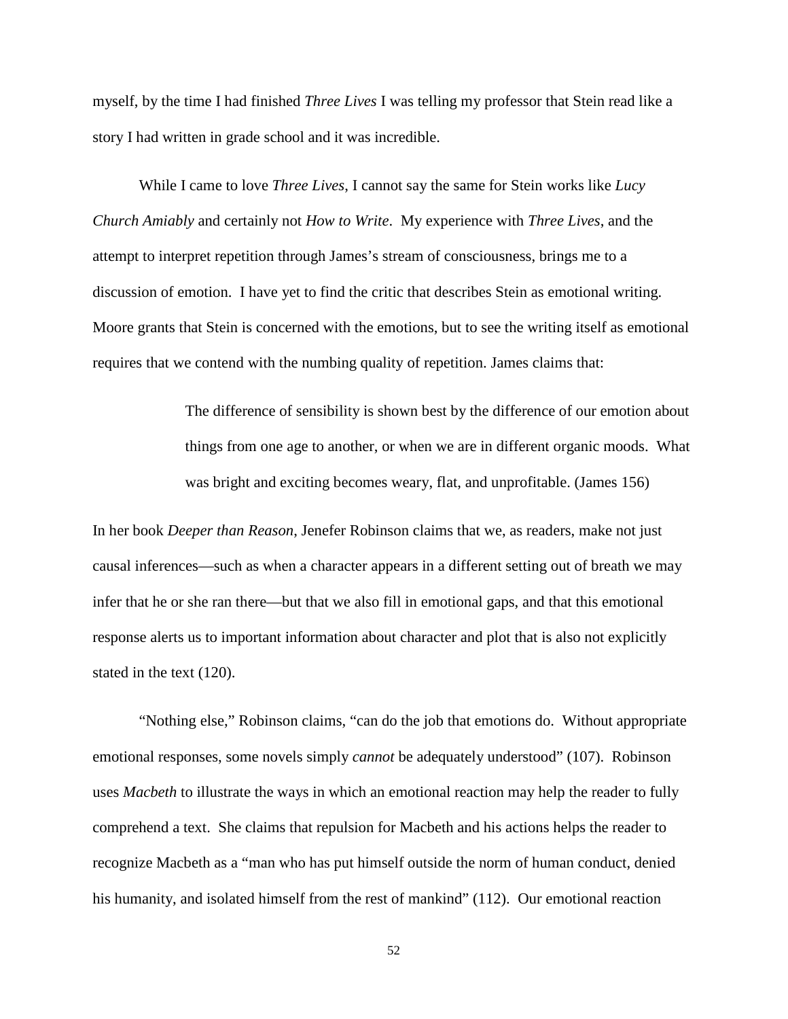myself, by the time I had finished *Three Lives* I was telling my professor that Stein read like a story I had written in grade school and it was incredible.

While I came to love *Three Lives*, I cannot say the same for Stein works like *Lucy Church Amiably* and certainly not *How to Write*. My experience with *Three Lives*, and the attempt to interpret repetition through James's stream of consciousness, brings me to a discussion of emotion. I have yet to find the critic that describes Stein as emotional writing. Moore grants that Stein is concerned with the emotions, but to see the writing itself as emotional requires that we contend with the numbing quality of repetition. James claims that:

> The difference of sensibility is shown best by the difference of our emotion about things from one age to another, or when we are in different organic moods. What was bright and exciting becomes weary, flat, and unprofitable. (James 156)

In her book *Deeper than Reason*, Jenefer Robinson claims that we, as readers, make not just causal inferences—such as when a character appears in a different setting out of breath we may infer that he or she ran there—but that we also fill in emotional gaps, and that this emotional response alerts us to important information about character and plot that is also not explicitly stated in the text (120).

"Nothing else," Robinson claims, "can do the job that emotions do. Without appropriate emotional responses, some novels simply *cannot* be adequately understood" (107). Robinson uses *Macbeth* to illustrate the ways in which an emotional reaction may help the reader to fully comprehend a text. She claims that repulsion for Macbeth and his actions helps the reader to recognize Macbeth as a "man who has put himself outside the norm of human conduct, denied his humanity, and isolated himself from the rest of mankind" (112). Our emotional reaction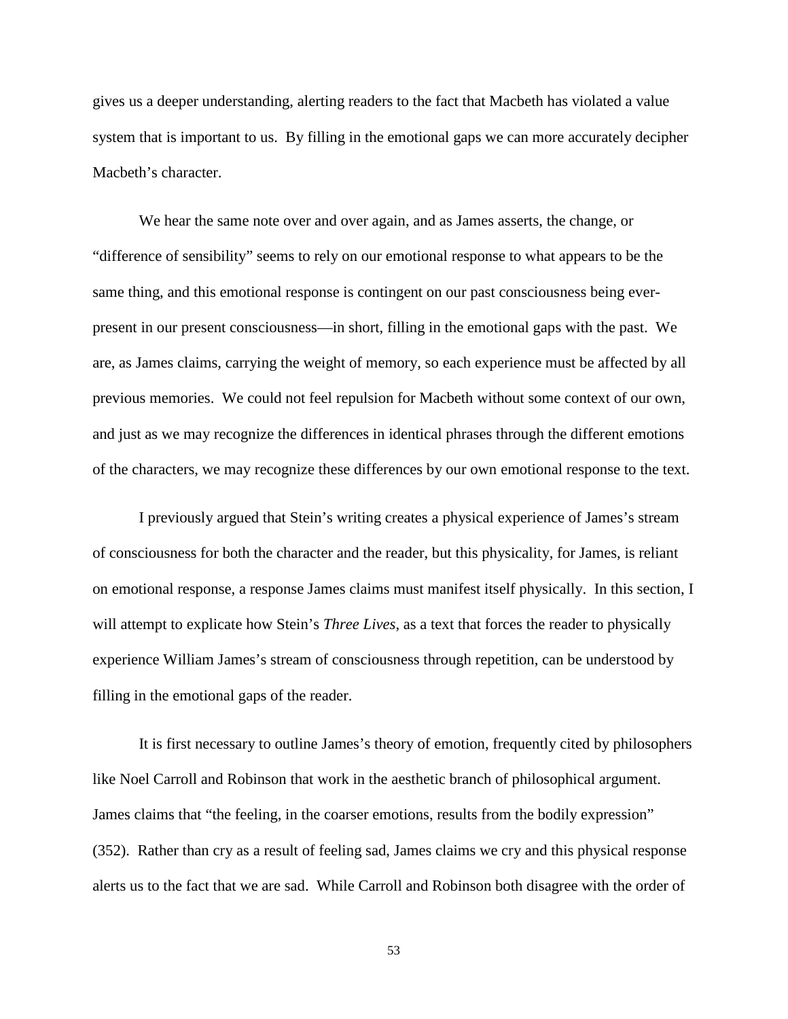gives us a deeper understanding, alerting readers to the fact that Macbeth has violated a value system that is important to us. By filling in the emotional gaps we can more accurately decipher Macbeth's character.

We hear the same note over and over again, and as James asserts, the change, or "difference of sensibility" seems to rely on our emotional response to what appears to be the same thing, and this emotional response is contingent on our past consciousness being everpresent in our present consciousness—in short, filling in the emotional gaps with the past. We are, as James claims, carrying the weight of memory, so each experience must be affected by all previous memories. We could not feel repulsion for Macbeth without some context of our own, and just as we may recognize the differences in identical phrases through the different emotions of the characters, we may recognize these differences by our own emotional response to the text.

I previously argued that Stein's writing creates a physical experience of James's stream of consciousness for both the character and the reader, but this physicality, for James, is reliant on emotional response, a response James claims must manifest itself physically. In this section, I will attempt to explicate how Stein's *Three Lives*, as a text that forces the reader to physically experience William James's stream of consciousness through repetition, can be understood by filling in the emotional gaps of the reader.

It is first necessary to outline James's theory of emotion, frequently cited by philosophers like Noel Carroll and Robinson that work in the aesthetic branch of philosophical argument. James claims that "the feeling, in the coarser emotions, results from the bodily expression" (352). Rather than cry as a result of feeling sad, James claims we cry and this physical response alerts us to the fact that we are sad. While Carroll and Robinson both disagree with the order of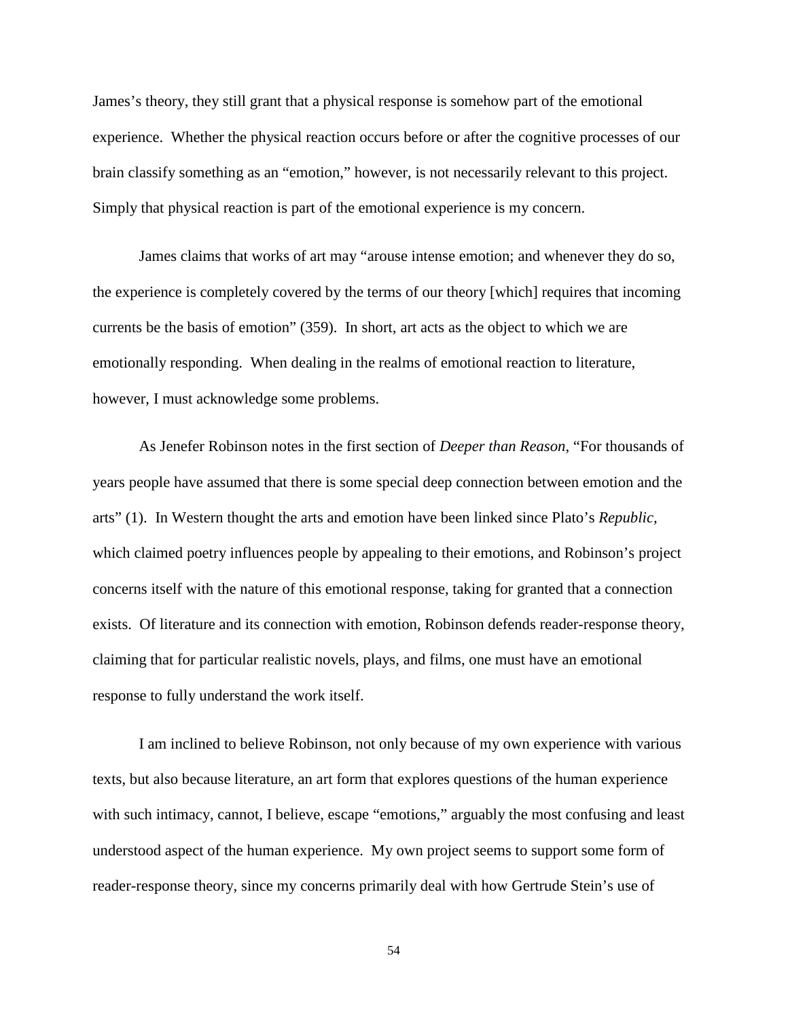James's theory, they still grant that a physical response is somehow part of the emotional experience. Whether the physical reaction occurs before or after the cognitive processes of our brain classify something as an "emotion," however, is not necessarily relevant to this project. Simply that physical reaction is part of the emotional experience is my concern.

James claims that works of art may "arouse intense emotion; and whenever they do so, the experience is completely covered by the terms of our theory [which] requires that incoming currents be the basis of emotion" (359). In short, art acts as the object to which we are emotionally responding. When dealing in the realms of emotional reaction to literature, however, I must acknowledge some problems.

As Jenefer Robinson notes in the first section of *Deeper than Reason*, "For thousands of years people have assumed that there is some special deep connection between emotion and the arts" (1). In Western thought the arts and emotion have been linked since Plato's *Republic*, which claimed poetry influences people by appealing to their emotions, and Robinson's project concerns itself with the nature of this emotional response, taking for granted that a connection exists. Of literature and its connection with emotion, Robinson defends reader-response theory, claiming that for particular realistic novels, plays, and films, one must have an emotional response to fully understand the work itself.

I am inclined to believe Robinson, not only because of my own experience with various texts, but also because literature, an art form that explores questions of the human experience with such intimacy, cannot, I believe, escape "emotions," arguably the most confusing and least understood aspect of the human experience. My own project seems to support some form of reader-response theory, since my concerns primarily deal with how Gertrude Stein's use of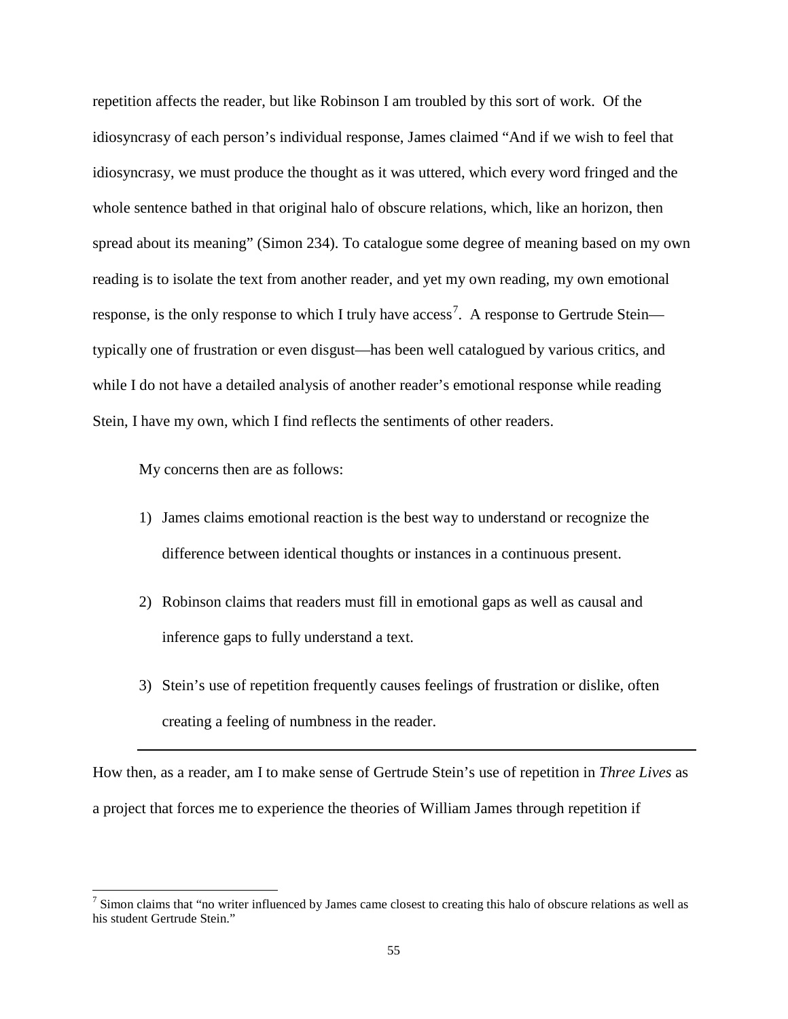repetition affects the reader, but like Robinson I am troubled by this sort of work. Of the idiosyncrasy of each person's individual response, James claimed "And if we wish to feel that idiosyncrasy, we must produce the thought as it was uttered, which every word fringed and the whole sentence bathed in that original halo of obscure relations, which, like an horizon, then spread about its meaning" (Simon 234). To catalogue some degree of meaning based on my own reading is to isolate the text from another reader, and yet my own reading, my own emotional response, is the only response to which I truly have access<sup>[7](#page-59-0)</sup>. A response to Gertrude Stein typically one of frustration or even disgust—has been well catalogued by various critics, and while I do not have a detailed analysis of another reader's emotional response while reading Stein, I have my own, which I find reflects the sentiments of other readers.

My concerns then are as follows:

- 1) James claims emotional reaction is the best way to understand or recognize the difference between identical thoughts or instances in a continuous present.
- 2) Robinson claims that readers must fill in emotional gaps as well as causal and inference gaps to fully understand a text.
- 3) Stein's use of repetition frequently causes feelings of frustration or dislike, often creating a feeling of numbness in the reader.

How then, as a reader, am I to make sense of Gertrude Stein's use of repetition in *Three Lives* as a project that forces me to experience the theories of William James through repetition if

<span id="page-59-0"></span><sup>&</sup>lt;sup>7</sup> Simon claims that "no writer influenced by James came closest to creating this halo of obscure relations as well as his student Gertrude Stein."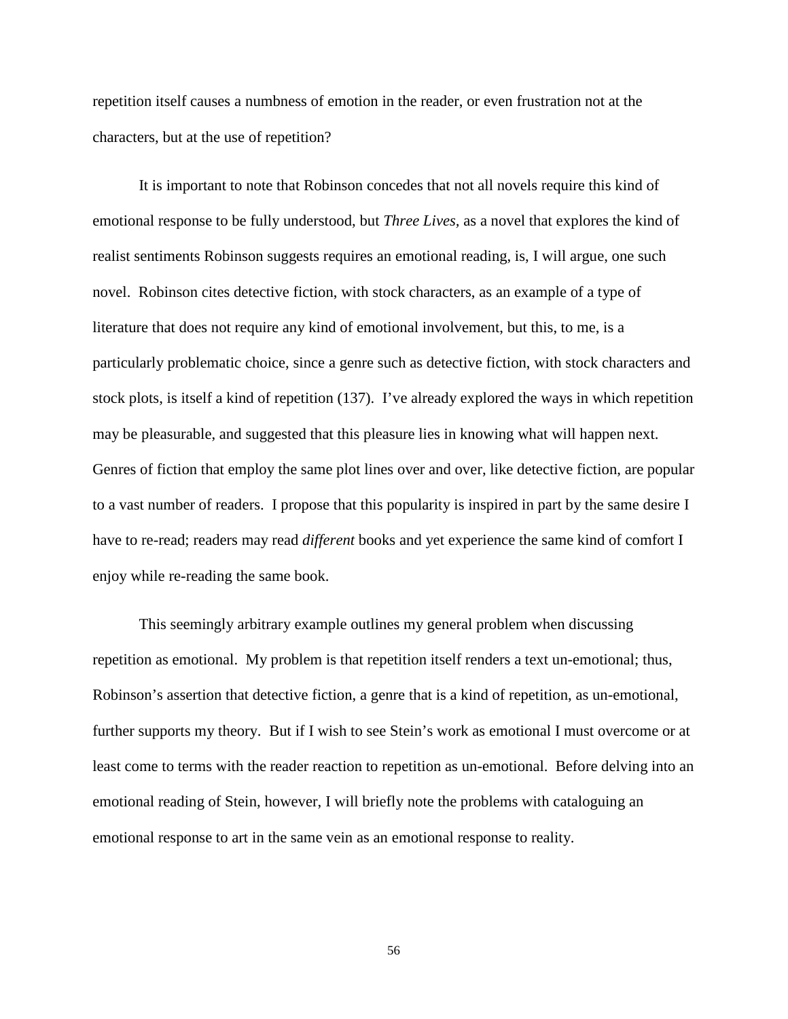repetition itself causes a numbness of emotion in the reader, or even frustration not at the characters, but at the use of repetition?

It is important to note that Robinson concedes that not all novels require this kind of emotional response to be fully understood, but *Three Lives,* as a novel that explores the kind of realist sentiments Robinson suggests requires an emotional reading, is, I will argue, one such novel. Robinson cites detective fiction, with stock characters, as an example of a type of literature that does not require any kind of emotional involvement, but this, to me, is a particularly problematic choice, since a genre such as detective fiction, with stock characters and stock plots, is itself a kind of repetition (137). I've already explored the ways in which repetition may be pleasurable, and suggested that this pleasure lies in knowing what will happen next. Genres of fiction that employ the same plot lines over and over, like detective fiction, are popular to a vast number of readers. I propose that this popularity is inspired in part by the same desire I have to re-read; readers may read *different* books and yet experience the same kind of comfort I enjoy while re-reading the same book.

This seemingly arbitrary example outlines my general problem when discussing repetition as emotional. My problem is that repetition itself renders a text un-emotional; thus, Robinson's assertion that detective fiction, a genre that is a kind of repetition, as un-emotional, further supports my theory. But if I wish to see Stein's work as emotional I must overcome or at least come to terms with the reader reaction to repetition as un-emotional. Before delving into an emotional reading of Stein, however, I will briefly note the problems with cataloguing an emotional response to art in the same vein as an emotional response to reality.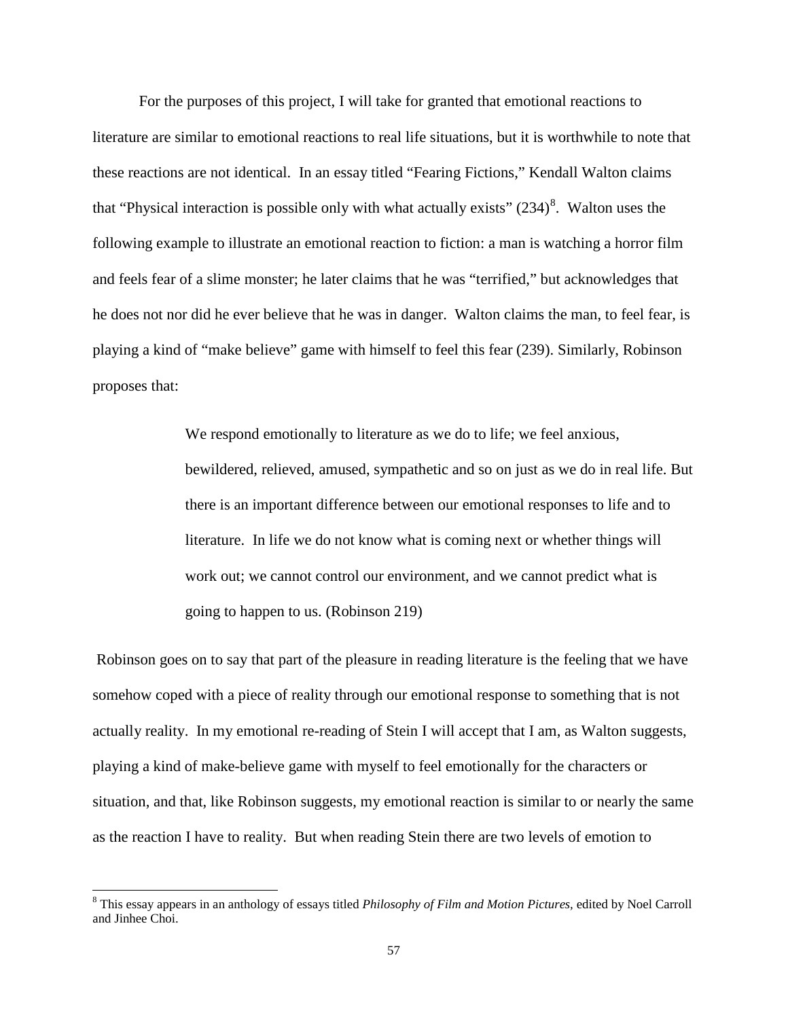For the purposes of this project, I will take for granted that emotional reactions to literature are similar to emotional reactions to real life situations, but it is worthwhile to note that these reactions are not identical. In an essay titled "Fearing Fictions," Kendall Walton claims that "Physical interaction is possible only with what actually exists"  $(234)^8$  $(234)^8$ . Walton uses the following example to illustrate an emotional reaction to fiction: a man is watching a horror film and feels fear of a slime monster; he later claims that he was "terrified," but acknowledges that he does not nor did he ever believe that he was in danger. Walton claims the man, to feel fear, is playing a kind of "make believe" game with himself to feel this fear (239). Similarly, Robinson proposes that:

> We respond emotionally to literature as we do to life; we feel anxious, bewildered, relieved, amused, sympathetic and so on just as we do in real life. But there is an important difference between our emotional responses to life and to literature. In life we do not know what is coming next or whether things will work out; we cannot control our environment, and we cannot predict what is going to happen to us. (Robinson 219)

Robinson goes on to say that part of the pleasure in reading literature is the feeling that we have somehow coped with a piece of reality through our emotional response to something that is not actually reality. In my emotional re-reading of Stein I will accept that I am, as Walton suggests, playing a kind of make-believe game with myself to feel emotionally for the characters or situation, and that, like Robinson suggests, my emotional reaction is similar to or nearly the same as the reaction I have to reality. But when reading Stein there are two levels of emotion to

<span id="page-61-0"></span> <sup>8</sup> This essay appears in an anthology of essays titled *Philosophy of Film and Motion Pictures,* edited by Noel Carroll and Jinhee Choi.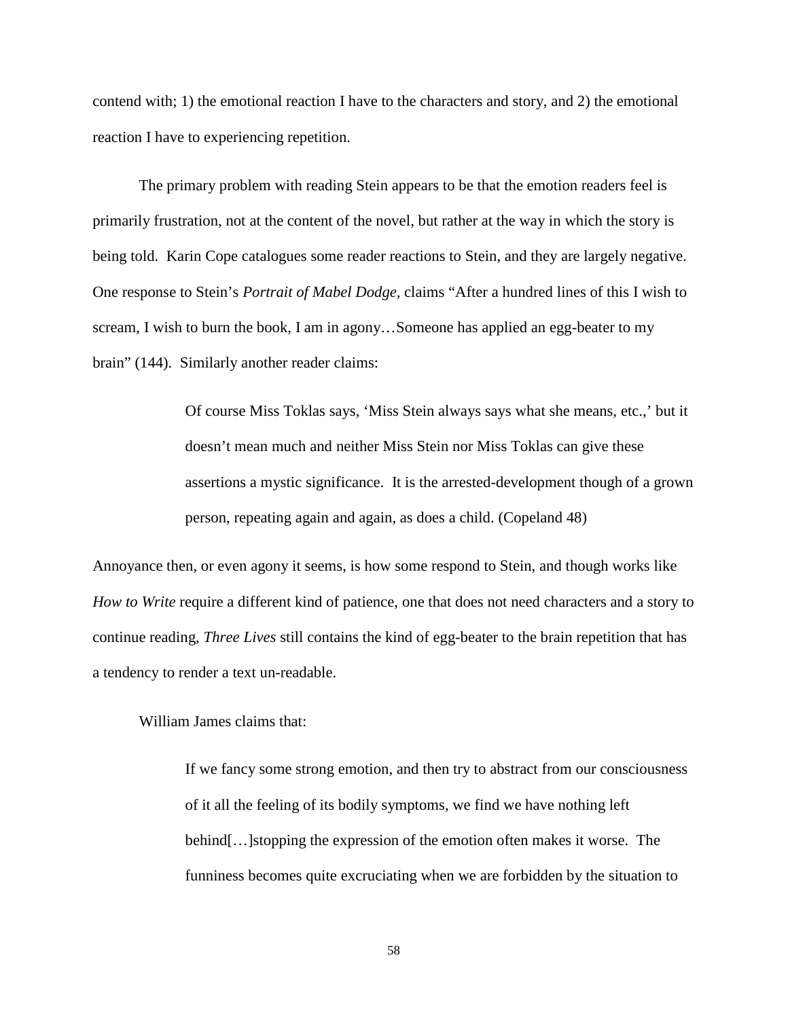contend with; 1) the emotional reaction I have to the characters and story, and 2) the emotional reaction I have to experiencing repetition.

The primary problem with reading Stein appears to be that the emotion readers feel is primarily frustration, not at the content of the novel, but rather at the way in which the story is being told. Karin Cope catalogues some reader reactions to Stein, and they are largely negative. One response to Stein's *Portrait of Mabel Dodge,* claims "After a hundred lines of this I wish to scream, I wish to burn the book, I am in agony…Someone has applied an egg-beater to my brain" (144). Similarly another reader claims:

> Of course Miss Toklas says, 'Miss Stein always says what she means, etc.,' but it doesn't mean much and neither Miss Stein nor Miss Toklas can give these assertions a mystic significance. It is the arrested-development though of a grown person, repeating again and again, as does a child. (Copeland 48)

Annoyance then, or even agony it seems, is how some respond to Stein, and though works like *How to Write* require a different kind of patience, one that does not need characters and a story to continue reading, *Three Lives* still contains the kind of egg-beater to the brain repetition that has a tendency to render a text un-readable.

William James claims that:

If we fancy some strong emotion, and then try to abstract from our consciousness of it all the feeling of its bodily symptoms, we find we have nothing left behind[…]stopping the expression of the emotion often makes it worse. The funniness becomes quite excruciating when we are forbidden by the situation to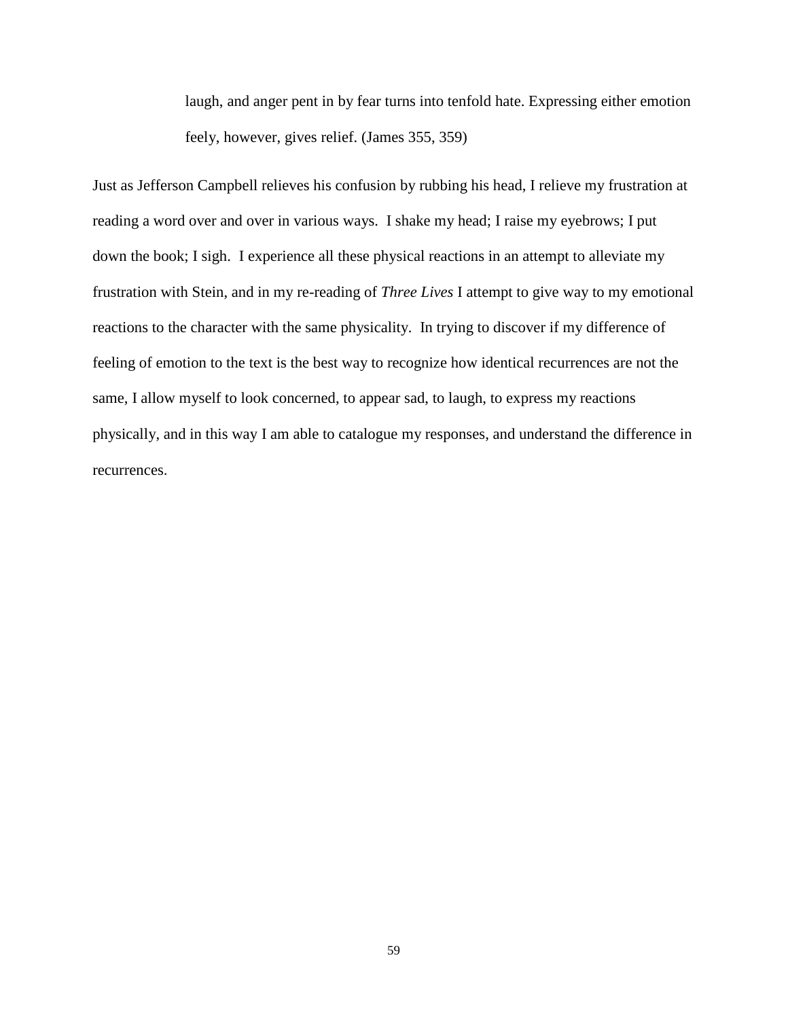laugh, and anger pent in by fear turns into tenfold hate. Expressing either emotion feely, however, gives relief. (James 355, 359)

Just as Jefferson Campbell relieves his confusion by rubbing his head, I relieve my frustration at reading a word over and over in various ways. I shake my head; I raise my eyebrows; I put down the book; I sigh. I experience all these physical reactions in an attempt to alleviate my frustration with Stein, and in my re-reading of *Three Lives* I attempt to give way to my emotional reactions to the character with the same physicality. In trying to discover if my difference of feeling of emotion to the text is the best way to recognize how identical recurrences are not the same, I allow myself to look concerned, to appear sad, to laugh, to express my reactions physically, and in this way I am able to catalogue my responses, and understand the difference in recurrences.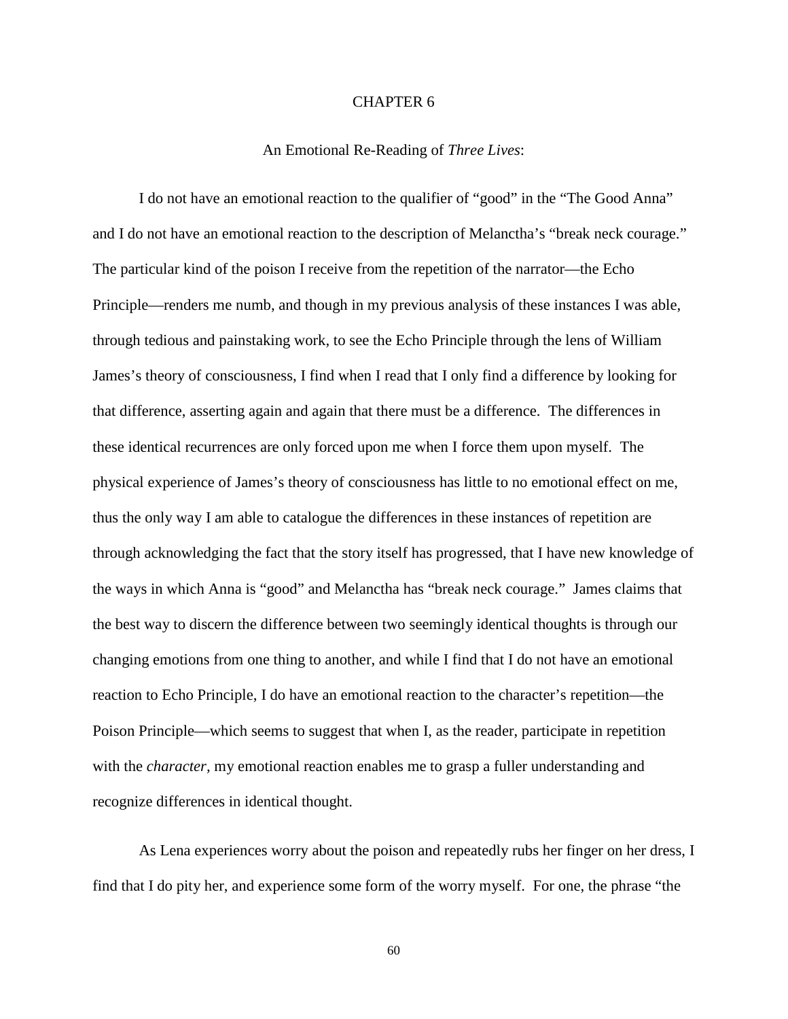# CHAPTER 6

# An Emotional Re-Reading of *Three Lives*:

I do not have an emotional reaction to the qualifier of "good" in the "The Good Anna" and I do not have an emotional reaction to the description of Melanctha's "break neck courage." The particular kind of the poison I receive from the repetition of the narrator—the Echo Principle—renders me numb, and though in my previous analysis of these instances I was able, through tedious and painstaking work, to see the Echo Principle through the lens of William James's theory of consciousness, I find when I read that I only find a difference by looking for that difference, asserting again and again that there must be a difference. The differences in these identical recurrences are only forced upon me when I force them upon myself. The physical experience of James's theory of consciousness has little to no emotional effect on me, thus the only way I am able to catalogue the differences in these instances of repetition are through acknowledging the fact that the story itself has progressed, that I have new knowledge of the ways in which Anna is "good" and Melanctha has "break neck courage." James claims that the best way to discern the difference between two seemingly identical thoughts is through our changing emotions from one thing to another, and while I find that I do not have an emotional reaction to Echo Principle, I do have an emotional reaction to the character's repetition—the Poison Principle—which seems to suggest that when I, as the reader, participate in repetition with the *character*, my emotional reaction enables me to grasp a fuller understanding and recognize differences in identical thought.

As Lena experiences worry about the poison and repeatedly rubs her finger on her dress, I find that I do pity her, and experience some form of the worry myself. For one, the phrase "the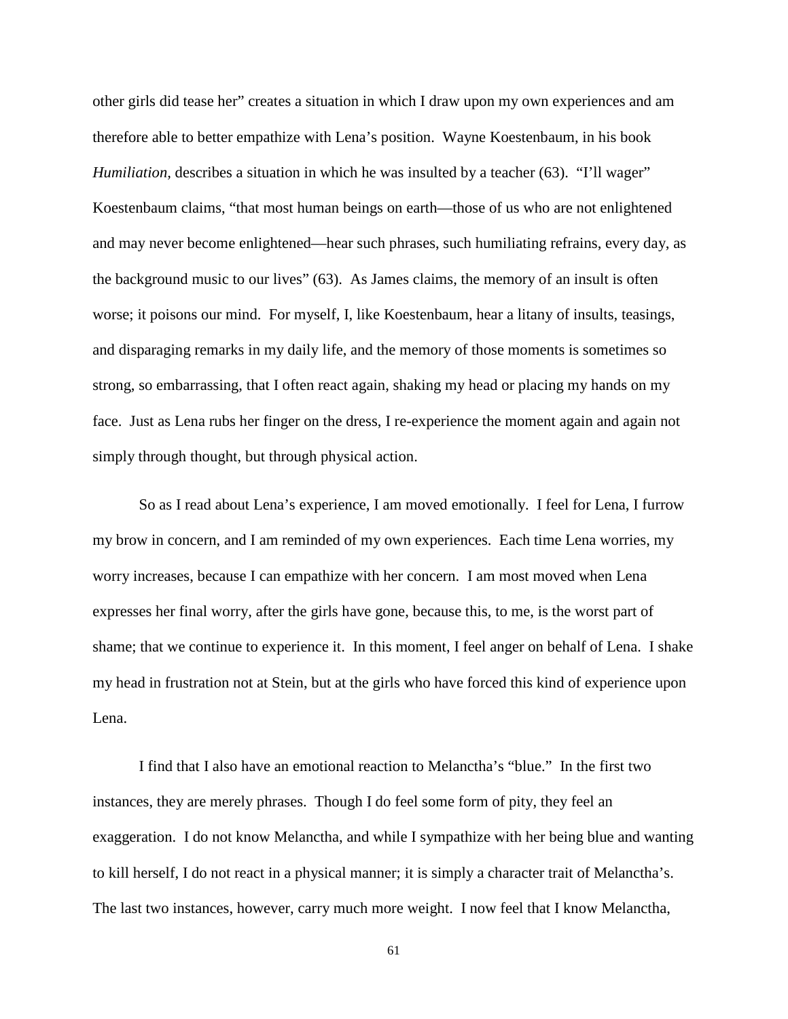other girls did tease her" creates a situation in which I draw upon my own experiences and am therefore able to better empathize with Lena's position. Wayne Koestenbaum, in his book *Humiliation*, describes a situation in which he was insulted by a teacher (63). "I'll wager" Koestenbaum claims, "that most human beings on earth—those of us who are not enlightened and may never become enlightened—hear such phrases, such humiliating refrains, every day, as the background music to our lives" (63). As James claims, the memory of an insult is often worse; it poisons our mind. For myself, I, like Koestenbaum, hear a litany of insults, teasings, and disparaging remarks in my daily life, and the memory of those moments is sometimes so strong, so embarrassing, that I often react again, shaking my head or placing my hands on my face. Just as Lena rubs her finger on the dress, I re-experience the moment again and again not simply through thought, but through physical action.

So as I read about Lena's experience, I am moved emotionally. I feel for Lena, I furrow my brow in concern, and I am reminded of my own experiences. Each time Lena worries, my worry increases, because I can empathize with her concern. I am most moved when Lena expresses her final worry, after the girls have gone, because this, to me, is the worst part of shame; that we continue to experience it. In this moment, I feel anger on behalf of Lena. I shake my head in frustration not at Stein, but at the girls who have forced this kind of experience upon Lena.

I find that I also have an emotional reaction to Melanctha's "blue." In the first two instances, they are merely phrases. Though I do feel some form of pity, they feel an exaggeration. I do not know Melanctha, and while I sympathize with her being blue and wanting to kill herself, I do not react in a physical manner; it is simply a character trait of Melanctha's. The last two instances, however, carry much more weight. I now feel that I know Melanctha,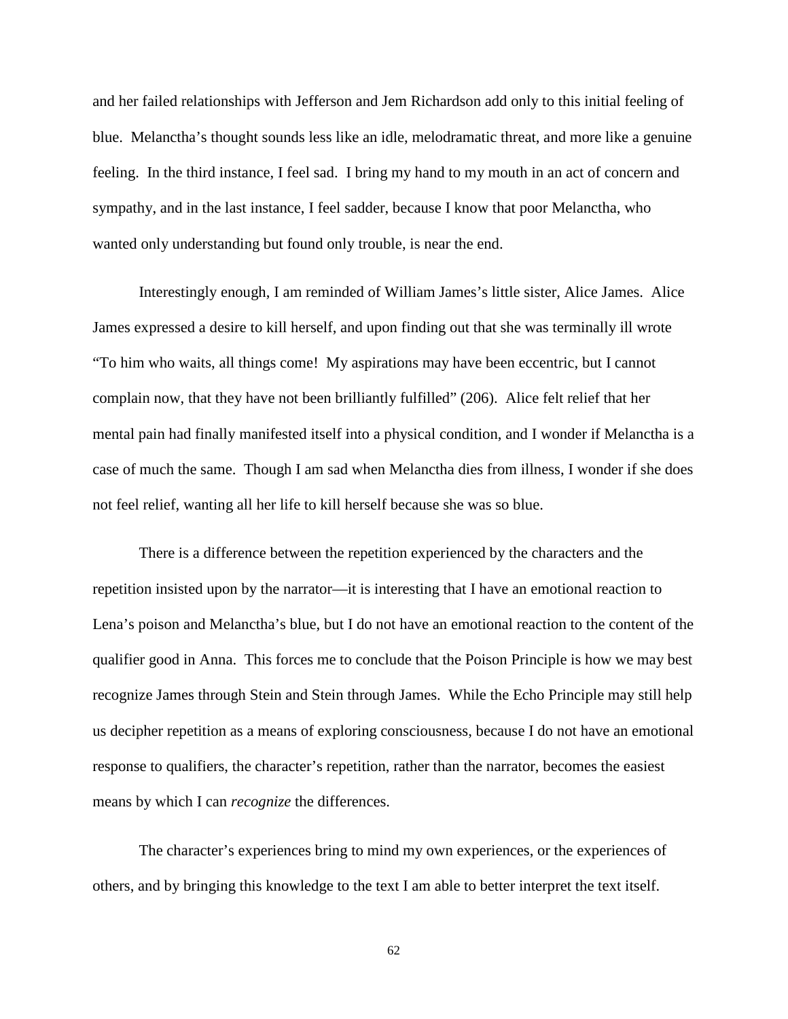and her failed relationships with Jefferson and Jem Richardson add only to this initial feeling of blue. Melanctha's thought sounds less like an idle, melodramatic threat, and more like a genuine feeling. In the third instance, I feel sad. I bring my hand to my mouth in an act of concern and sympathy, and in the last instance, I feel sadder, because I know that poor Melanctha, who wanted only understanding but found only trouble, is near the end.

Interestingly enough, I am reminded of William James's little sister, Alice James. Alice James expressed a desire to kill herself, and upon finding out that she was terminally ill wrote "To him who waits, all things come! My aspirations may have been eccentric, but I cannot complain now, that they have not been brilliantly fulfilled" (206). Alice felt relief that her mental pain had finally manifested itself into a physical condition, and I wonder if Melanctha is a case of much the same. Though I am sad when Melanctha dies from illness, I wonder if she does not feel relief, wanting all her life to kill herself because she was so blue.

There is a difference between the repetition experienced by the characters and the repetition insisted upon by the narrator—it is interesting that I have an emotional reaction to Lena's poison and Melanctha's blue, but I do not have an emotional reaction to the content of the qualifier good in Anna. This forces me to conclude that the Poison Principle is how we may best recognize James through Stein and Stein through James. While the Echo Principle may still help us decipher repetition as a means of exploring consciousness, because I do not have an emotional response to qualifiers, the character's repetition, rather than the narrator, becomes the easiest means by which I can *recognize* the differences.

The character's experiences bring to mind my own experiences, or the experiences of others, and by bringing this knowledge to the text I am able to better interpret the text itself.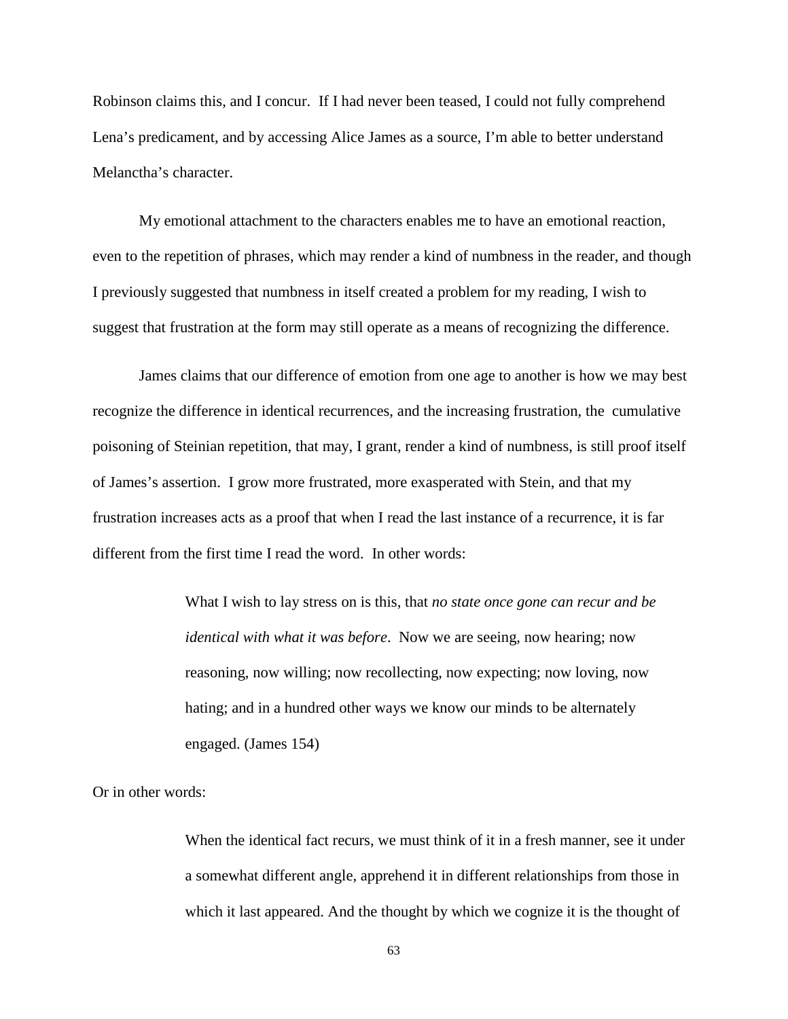Robinson claims this, and I concur. If I had never been teased, I could not fully comprehend Lena's predicament, and by accessing Alice James as a source, I'm able to better understand Melanctha's character.

My emotional attachment to the characters enables me to have an emotional reaction, even to the repetition of phrases, which may render a kind of numbness in the reader, and though I previously suggested that numbness in itself created a problem for my reading, I wish to suggest that frustration at the form may still operate as a means of recognizing the difference.

James claims that our difference of emotion from one age to another is how we may best recognize the difference in identical recurrences, and the increasing frustration, the cumulative poisoning of Steinian repetition, that may, I grant, render a kind of numbness, is still proof itself of James's assertion. I grow more frustrated, more exasperated with Stein, and that my frustration increases acts as a proof that when I read the last instance of a recurrence, it is far different from the first time I read the word. In other words:

> What I wish to lay stress on is this, that *no state once gone can recur and be identical with what it was before*. Now we are seeing, now hearing; now reasoning, now willing; now recollecting, now expecting; now loving, now hating; and in a hundred other ways we know our minds to be alternately engaged. (James 154)

Or in other words:

When the identical fact recurs, we must think of it in a fresh manner, see it under a somewhat different angle, apprehend it in different relationships from those in which it last appeared. And the thought by which we cognize it is the thought of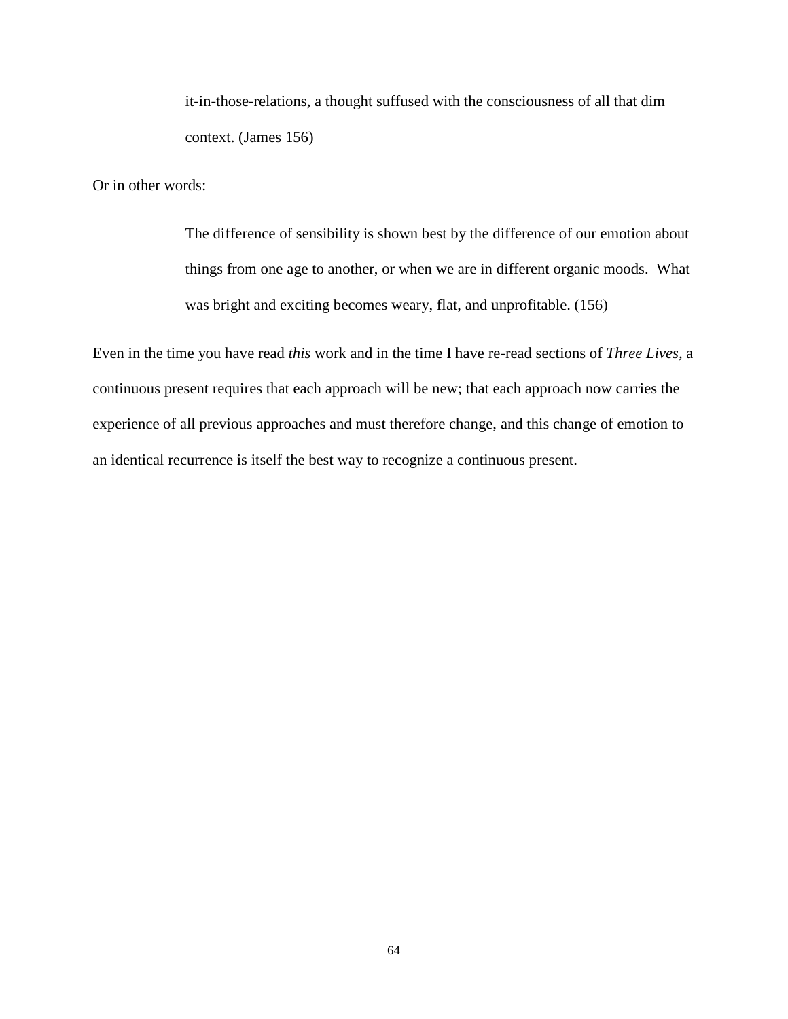it-in-those-relations, a thought suffused with the consciousness of all that dim context. (James 156)

Or in other words:

The difference of sensibility is shown best by the difference of our emotion about things from one age to another, or when we are in different organic moods. What was bright and exciting becomes weary, flat, and unprofitable. (156)

Even in the time you have read *this* work and in the time I have re-read sections of *Three Lives,* a continuous present requires that each approach will be new; that each approach now carries the experience of all previous approaches and must therefore change, and this change of emotion to an identical recurrence is itself the best way to recognize a continuous present.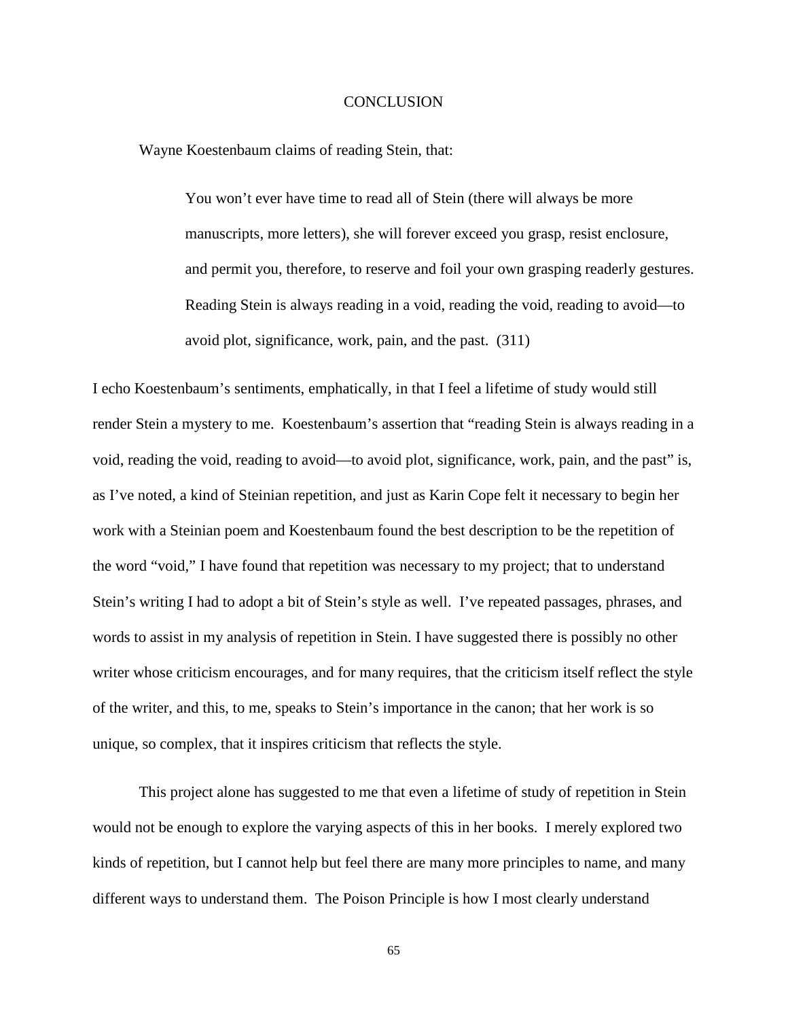# **CONCLUSION**

Wayne Koestenbaum claims of reading Stein, that:

You won't ever have time to read all of Stein (there will always be more manuscripts, more letters), she will forever exceed you grasp, resist enclosure, and permit you, therefore, to reserve and foil your own grasping readerly gestures. Reading Stein is always reading in a void, reading the void, reading to avoid—to avoid plot, significance, work, pain, and the past. (311)

I echo Koestenbaum's sentiments, emphatically, in that I feel a lifetime of study would still render Stein a mystery to me. Koestenbaum's assertion that "reading Stein is always reading in a void, reading the void, reading to avoid—to avoid plot, significance, work, pain, and the past" is, as I've noted, a kind of Steinian repetition, and just as Karin Cope felt it necessary to begin her work with a Steinian poem and Koestenbaum found the best description to be the repetition of the word "void," I have found that repetition was necessary to my project; that to understand Stein's writing I had to adopt a bit of Stein's style as well. I've repeated passages, phrases, and words to assist in my analysis of repetition in Stein. I have suggested there is possibly no other writer whose criticism encourages, and for many requires, that the criticism itself reflect the style of the writer, and this, to me, speaks to Stein's importance in the canon; that her work is so unique, so complex, that it inspires criticism that reflects the style.

This project alone has suggested to me that even a lifetime of study of repetition in Stein would not be enough to explore the varying aspects of this in her books. I merely explored two kinds of repetition, but I cannot help but feel there are many more principles to name, and many different ways to understand them. The Poison Principle is how I most clearly understand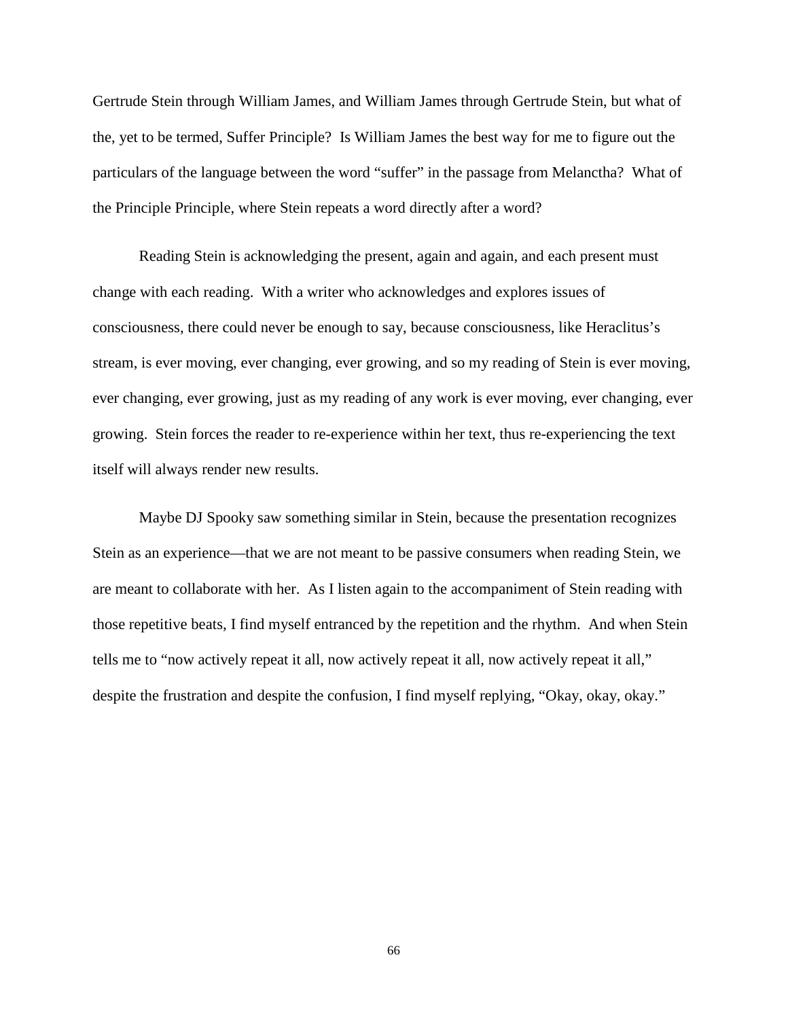Gertrude Stein through William James, and William James through Gertrude Stein, but what of the, yet to be termed, Suffer Principle? Is William James the best way for me to figure out the particulars of the language between the word "suffer" in the passage from Melanctha? What of the Principle Principle, where Stein repeats a word directly after a word?

Reading Stein is acknowledging the present, again and again, and each present must change with each reading. With a writer who acknowledges and explores issues of consciousness, there could never be enough to say, because consciousness, like Heraclitus's stream, is ever moving, ever changing, ever growing, and so my reading of Stein is ever moving, ever changing, ever growing, just as my reading of any work is ever moving, ever changing, ever growing. Stein forces the reader to re-experience within her text, thus re-experiencing the text itself will always render new results.

Maybe DJ Spooky saw something similar in Stein, because the presentation recognizes Stein as an experience—that we are not meant to be passive consumers when reading Stein, we are meant to collaborate with her. As I listen again to the accompaniment of Stein reading with those repetitive beats, I find myself entranced by the repetition and the rhythm. And when Stein tells me to "now actively repeat it all, now actively repeat it all, now actively repeat it all," despite the frustration and despite the confusion, I find myself replying, "Okay, okay, okay."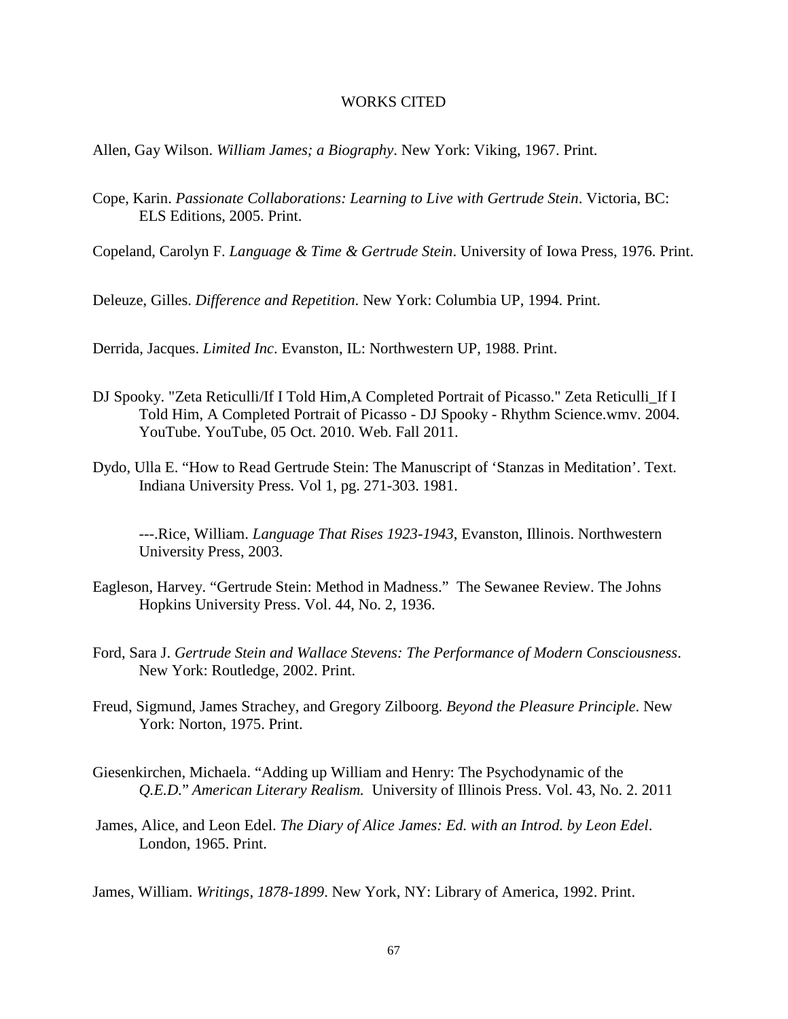# WORKS CITED

Allen, Gay Wilson. *William James; a Biography*. New York: Viking, 1967. Print.

Cope, Karin. *Passionate Collaborations: Learning to Live with Gertrude Stein*. Victoria, BC: ELS Editions, 2005. Print.

Copeland, Carolyn F. *Language & Time & Gertrude Stein*. University of Iowa Press, 1976. Print.

Deleuze, Gilles. *Difference and Repetition*. New York: Columbia UP, 1994. Print.

Derrida, Jacques. *Limited Inc*. Evanston, IL: Northwestern UP, 1988. Print.

- DJ Spooky. "Zeta Reticulli/If I Told Him,A Completed Portrait of Picasso." Zeta Reticulli\_If I Told Him, A Completed Portrait of Picasso - DJ Spooky - Rhythm Science.wmv. 2004. YouTube. YouTube, 05 Oct. 2010. Web. Fall 2011.
- Dydo, Ulla E. "How to Read Gertrude Stein: The Manuscript of 'Stanzas in Meditation'. Text. Indiana University Press. Vol 1, pg. 271-303. 1981.

---.Rice, William. *Language That Rises 1923-1943*, Evanston, Illinois. Northwestern University Press, 2003.

- Eagleson, Harvey. "Gertrude Stein: Method in Madness." The Sewanee Review. The Johns Hopkins University Press. Vol. 44, No. 2, 1936.
- Ford, Sara J. *Gertrude Stein and Wallace Stevens: The Performance of Modern Consciousness*. New York: Routledge, 2002. Print.
- Freud, Sigmund, James Strachey, and Gregory Zilboorg. *Beyond the Pleasure Principle*. New York: Norton, 1975. Print.
- Giesenkirchen, Michaela. "Adding up William and Henry: The Psychodynamic of the *Q.E.D.*" *American Literary Realism.* University of Illinois Press. Vol. 43, No. 2. 2011
- James, Alice, and Leon Edel. *The Diary of Alice James: Ed. with an Introd. by Leon Edel*. London, 1965. Print.

James, William. *Writings, 1878-1899*. New York, NY: Library of America, 1992. Print.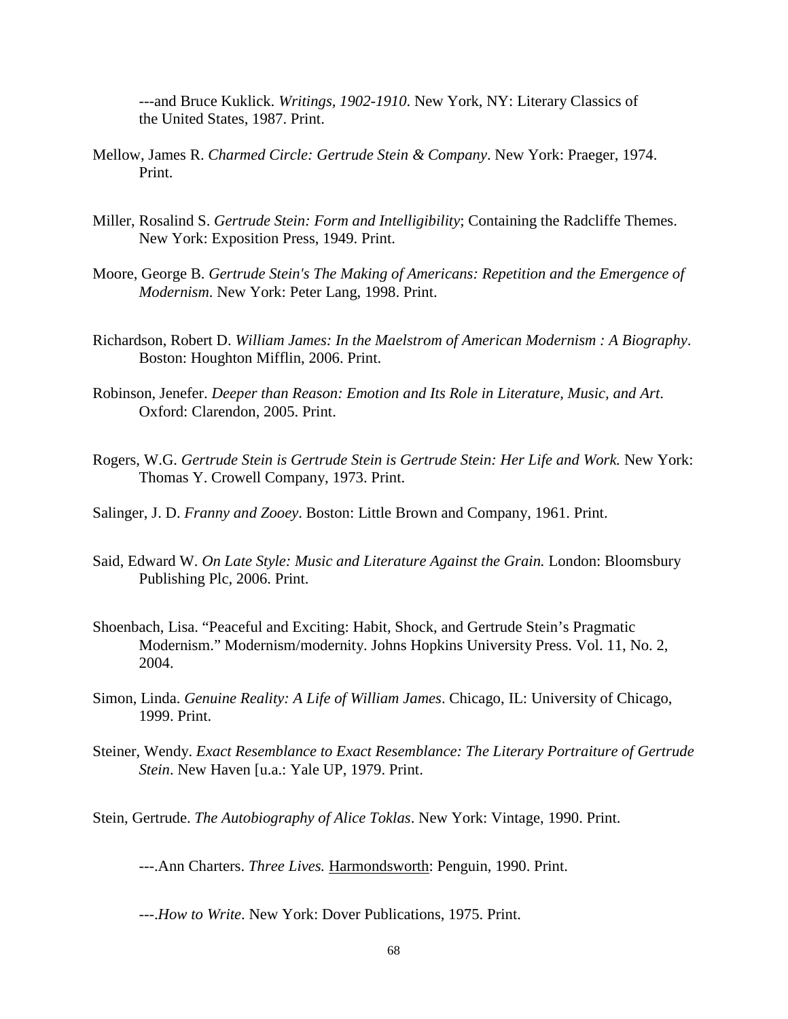---and Bruce Kuklick. *Writings, 1902-1910*. New York, NY: Literary Classics of the United States, 1987. Print.

- Mellow, James R. *Charmed Circle: Gertrude Stein & Company*. New York: Praeger, 1974. Print.
- Miller, Rosalind S. *Gertrude Stein: Form and Intelligibility*; Containing the Radcliffe Themes. New York: Exposition Press, 1949. Print.
- Moore, George B. *Gertrude Stein's The Making of Americans: Repetition and the Emergence of Modernism*. New York: Peter Lang, 1998. Print.
- Richardson, Robert D. *William James: In the Maelstrom of American Modernism : A Biography*. Boston: Houghton Mifflin, 2006. Print.
- Robinson, Jenefer. *Deeper than Reason: Emotion and Its Role in Literature, Music, and Art*. Oxford: Clarendon, 2005. Print.
- Rogers, W.G. *Gertrude Stein is Gertrude Stein is Gertrude Stein: Her Life and Work.* New York: Thomas Y. Crowell Company, 1973. Print.
- Salinger, J. D. *Franny and Zooey*. Boston: Little Brown and Company, 1961. Print.
- Said, Edward W. *On Late Style: Music and Literature Against the Grain.* London: Bloomsbury Publishing Plc, 2006. Print.
- Shoenbach, Lisa. "Peaceful and Exciting: Habit, Shock, and Gertrude Stein's Pragmatic Modernism." Modernism/modernity. Johns Hopkins University Press. Vol. 11, No. 2, 2004.
- Simon, Linda. *Genuine Reality: A Life of William James*. Chicago, IL: University of Chicago, 1999. Print.
- Steiner, Wendy. *Exact Resemblance to Exact Resemblance: The Literary Portraiture of Gertrude Stein*. New Haven [u.a.: Yale UP, 1979. Print.
- Stein, Gertrude. *The Autobiography of Alice Toklas*. New York: Vintage, 1990. Print.

---.Ann Charters. *Three Lives.* Harmondsworth: Penguin, 1990. Print.

---.*How to Write*. New York: Dover Publications, 1975. Print.